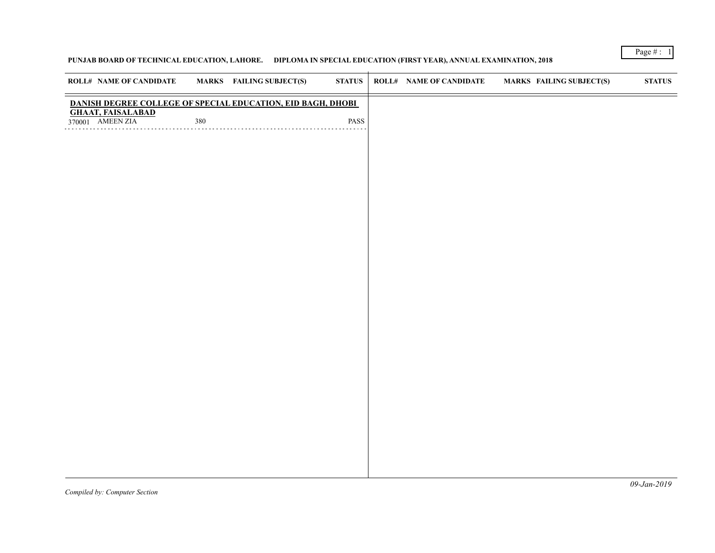# **PUNJAB BOARD OF TECHNICAL EDUCATION, LAHORE. DIPLOMA IN SPECIAL EDUCATION (FIRST YEAR), ANNUAL EXAMINATION, 2018**

| <b>ROLL# NAME OF CANDIDATE</b>                              |     | <b>MARKS</b> FAILING SUBJECT(S) | <b>STATUS</b> | <b>ROLL# NAME OF CANDIDATE</b> | <b>MARKS FAILING SUBJECT(S)</b> | ${\bf STATUS}$ |
|-------------------------------------------------------------|-----|---------------------------------|---------------|--------------------------------|---------------------------------|----------------|
| DANISH DEGREE COLLEGE OF SPECIAL EDUCATION, EID BAGH, DHOBI |     |                                 |               |                                |                                 |                |
| <b>GHAAT, FAISALABAD</b><br>370001 AMEEN ZIA                | 380 |                                 | PASS          |                                |                                 |                |
|                                                             |     |                                 |               |                                |                                 |                |
|                                                             |     |                                 |               |                                |                                 |                |
|                                                             |     |                                 |               |                                |                                 |                |
|                                                             |     |                                 |               |                                |                                 |                |
|                                                             |     |                                 |               |                                |                                 |                |
|                                                             |     |                                 |               |                                |                                 |                |
|                                                             |     |                                 |               |                                |                                 |                |
|                                                             |     |                                 |               |                                |                                 |                |
|                                                             |     |                                 |               |                                |                                 |                |
|                                                             |     |                                 |               |                                |                                 |                |
|                                                             |     |                                 |               |                                |                                 |                |
|                                                             |     |                                 |               |                                |                                 |                |
|                                                             |     |                                 |               |                                |                                 |                |
|                                                             |     |                                 |               |                                |                                 |                |
|                                                             |     |                                 |               |                                |                                 |                |
|                                                             |     |                                 |               |                                |                                 |                |
|                                                             |     |                                 |               |                                |                                 |                |
|                                                             |     |                                 |               |                                |                                 |                |
|                                                             |     |                                 |               |                                |                                 |                |
|                                                             |     |                                 |               |                                |                                 |                |
|                                                             |     |                                 |               |                                |                                 |                |
|                                                             |     |                                 |               |                                |                                 |                |
|                                                             |     |                                 |               |                                |                                 |                |

Page # : 1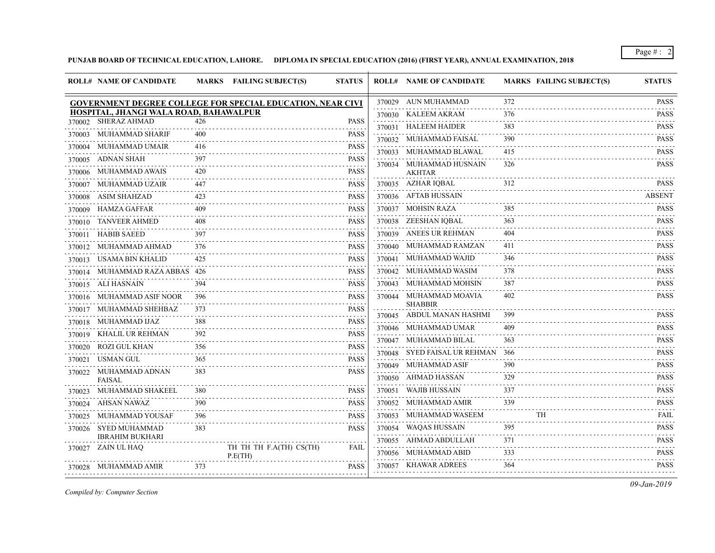**PUNJAB BOARD OF TECHNICAL EDUCATION, LAHORE. DIPLOMA IN SPECIAL EDUCATION (2016) (FIRST YEAR), ANNUAL EXAMINATION, 2018**

| 370029 AUN MUHAMMAD<br>372<br><b>GOVERNMENT DEGREE COLLEGE FOR SPECIAL EDUCATION, NEAR CIVI</b><br>HOSPITAL, JHANGI WALA ROAD, BAHAWALPUR<br>370030 KALEEM AKRAM<br>376<br><b>SHERAZ AHMAD</b><br>426<br><b>PASS</b><br>370002<br>370031 HALEEM HAIDER<br>383<br>370003 MUHAMMAD SHARIF<br>400<br><b>PASS</b><br>.<br>370032 MUHAMMAD FAISAL<br>390<br>MUHAMMAD UMAIR<br>416<br><b>PASS</b><br>370004<br>370033 MUHAMMAD BLAWAL<br>415<br>.<br>370005 ADNAN SHAH<br>397<br><b>PASS</b><br>370034 MUHAMMAD HUSNAIN<br>326<br>370006 MUHAMMAD AWAIS<br>420<br>PASS<br><b>AKHTAR</b><br>370035 AZHAR IQBAL<br>312<br>MUHAMMAD UZAIR<br><b>PASS</b><br>447<br><b>ABSENT</b><br>370036 AFTAB HUSSAIN<br>ASIM SHAHZAD<br><b>PASS</b><br>423<br>370008<br>370037 MOHSIN RAZA<br>385<br>370009 HAMZA GAFFAR<br>409<br><b>PASS</b><br>370038 ZEESHAN IQBAL<br>363<br><b>TANVEER AHMED</b><br><b>PASS</b><br>408<br>370010<br>370039 ANEES UR REHMAN<br>404<br><b>HABIB SAEED</b><br>397<br>PASS<br>370040 MUHAMMAD RAMZAN<br>411<br>MUHAMMAD AHMAD<br>376<br>PASS<br>370012<br>370041 MUHAMMAD WAJID<br>USAMA BIN KHALID<br>346<br>425<br><b>PASS</b><br>370013<br>370042 MUHAMMAD WASIM<br>378<br><b>PASS</b><br>370014 MUHAMMAD RAZA ABBAS 426<br>370043 MUHAMMAD MOHSIN<br>387<br>370015 ALI HASNAIN<br><b>PASS</b><br>394<br>370044 MUHAMMAD MOAVIA<br>402<br>370016 MUHAMMAD ASIF NOOR<br>396<br><b>PASS</b><br><b>SHABBIR</b><br>MUHAMMAD SHEHBAZ<br>373<br><b>PASS</b><br>370017<br>370045 ABDUL MANAN HASHMI<br>399<br>370018 MUHAMMAD IJAZ<br>388<br>PASS<br>370046 MUHAMMAD UMAR<br>409<br>KHALIL UR REHMAN<br>392<br><b>PASS</b><br>370019<br>370047 MUHAMMAD BILAL<br>363<br>ROZI GUL KHAN<br><b>PASS</b><br>356<br>370020<br>370048 SYED FAISAL UR REHMAN<br>- 366<br>USMAN GUL<br>PASS<br>365<br>370021<br>370049 MUHAMMAD ASIF<br>390<br>370022 MUHAMMAD ADNAN<br>383<br><b>PASS</b><br>370050 AHMAD HASSAN<br>329<br>FAISAL<br>370051 WAJIB HUSSAIN<br>337<br>MUHAMMAD SHAKEEL<br><b>PASS</b><br>370023<br>380<br>370052 MUHAMMAD AMIR<br>339<br>370024 AHSAN NAWAZ<br><b>PASS</b><br>390<br>370053 MUHAMMAD WASEEM<br>TH<br>MUHAMMAD YOUSAF<br>396<br><b>PASS</b><br>370025<br>370054 WAQAS HUSSAIN<br>395<br>370026 SYED MUHAMMAD<br><b>PASS</b><br>383<br><b>IBRAHIM BUKHARI</b><br>371<br>370055 AHMAD ABDULLAH<br>370027 ZAIN UL HAQ<br>TH TH TH F.A(TH) CS(TH)<br>FAIL<br>370056 MUHAMMAD ABID<br>333<br>P.E(TH)<br>370057 KHAWAR ADREES<br>364<br>370028 MUHAMMAD AMIR<br>373<br>PASS |        | <b>ROLL# NAME OF CANDIDATE</b> | MARKS FAILING SUBJECT(S) | <b>STATUS</b> | <b>ROLL# NAME OF CANDIDATE</b> | <b>MARKS FAILING SUBJECT(S)</b> | <b>STATUS</b>                                                                                                                        |
|-----------------------------------------------------------------------------------------------------------------------------------------------------------------------------------------------------------------------------------------------------------------------------------------------------------------------------------------------------------------------------------------------------------------------------------------------------------------------------------------------------------------------------------------------------------------------------------------------------------------------------------------------------------------------------------------------------------------------------------------------------------------------------------------------------------------------------------------------------------------------------------------------------------------------------------------------------------------------------------------------------------------------------------------------------------------------------------------------------------------------------------------------------------------------------------------------------------------------------------------------------------------------------------------------------------------------------------------------------------------------------------------------------------------------------------------------------------------------------------------------------------------------------------------------------------------------------------------------------------------------------------------------------------------------------------------------------------------------------------------------------------------------------------------------------------------------------------------------------------------------------------------------------------------------------------------------------------------------------------------------------------------------------------------------------------------------------------------------------------------------------------------------------------------------------------------------------------------------------------------------------------------------------------------------------------------------------------------------------------------------------------------------------------------------------------------------------------------------------------------------------|--------|--------------------------------|--------------------------|---------------|--------------------------------|---------------------------------|--------------------------------------------------------------------------------------------------------------------------------------|
|                                                                                                                                                                                                                                                                                                                                                                                                                                                                                                                                                                                                                                                                                                                                                                                                                                                                                                                                                                                                                                                                                                                                                                                                                                                                                                                                                                                                                                                                                                                                                                                                                                                                                                                                                                                                                                                                                                                                                                                                                                                                                                                                                                                                                                                                                                                                                                                                                                                                                                     |        |                                |                          |               |                                |                                 | <b>PASS</b>                                                                                                                          |
|                                                                                                                                                                                                                                                                                                                                                                                                                                                                                                                                                                                                                                                                                                                                                                                                                                                                                                                                                                                                                                                                                                                                                                                                                                                                                                                                                                                                                                                                                                                                                                                                                                                                                                                                                                                                                                                                                                                                                                                                                                                                                                                                                                                                                                                                                                                                                                                                                                                                                                     |        |                                |                          |               |                                |                                 | <b>PASS</b>                                                                                                                          |
|                                                                                                                                                                                                                                                                                                                                                                                                                                                                                                                                                                                                                                                                                                                                                                                                                                                                                                                                                                                                                                                                                                                                                                                                                                                                                                                                                                                                                                                                                                                                                                                                                                                                                                                                                                                                                                                                                                                                                                                                                                                                                                                                                                                                                                                                                                                                                                                                                                                                                                     |        |                                |                          |               |                                |                                 | .<br><b>PASS</b>                                                                                                                     |
|                                                                                                                                                                                                                                                                                                                                                                                                                                                                                                                                                                                                                                                                                                                                                                                                                                                                                                                                                                                                                                                                                                                                                                                                                                                                                                                                                                                                                                                                                                                                                                                                                                                                                                                                                                                                                                                                                                                                                                                                                                                                                                                                                                                                                                                                                                                                                                                                                                                                                                     |        |                                |                          |               |                                |                                 | <b>PASS</b>                                                                                                                          |
|                                                                                                                                                                                                                                                                                                                                                                                                                                                                                                                                                                                                                                                                                                                                                                                                                                                                                                                                                                                                                                                                                                                                                                                                                                                                                                                                                                                                                                                                                                                                                                                                                                                                                                                                                                                                                                                                                                                                                                                                                                                                                                                                                                                                                                                                                                                                                                                                                                                                                                     |        |                                |                          |               |                                |                                 | <b>PASS</b>                                                                                                                          |
|                                                                                                                                                                                                                                                                                                                                                                                                                                                                                                                                                                                                                                                                                                                                                                                                                                                                                                                                                                                                                                                                                                                                                                                                                                                                                                                                                                                                                                                                                                                                                                                                                                                                                                                                                                                                                                                                                                                                                                                                                                                                                                                                                                                                                                                                                                                                                                                                                                                                                                     |        |                                |                          |               |                                |                                 | <b>PASS</b>                                                                                                                          |
|                                                                                                                                                                                                                                                                                                                                                                                                                                                                                                                                                                                                                                                                                                                                                                                                                                                                                                                                                                                                                                                                                                                                                                                                                                                                                                                                                                                                                                                                                                                                                                                                                                                                                                                                                                                                                                                                                                                                                                                                                                                                                                                                                                                                                                                                                                                                                                                                                                                                                                     |        |                                |                          |               |                                |                                 | $\mathcal{L}^{\mathcal{A}}\left( \mathcal{A}^{\mathcal{A}}\right) =\mathcal{L}^{\mathcal{A}}\left( \mathcal{A}^{\mathcal{A}}\right)$ |
|                                                                                                                                                                                                                                                                                                                                                                                                                                                                                                                                                                                                                                                                                                                                                                                                                                                                                                                                                                                                                                                                                                                                                                                                                                                                                                                                                                                                                                                                                                                                                                                                                                                                                                                                                                                                                                                                                                                                                                                                                                                                                                                                                                                                                                                                                                                                                                                                                                                                                                     | 370007 |                                |                          |               |                                |                                 | <b>PASS</b>                                                                                                                          |
|                                                                                                                                                                                                                                                                                                                                                                                                                                                                                                                                                                                                                                                                                                                                                                                                                                                                                                                                                                                                                                                                                                                                                                                                                                                                                                                                                                                                                                                                                                                                                                                                                                                                                                                                                                                                                                                                                                                                                                                                                                                                                                                                                                                                                                                                                                                                                                                                                                                                                                     |        |                                |                          |               |                                |                                 |                                                                                                                                      |
|                                                                                                                                                                                                                                                                                                                                                                                                                                                                                                                                                                                                                                                                                                                                                                                                                                                                                                                                                                                                                                                                                                                                                                                                                                                                                                                                                                                                                                                                                                                                                                                                                                                                                                                                                                                                                                                                                                                                                                                                                                                                                                                                                                                                                                                                                                                                                                                                                                                                                                     |        |                                |                          |               |                                |                                 | PASS                                                                                                                                 |
|                                                                                                                                                                                                                                                                                                                                                                                                                                                                                                                                                                                                                                                                                                                                                                                                                                                                                                                                                                                                                                                                                                                                                                                                                                                                                                                                                                                                                                                                                                                                                                                                                                                                                                                                                                                                                                                                                                                                                                                                                                                                                                                                                                                                                                                                                                                                                                                                                                                                                                     |        |                                |                          |               |                                |                                 | <b>PASS</b><br>.                                                                                                                     |
|                                                                                                                                                                                                                                                                                                                                                                                                                                                                                                                                                                                                                                                                                                                                                                                                                                                                                                                                                                                                                                                                                                                                                                                                                                                                                                                                                                                                                                                                                                                                                                                                                                                                                                                                                                                                                                                                                                                                                                                                                                                                                                                                                                                                                                                                                                                                                                                                                                                                                                     | 370011 |                                |                          |               |                                |                                 | <b>PASS</b><br>.                                                                                                                     |
|                                                                                                                                                                                                                                                                                                                                                                                                                                                                                                                                                                                                                                                                                                                                                                                                                                                                                                                                                                                                                                                                                                                                                                                                                                                                                                                                                                                                                                                                                                                                                                                                                                                                                                                                                                                                                                                                                                                                                                                                                                                                                                                                                                                                                                                                                                                                                                                                                                                                                                     |        |                                |                          |               |                                |                                 | <b>PASS</b>                                                                                                                          |
|                                                                                                                                                                                                                                                                                                                                                                                                                                                                                                                                                                                                                                                                                                                                                                                                                                                                                                                                                                                                                                                                                                                                                                                                                                                                                                                                                                                                                                                                                                                                                                                                                                                                                                                                                                                                                                                                                                                                                                                                                                                                                                                                                                                                                                                                                                                                                                                                                                                                                                     |        |                                |                          |               |                                |                                 | <b>PASS</b>                                                                                                                          |
|                                                                                                                                                                                                                                                                                                                                                                                                                                                                                                                                                                                                                                                                                                                                                                                                                                                                                                                                                                                                                                                                                                                                                                                                                                                                                                                                                                                                                                                                                                                                                                                                                                                                                                                                                                                                                                                                                                                                                                                                                                                                                                                                                                                                                                                                                                                                                                                                                                                                                                     |        |                                |                          |               |                                |                                 | <b>PASS</b><br>.                                                                                                                     |
|                                                                                                                                                                                                                                                                                                                                                                                                                                                                                                                                                                                                                                                                                                                                                                                                                                                                                                                                                                                                                                                                                                                                                                                                                                                                                                                                                                                                                                                                                                                                                                                                                                                                                                                                                                                                                                                                                                                                                                                                                                                                                                                                                                                                                                                                                                                                                                                                                                                                                                     |        |                                |                          |               |                                |                                 | <b>PASS</b>                                                                                                                          |
|                                                                                                                                                                                                                                                                                                                                                                                                                                                                                                                                                                                                                                                                                                                                                                                                                                                                                                                                                                                                                                                                                                                                                                                                                                                                                                                                                                                                                                                                                                                                                                                                                                                                                                                                                                                                                                                                                                                                                                                                                                                                                                                                                                                                                                                                                                                                                                                                                                                                                                     |        |                                |                          |               |                                |                                 | <b>PASS</b>                                                                                                                          |
|                                                                                                                                                                                                                                                                                                                                                                                                                                                                                                                                                                                                                                                                                                                                                                                                                                                                                                                                                                                                                                                                                                                                                                                                                                                                                                                                                                                                                                                                                                                                                                                                                                                                                                                                                                                                                                                                                                                                                                                                                                                                                                                                                                                                                                                                                                                                                                                                                                                                                                     |        |                                |                          |               |                                |                                 | <b>PASS</b>                                                                                                                          |
|                                                                                                                                                                                                                                                                                                                                                                                                                                                                                                                                                                                                                                                                                                                                                                                                                                                                                                                                                                                                                                                                                                                                                                                                                                                                                                                                                                                                                                                                                                                                                                                                                                                                                                                                                                                                                                                                                                                                                                                                                                                                                                                                                                                                                                                                                                                                                                                                                                                                                                     |        |                                |                          |               |                                |                                 | <b>PASS</b>                                                                                                                          |
|                                                                                                                                                                                                                                                                                                                                                                                                                                                                                                                                                                                                                                                                                                                                                                                                                                                                                                                                                                                                                                                                                                                                                                                                                                                                                                                                                                                                                                                                                                                                                                                                                                                                                                                                                                                                                                                                                                                                                                                                                                                                                                                                                                                                                                                                                                                                                                                                                                                                                                     |        |                                |                          |               |                                |                                 | $- - - - -$<br><b>PASS</b>                                                                                                           |
|                                                                                                                                                                                                                                                                                                                                                                                                                                                                                                                                                                                                                                                                                                                                                                                                                                                                                                                                                                                                                                                                                                                                                                                                                                                                                                                                                                                                                                                                                                                                                                                                                                                                                                                                                                                                                                                                                                                                                                                                                                                                                                                                                                                                                                                                                                                                                                                                                                                                                                     |        |                                |                          |               |                                |                                 | <b>PASS</b>                                                                                                                          |
|                                                                                                                                                                                                                                                                                                                                                                                                                                                                                                                                                                                                                                                                                                                                                                                                                                                                                                                                                                                                                                                                                                                                                                                                                                                                                                                                                                                                                                                                                                                                                                                                                                                                                                                                                                                                                                                                                                                                                                                                                                                                                                                                                                                                                                                                                                                                                                                                                                                                                                     |        |                                |                          |               |                                |                                 | .<br><b>PASS</b>                                                                                                                     |
|                                                                                                                                                                                                                                                                                                                                                                                                                                                                                                                                                                                                                                                                                                                                                                                                                                                                                                                                                                                                                                                                                                                                                                                                                                                                                                                                                                                                                                                                                                                                                                                                                                                                                                                                                                                                                                                                                                                                                                                                                                                                                                                                                                                                                                                                                                                                                                                                                                                                                                     |        |                                |                          |               |                                |                                 | <b>PASS</b>                                                                                                                          |
|                                                                                                                                                                                                                                                                                                                                                                                                                                                                                                                                                                                                                                                                                                                                                                                                                                                                                                                                                                                                                                                                                                                                                                                                                                                                                                                                                                                                                                                                                                                                                                                                                                                                                                                                                                                                                                                                                                                                                                                                                                                                                                                                                                                                                                                                                                                                                                                                                                                                                                     |        |                                |                          |               |                                |                                 | .<br><b>PASS</b>                                                                                                                     |
|                                                                                                                                                                                                                                                                                                                                                                                                                                                                                                                                                                                                                                                                                                                                                                                                                                                                                                                                                                                                                                                                                                                                                                                                                                                                                                                                                                                                                                                                                                                                                                                                                                                                                                                                                                                                                                                                                                                                                                                                                                                                                                                                                                                                                                                                                                                                                                                                                                                                                                     |        |                                |                          |               |                                |                                 | $\sim$ $\sim$ $\sim$ $\sim$ $\sim$<br><b>PASS</b>                                                                                    |
|                                                                                                                                                                                                                                                                                                                                                                                                                                                                                                                                                                                                                                                                                                                                                                                                                                                                                                                                                                                                                                                                                                                                                                                                                                                                                                                                                                                                                                                                                                                                                                                                                                                                                                                                                                                                                                                                                                                                                                                                                                                                                                                                                                                                                                                                                                                                                                                                                                                                                                     |        |                                |                          |               |                                |                                 | FAIL                                                                                                                                 |
|                                                                                                                                                                                                                                                                                                                                                                                                                                                                                                                                                                                                                                                                                                                                                                                                                                                                                                                                                                                                                                                                                                                                                                                                                                                                                                                                                                                                                                                                                                                                                                                                                                                                                                                                                                                                                                                                                                                                                                                                                                                                                                                                                                                                                                                                                                                                                                                                                                                                                                     |        |                                |                          |               |                                |                                 | <b>PASS</b>                                                                                                                          |
|                                                                                                                                                                                                                                                                                                                                                                                                                                                                                                                                                                                                                                                                                                                                                                                                                                                                                                                                                                                                                                                                                                                                                                                                                                                                                                                                                                                                                                                                                                                                                                                                                                                                                                                                                                                                                                                                                                                                                                                                                                                                                                                                                                                                                                                                                                                                                                                                                                                                                                     |        |                                |                          |               |                                |                                 | .<br><b>PASS</b>                                                                                                                     |
|                                                                                                                                                                                                                                                                                                                                                                                                                                                                                                                                                                                                                                                                                                                                                                                                                                                                                                                                                                                                                                                                                                                                                                                                                                                                                                                                                                                                                                                                                                                                                                                                                                                                                                                                                                                                                                                                                                                                                                                                                                                                                                                                                                                                                                                                                                                                                                                                                                                                                                     |        |                                |                          |               |                                |                                 | .<br><b>PASS</b>                                                                                                                     |
|                                                                                                                                                                                                                                                                                                                                                                                                                                                                                                                                                                                                                                                                                                                                                                                                                                                                                                                                                                                                                                                                                                                                                                                                                                                                                                                                                                                                                                                                                                                                                                                                                                                                                                                                                                                                                                                                                                                                                                                                                                                                                                                                                                                                                                                                                                                                                                                                                                                                                                     |        |                                |                          |               |                                |                                 | .<br><b>PASS</b>                                                                                                                     |

*Compiled by: Computer Section*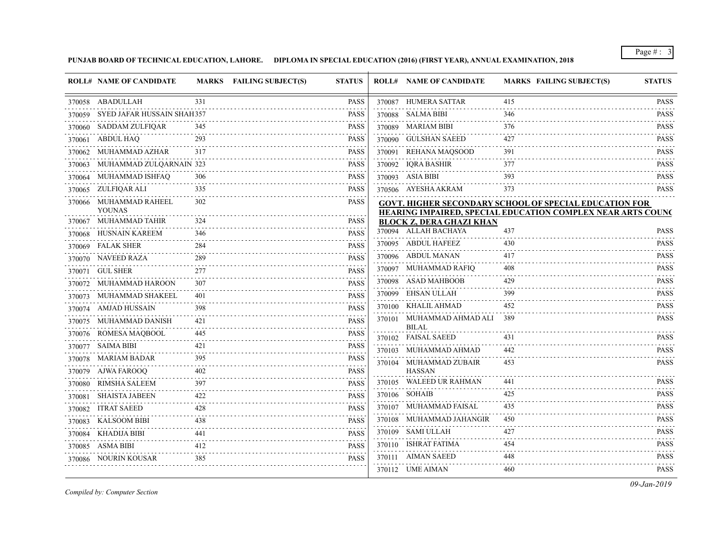**PUNJAB BOARD OF TECHNICAL EDUCATION, LAHORE. DIPLOMA IN SPECIAL EDUCATION (2016) (FIRST YEAR), ANNUAL EXAMINATION, 2018**

|        | <b>ROLL# NAME OF CANDIDATE</b>    |                  | MARKS FAILING SUBJECT(S) | <b>STATUS</b> | <b>ROLL# NAME OF CANDIDATE</b>                          | <b>MARKS FAILING SUBJECT(S)</b>                                    | <b>STATUS</b>    |
|--------|-----------------------------------|------------------|--------------------------|---------------|---------------------------------------------------------|--------------------------------------------------------------------|------------------|
|        | 370058 ABADULLAH                  | 331              |                          | <b>PASS</b>   | 370087 HUMERA SATTAR                                    | 415                                                                | <b>PASS</b>      |
|        | 370059 SYED JAFAR HUSSAIN SHAH357 |                  |                          | <b>PASS</b>   | 370088 SALMA BIBI                                       | 346                                                                | <b>PASS</b>      |
|        | 370060 SADDAM ZULFIQAR            | 345              |                          | <b>PASS</b>   | 370089 MARIAM BIBI                                      | 376                                                                | .<br><b>PASS</b> |
|        | 370061 ABDUL HAQ                  | 293              |                          | <b>PASS</b>   | 370090 GULSHAN SAEED                                    | 427                                                                | <b>PASS</b>      |
|        | 370062 MUHAMMAD AZHAR             | 317              |                          | <b>PASS</b>   | 370091 REHANA MAQSOOD                                   | 391                                                                | <b>PASS</b>      |
|        | 370063 MUHAMMAD ZULQARNAIN 323    |                  |                          | <b>PASS</b>   | 370092 IQRA BASHIR                                      | 377                                                                | <b>PASS</b>      |
|        | 370064 MUHAMMAD ISHFAQ            | 306              |                          | <b>PASS</b>   | 370093 ASIA BIBI                                        | 393                                                                | .<br><b>PASS</b> |
|        | 370065 ZULFIQAR ALI               | 335              |                          | <b>PASS</b>   | 370506 AYESHA AKRAM                                     | 373                                                                | <b>PASS</b>      |
|        | 370066 MUHAMMAD RAHEEL            | 302              |                          | <b>PASS</b>   |                                                         | <b>GOVT. HIGHER SECONDARY SCHOOL OF SPECIAL EDUCATION FOR</b>      |                  |
|        | <b>YOUNAS</b>                     |                  |                          |               |                                                         | <b>HEARING IMPAIRED, SPECIAL EDUCATION COMPLEX NEAR ARTS COUNC</b> |                  |
|        | 370067 MUHAMMAD TAHIR             | 324              |                          | <b>PASS</b>   | <b>BLOCK Z, DERA GHAZI KHAN</b><br>370094 ALLAH BACHAYA | 437                                                                | <b>PASS</b>      |
|        | 370068 HUSNAIN KAREEM             | 346              |                          | <b>PASS</b>   | 370095 ABDUL HAFEEZ                                     | 430                                                                | <b>PASS</b>      |
|        | 370069 FALAK SHER                 | 284              |                          | <b>PASS</b>   | 370096 ABDUL MANAN                                      | 417                                                                | <b>PASS</b>      |
|        | 370070 NAVEED RAZA                | 289<br>2.2.2.2.2 |                          | <b>PASS</b>   | 370097 MUHAMMAD RAFIQ                                   | 408                                                                | <b>PASS</b>      |
|        | 370071 GUL SHER                   | 277              |                          | <b>PASS</b>   | 370098 ASAD MAHBOOB                                     | 429                                                                | <b>PASS</b>      |
|        | 370072 MUHAMMAD HAROON            | 307              |                          | <b>PASS</b>   | 370099 EHSAN ULLAH                                      | 399                                                                | <b>PASS</b>      |
|        | 370073 MUHAMMAD SHAKEEL           | 401              |                          | <b>PASS</b>   | 370100 KHALIL AHMAD                                     | 452                                                                | .<br><b>PASS</b> |
|        | 370074 AMJAD HUSSAIN              | 398              |                          | <b>PASS</b>   | 370101 MUHAMMAD AHMAD ALI 389                           |                                                                    | .<br><b>PASS</b> |
|        | 370075 MUHAMMAD DANISH            | 421              |                          | <b>PASS</b>   | <b>BILAL</b>                                            |                                                                    |                  |
|        | 370076 ROMESA MAQBOOL             | 445              |                          | <b>PASS</b>   | 370102 FAISAL SAEED                                     | 431                                                                | <b>PASS</b>      |
|        | 370077 SAIMA BIBI                 | 421              |                          | <b>PASS</b>   | 370103 MUHAMMAD AHMAD                                   | 442                                                                | <b>PASS</b>      |
|        | 370078 MARIAM BADAR               | 395              |                          | <b>PASS</b>   | 370104 MUHAMMAD ZUBAIR                                  | 453                                                                | <b>PASS</b>      |
|        | 370079 AJWA FAROOQ                | 402              |                          | <b>PASS</b>   | <b>HASSAN</b><br>370105 WALEED UR RAHMAN                | 441                                                                | <b>PASS</b>      |
|        | 370080 RIMSHA SALEEM              |                  |                          | <b>PASS</b>   |                                                         | 425                                                                | .<br><b>PASS</b> |
| 370081 | SHAISTA JABEEN                    | 422              |                          | <b>PASS</b>   | 370106 SOHAIB                                           |                                                                    |                  |
| 370082 | <b>ITRAT SAEED</b>                | 428              |                          | <b>PASS</b>   | 370107 MUHAMMAD FAISAL                                  | 435                                                                | <b>PASS</b><br>. |
|        | 370083 KALSOOM BIBI               | 438              |                          | <b>PASS</b>   | 370108 MUHAMMAD JAHANGIR                                | 450                                                                | <b>PASS</b>      |
|        | 370084 KHADIJA BIBI               | 441              |                          | <b>PASS</b>   | 370109 SAMI ULLAH                                       | 427                                                                | <b>PASS</b>      |
|        | 370085 ASMA BIBI<br>.             | 412              |                          | <b>PASS</b>   | 370110 ISHRAT FATIMA                                    | 454                                                                | <b>PASS</b>      |
|        | 370086 NOURIN KOUSAR              | 385              |                          | <b>PASS</b>   | 370111 AIMAN SAEED                                      | 448                                                                | <b>PASS</b>      |
|        |                                   |                  |                          |               | 370112 UME AIMAN                                        | 460                                                                | <b>PASS</b>      |

*Compiled by: Computer Section*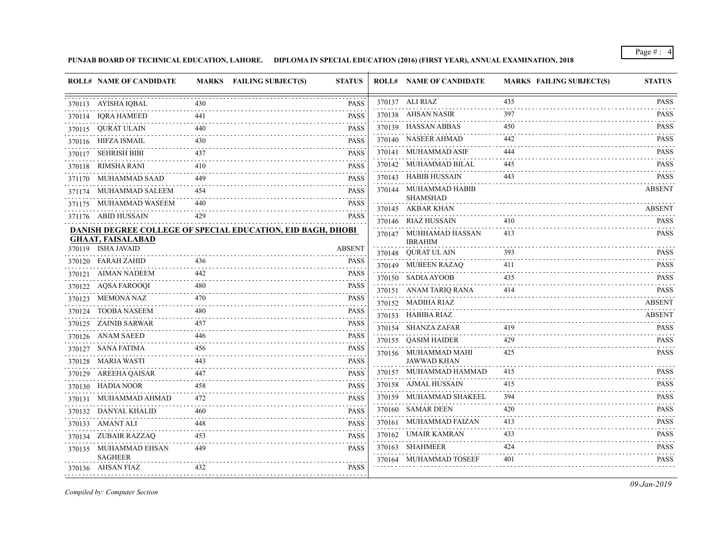**PUNJAB BOARD OF TECHNICAL EDUCATION, LAHORE. DIPLOMA IN SPECIAL EDUCATION (2016) (FIRST YEAR), ANNUAL EXAMINATION, 2018**

|        | <b>ROLL# NAME OF CANDIDATE</b>          |     | MARKS FAILING SUBJECT(S)<br><b>STATUS</b>                          | <b>ROLL# NAME OF CANDIDATE</b>           | <b>MARKS FAILING SUBJECT(S)</b> | <b>STATUS</b>                                                       |
|--------|-----------------------------------------|-----|--------------------------------------------------------------------|------------------------------------------|---------------------------------|---------------------------------------------------------------------|
|        | 370113 AYISHA IQBAL                     | 430 | <b>PASS</b>                                                        | 370137 ALI RIAZ                          | 435                             | <b>PASS</b>                                                         |
|        | 370114 IQRA HAMEED                      | 441 | <b>PASS</b>                                                        | 370138 AHSAN NASIR                       | 397                             | <b>PASS</b>                                                         |
| 370115 | OURAT ULAIN                             | 440 | <b>PASS</b>                                                        | 370139 HASSAN ABBAS                      | 450                             | <b>PASS</b><br>.                                                    |
|        | 370116 HIFZA ISMAIL                     | 430 | <b>PASS</b>                                                        | 370140 NASEER AHMAD                      | 442                             | <b>PASS</b><br>$\alpha$ , $\alpha$ , $\alpha$ , $\alpha$ , $\alpha$ |
|        | 370117 SEHRISH BIBI                     | 437 | <b>PASS</b>                                                        | 370141 MUHAMMAD ASIF                     | 444                             | <b>PASS</b>                                                         |
|        | 370118 RIMSHA RANI                      | 410 | <b>PASS</b>                                                        | 370142 MUHAMMAD BILAL                    | 445                             | <b>PASS</b>                                                         |
|        | 371170 MUHAMMAD SAAD                    | 449 | <b>PASS</b>                                                        | 370143 HABIB HUSSAIN                     | 443                             | <b>PASS</b>                                                         |
|        | 371174 MUHAMMAD SALEEM                  | 454 | <b>PASS</b>                                                        | 370144 MUHAMMAD HABIB<br><b>SHAMSHAD</b> |                                 | <b>ABSENT</b>                                                       |
|        | 371175 MUHAMMAD WASEEM                  | 440 | <b>PASS</b>                                                        | 370145 AKBAR KHAN                        |                                 | <b>ABSENT</b>                                                       |
|        | 371176 ABID HUSSAIN                     | 429 | <b>PASS</b>                                                        | 370146 RIAZ HUSSAIN                      | 410                             | <b>PASS</b>                                                         |
|        | <b>GHAAT, FAISALABAD</b>                |     | <b>DANISH DEGREE COLLEGE OF SPECIAL EDUCATION, EID BAGH, DHOBI</b> | 370147 MUHHAMAD HASSAN<br><b>IBRAHIM</b> | 413                             | <b>PASS</b>                                                         |
|        | 370119 ISHA JAVAID                      |     | <b>ABSENT</b>                                                      | 370148 QURAT UL AIN                      | 393                             | <b>PASS</b>                                                         |
|        | 370120 FARAH ZAHID                      | 436 | PASS                                                               | 370149 MUBEEN RAZAQ                      | 411                             | .<br><b>PASS</b>                                                    |
|        | 370121 AIMAN NADEEM                     | 442 | PASS                                                               | 370150 SADIA AYOOB                       | 435                             | $\omega$ is a set of $\omega$<br><b>PASS</b>                        |
|        | 370122 AQSA FAROOQI                     | 480 | <b>PASS</b>                                                        | 370151 ANAM TARIO RANA                   | 414                             | <b>PASS</b>                                                         |
|        | 370123 MEMONA NAZ                       | 470 | <b>PASS</b>                                                        | 370152 MADIHA RIAZ                       |                                 | <b>ABSENT</b>                                                       |
|        | 370124 TOOBA NASEEM                     | 480 | <b>PASS</b>                                                        | 370153 HABIBA RIAZ                       |                                 | <b>ABSENT</b>                                                       |
| 370125 | ZAINIB SARWAR                           | 457 | <b>PASS</b>                                                        | 370154 SHANZA ZAFAR                      | 419                             | <b>PASS</b>                                                         |
|        | 370126 ANAM SAEED                       | 446 | <b>PASS</b>                                                        | 370155 QASIM HAIDER                      | 429                             | <b>PASS</b>                                                         |
|        | 370127 SANA FATIMA                      | 456 | <b>PASS</b>                                                        | 370156 MUHAMMAD MAHI                     | 425                             | <b>PASS</b>                                                         |
|        | 370128 MARIA WASTI                      | 443 | <b>PASS</b>                                                        | <b>JAWWAD KHAN</b>                       |                                 |                                                                     |
|        | 370129 AREEHA QAISAR                    |     | PASS                                                               | 370157 MUHAMMAD HAMMAD                   | 415                             | <b>PASS</b><br>.                                                    |
|        | 370130 HADIA NOOR                       | 458 | <b>PASS</b>                                                        | 370158 AJMAL HUSSAIN                     | 415                             | <b>PASS</b>                                                         |
|        | 370131 MUHAMMAD AHMAD                   | 472 | <b>PASS</b>                                                        | 370159 MUHAMMAD SHAKEEL                  | 394                             | <b>PASS</b>                                                         |
|        | 370132 DANYAL KHALID                    | 460 | <b>PASS</b>                                                        | 370160 SAMAR DEEN                        | 420                             | <b>PASS</b>                                                         |
|        | 370133 AMANT ALI                        | 448 | <b>PASS</b>                                                        | 370161 MUHAMMAD FAIZAN                   | 413                             | <b>PASS</b>                                                         |
|        | 370134 ZUBAIR RAZZAQ                    | 453 | <b>PASS</b>                                                        | 370162 UMAIR KAMRAN                      | 433                             | <b>PASS</b>                                                         |
|        | 370135 MUHAMMAD EHSAN<br><b>SAGHEER</b> | 449 | <b>PASS</b>                                                        | 370163 SHAHMEER                          | 424                             | <b>PASS</b>                                                         |
|        | 370136 AHSAN FIAZ                       | 432 | PASS                                                               | 370164 MUHAMMAD TOSEEF                   | 401                             | <b>PASS</b>                                                         |
|        |                                         |     |                                                                    |                                          |                                 |                                                                     |

*Compiled by: Computer Section*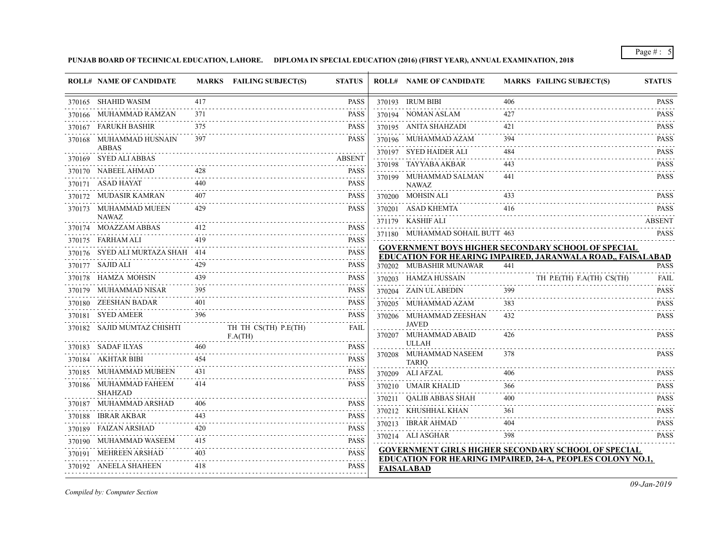**PUNJAB BOARD OF TECHNICAL EDUCATION, LAHORE. DIPLOMA IN SPECIAL EDUCATION (2016) (FIRST YEAR), ANNUAL EXAMINATION, 2018**

| 370165 SHAHID WASIM<br>417<br><b>PASS</b><br>370193 IRUM BIBI<br>406<br>370166 MUHAMMAD RAMZAN<br><b>PASS</b><br>371<br>370194 NOMAN ASLAM<br>427<br>370167 FARUKH BASHIR<br><b>PASS</b><br>370195 ANITA SHAHZADI<br>375<br>421<br>370168 MUHAMMAD HUSNAIN<br>397<br>370196 MUHAMMAD AZAM<br>394<br><b>PASS</b><br>ABBAS<br>370197 SYED HAIDER ALI<br>484<br>370169 SYED ALI ABBAS<br><b>ABSENT</b><br>370198 TAYYABA AKBAR<br>428<br>370170 NABEEL AHMAD<br><b>PASS</b><br>370199 MUHAMMAD SALMAN<br>441<br>440<br>370171 ASAD HAYAT<br><b>PASS</b><br><b>NAWAZ</b><br>370200 MOHSIN ALI<br>370172 MUDASIR KAMRAN<br><b>PASS</b><br>429<br><b>PASS</b><br>370201 ASAD KHEMTA<br>370173 MUHAMMAD MUEEN<br>416<br><b>NAWAZ</b><br>371179 KASHIF ALI<br>370174 MOAZZAM ABBAS<br>412<br><b>PASS</b><br>371180 MUHAMMAD SOHAIL BUTT 463<br>419<br><b>PASS</b><br>370175 FARHAM ALI<br>419 PASS<br><b>GOVERNMENT BOYS HIGHER SECONDARY SCHOOL OF SPECIAL</b><br>370176 SYED ALI MURTAZA SHAH 414<br><b>PASS</b><br>EDUCATION FOR HEARING IMPAIRED, JARANWALA ROAD,, FAISALABAD<br>.<br>429<br><b>PASS</b><br>370177 SAJID ALI<br>370202 MUBASHIR MUNAWAR<br>441<br>439<br>TH P.E(TH) F.A(TH) CS(TH)<br>370178 HAMZA MOHSIN<br><b>PASS</b><br>370203 HAMZA HUSSAIN<br>395<br>370179 MUHAMMAD NISAR<br>399<br><b>PASS</b><br>370204 ZAIN UL ABEDIN<br>- - - - -<br>370180 ZEESHAN BADAR<br>401<br><b>PASS</b><br>383<br>370205 MUHAMMAD AZAM<br>370181 SYED AMEER<br><b>PASS</b><br>396<br>370206 MUHAMMAD ZEESHAN<br>432<br><b>JAVED</b><br>370182 SAJID MUMTAZ CHISHTI<br>TH TH CS(TH) P.E(TH)<br><b>FAIL</b><br>370207 MUHAMMAD ABAID<br>426<br>F.A(TH)<br><b>ULLAH</b><br>460<br><b>PASS</b><br>370183 SADAF ILYAS<br>370208 MUHAMMAD NASEEM<br>378<br>454<br><b>PASS</b><br>370184 AKHTAR BIBI<br><b>TARIO</b><br>الداعات عامان<br>370185 MUHAMMAD MUBEEN<br><b>PASS</b><br>431<br>370209 ALI AFZAL<br>406<br>$\frac{1}{2} \left( \frac{1}{2} \right) \left( \frac{1}{2} \right) \left( \frac{1}{2} \right) \left( \frac{1}{2} \right) \left( \frac{1}{2} \right) \left( \frac{1}{2} \right)$<br>370186 MUHAMMAD FAHEEM<br>414<br><b>PASS</b><br>370210 UMAIR KHALID<br>366<br><b>SHAHZAD</b><br>370211 OALIB ABBAS SHAH<br>400<br>370187 MUHAMMAD ARSHAD<br><b>PASS</b><br>406<br>370212 KHUSHHAL KHAN<br>361<br>$-2 - 2 - 2 - 2$<br>370188 IBRAR AKBAR<br>443<br><b>PASS</b><br>370213 IBRAR AHMAD<br>404<br>420<br><b>PASS</b><br>370189 FAIZAN ARSHAD<br>370214 ALI ASGHAR<br>398<br>.<br>415<br><b>PASS</b><br>370190 MUHAMMAD WASEEM<br>GOVERNMENT GIRLS HIGHER SECONDARY SCHOOL OF SPECIAL | <b>ROLL# NAME OF CANDIDATE</b> |     | MARKS FAILING SUBJECT(S) | <b>STATUS</b> | <b>ROLL# NAME OF CANDIDATE</b> | <b>MARKS FAILING SUBJECT(S)</b> | <b>STATUS</b>    |
|-------------------------------------------------------------------------------------------------------------------------------------------------------------------------------------------------------------------------------------------------------------------------------------------------------------------------------------------------------------------------------------------------------------------------------------------------------------------------------------------------------------------------------------------------------------------------------------------------------------------------------------------------------------------------------------------------------------------------------------------------------------------------------------------------------------------------------------------------------------------------------------------------------------------------------------------------------------------------------------------------------------------------------------------------------------------------------------------------------------------------------------------------------------------------------------------------------------------------------------------------------------------------------------------------------------------------------------------------------------------------------------------------------------------------------------------------------------------------------------------------------------------------------------------------------------------------------------------------------------------------------------------------------------------------------------------------------------------------------------------------------------------------------------------------------------------------------------------------------------------------------------------------------------------------------------------------------------------------------------------------------------------------------------------------------------------------------------------------------------------------------------------------------------------------------------------------------------------------------------------------------------------------------------------------------------------------------------------------------------------------------------------------------------------------------------------------------------------------------------------------------------------------------------------------------------------------------------------------|--------------------------------|-----|--------------------------|---------------|--------------------------------|---------------------------------|------------------|
|                                                                                                                                                                                                                                                                                                                                                                                                                                                                                                                                                                                                                                                                                                                                                                                                                                                                                                                                                                                                                                                                                                                                                                                                                                                                                                                                                                                                                                                                                                                                                                                                                                                                                                                                                                                                                                                                                                                                                                                                                                                                                                                                                                                                                                                                                                                                                                                                                                                                                                                                                                                                 |                                |     |                          |               |                                |                                 | <b>PASS</b>      |
|                                                                                                                                                                                                                                                                                                                                                                                                                                                                                                                                                                                                                                                                                                                                                                                                                                                                                                                                                                                                                                                                                                                                                                                                                                                                                                                                                                                                                                                                                                                                                                                                                                                                                                                                                                                                                                                                                                                                                                                                                                                                                                                                                                                                                                                                                                                                                                                                                                                                                                                                                                                                 |                                |     |                          |               |                                |                                 | <b>PASS</b>      |
|                                                                                                                                                                                                                                                                                                                                                                                                                                                                                                                                                                                                                                                                                                                                                                                                                                                                                                                                                                                                                                                                                                                                                                                                                                                                                                                                                                                                                                                                                                                                                                                                                                                                                                                                                                                                                                                                                                                                                                                                                                                                                                                                                                                                                                                                                                                                                                                                                                                                                                                                                                                                 |                                |     |                          |               |                                |                                 | <b>PASS</b><br>. |
|                                                                                                                                                                                                                                                                                                                                                                                                                                                                                                                                                                                                                                                                                                                                                                                                                                                                                                                                                                                                                                                                                                                                                                                                                                                                                                                                                                                                                                                                                                                                                                                                                                                                                                                                                                                                                                                                                                                                                                                                                                                                                                                                                                                                                                                                                                                                                                                                                                                                                                                                                                                                 |                                |     |                          |               |                                |                                 | <b>PASS</b>      |
|                                                                                                                                                                                                                                                                                                                                                                                                                                                                                                                                                                                                                                                                                                                                                                                                                                                                                                                                                                                                                                                                                                                                                                                                                                                                                                                                                                                                                                                                                                                                                                                                                                                                                                                                                                                                                                                                                                                                                                                                                                                                                                                                                                                                                                                                                                                                                                                                                                                                                                                                                                                                 |                                |     |                          |               |                                |                                 | <b>PASS</b>      |
|                                                                                                                                                                                                                                                                                                                                                                                                                                                                                                                                                                                                                                                                                                                                                                                                                                                                                                                                                                                                                                                                                                                                                                                                                                                                                                                                                                                                                                                                                                                                                                                                                                                                                                                                                                                                                                                                                                                                                                                                                                                                                                                                                                                                                                                                                                                                                                                                                                                                                                                                                                                                 |                                |     |                          |               |                                |                                 | <b>PASS</b>      |
|                                                                                                                                                                                                                                                                                                                                                                                                                                                                                                                                                                                                                                                                                                                                                                                                                                                                                                                                                                                                                                                                                                                                                                                                                                                                                                                                                                                                                                                                                                                                                                                                                                                                                                                                                                                                                                                                                                                                                                                                                                                                                                                                                                                                                                                                                                                                                                                                                                                                                                                                                                                                 |                                |     |                          |               |                                |                                 | <b>PASS</b>      |
|                                                                                                                                                                                                                                                                                                                                                                                                                                                                                                                                                                                                                                                                                                                                                                                                                                                                                                                                                                                                                                                                                                                                                                                                                                                                                                                                                                                                                                                                                                                                                                                                                                                                                                                                                                                                                                                                                                                                                                                                                                                                                                                                                                                                                                                                                                                                                                                                                                                                                                                                                                                                 |                                |     |                          |               |                                |                                 | <b>PASS</b>      |
|                                                                                                                                                                                                                                                                                                                                                                                                                                                                                                                                                                                                                                                                                                                                                                                                                                                                                                                                                                                                                                                                                                                                                                                                                                                                                                                                                                                                                                                                                                                                                                                                                                                                                                                                                                                                                                                                                                                                                                                                                                                                                                                                                                                                                                                                                                                                                                                                                                                                                                                                                                                                 |                                |     |                          |               |                                |                                 | <b>PASS</b>      |
|                                                                                                                                                                                                                                                                                                                                                                                                                                                                                                                                                                                                                                                                                                                                                                                                                                                                                                                                                                                                                                                                                                                                                                                                                                                                                                                                                                                                                                                                                                                                                                                                                                                                                                                                                                                                                                                                                                                                                                                                                                                                                                                                                                                                                                                                                                                                                                                                                                                                                                                                                                                                 |                                |     |                          |               |                                |                                 | ABSENT           |
|                                                                                                                                                                                                                                                                                                                                                                                                                                                                                                                                                                                                                                                                                                                                                                                                                                                                                                                                                                                                                                                                                                                                                                                                                                                                                                                                                                                                                                                                                                                                                                                                                                                                                                                                                                                                                                                                                                                                                                                                                                                                                                                                                                                                                                                                                                                                                                                                                                                                                                                                                                                                 |                                |     |                          |               |                                |                                 | <b>PASS</b>      |
|                                                                                                                                                                                                                                                                                                                                                                                                                                                                                                                                                                                                                                                                                                                                                                                                                                                                                                                                                                                                                                                                                                                                                                                                                                                                                                                                                                                                                                                                                                                                                                                                                                                                                                                                                                                                                                                                                                                                                                                                                                                                                                                                                                                                                                                                                                                                                                                                                                                                                                                                                                                                 |                                |     |                          |               |                                |                                 |                  |
|                                                                                                                                                                                                                                                                                                                                                                                                                                                                                                                                                                                                                                                                                                                                                                                                                                                                                                                                                                                                                                                                                                                                                                                                                                                                                                                                                                                                                                                                                                                                                                                                                                                                                                                                                                                                                                                                                                                                                                                                                                                                                                                                                                                                                                                                                                                                                                                                                                                                                                                                                                                                 |                                |     |                          |               |                                |                                 | <b>PASS</b>      |
|                                                                                                                                                                                                                                                                                                                                                                                                                                                                                                                                                                                                                                                                                                                                                                                                                                                                                                                                                                                                                                                                                                                                                                                                                                                                                                                                                                                                                                                                                                                                                                                                                                                                                                                                                                                                                                                                                                                                                                                                                                                                                                                                                                                                                                                                                                                                                                                                                                                                                                                                                                                                 |                                |     |                          |               |                                |                                 | FAIL             |
|                                                                                                                                                                                                                                                                                                                                                                                                                                                                                                                                                                                                                                                                                                                                                                                                                                                                                                                                                                                                                                                                                                                                                                                                                                                                                                                                                                                                                                                                                                                                                                                                                                                                                                                                                                                                                                                                                                                                                                                                                                                                                                                                                                                                                                                                                                                                                                                                                                                                                                                                                                                                 |                                |     |                          |               |                                |                                 | <b>PASS</b>      |
|                                                                                                                                                                                                                                                                                                                                                                                                                                                                                                                                                                                                                                                                                                                                                                                                                                                                                                                                                                                                                                                                                                                                                                                                                                                                                                                                                                                                                                                                                                                                                                                                                                                                                                                                                                                                                                                                                                                                                                                                                                                                                                                                                                                                                                                                                                                                                                                                                                                                                                                                                                                                 |                                |     |                          |               |                                |                                 | <b>PASS</b>      |
|                                                                                                                                                                                                                                                                                                                                                                                                                                                                                                                                                                                                                                                                                                                                                                                                                                                                                                                                                                                                                                                                                                                                                                                                                                                                                                                                                                                                                                                                                                                                                                                                                                                                                                                                                                                                                                                                                                                                                                                                                                                                                                                                                                                                                                                                                                                                                                                                                                                                                                                                                                                                 |                                |     |                          |               |                                |                                 | <b>PASS</b>      |
|                                                                                                                                                                                                                                                                                                                                                                                                                                                                                                                                                                                                                                                                                                                                                                                                                                                                                                                                                                                                                                                                                                                                                                                                                                                                                                                                                                                                                                                                                                                                                                                                                                                                                                                                                                                                                                                                                                                                                                                                                                                                                                                                                                                                                                                                                                                                                                                                                                                                                                                                                                                                 |                                |     |                          |               |                                |                                 | <b>PASS</b>      |
|                                                                                                                                                                                                                                                                                                                                                                                                                                                                                                                                                                                                                                                                                                                                                                                                                                                                                                                                                                                                                                                                                                                                                                                                                                                                                                                                                                                                                                                                                                                                                                                                                                                                                                                                                                                                                                                                                                                                                                                                                                                                                                                                                                                                                                                                                                                                                                                                                                                                                                                                                                                                 |                                |     |                          |               |                                |                                 |                  |
|                                                                                                                                                                                                                                                                                                                                                                                                                                                                                                                                                                                                                                                                                                                                                                                                                                                                                                                                                                                                                                                                                                                                                                                                                                                                                                                                                                                                                                                                                                                                                                                                                                                                                                                                                                                                                                                                                                                                                                                                                                                                                                                                                                                                                                                                                                                                                                                                                                                                                                                                                                                                 |                                |     |                          |               |                                |                                 | <b>PASS</b>      |
|                                                                                                                                                                                                                                                                                                                                                                                                                                                                                                                                                                                                                                                                                                                                                                                                                                                                                                                                                                                                                                                                                                                                                                                                                                                                                                                                                                                                                                                                                                                                                                                                                                                                                                                                                                                                                                                                                                                                                                                                                                                                                                                                                                                                                                                                                                                                                                                                                                                                                                                                                                                                 |                                |     |                          |               |                                |                                 | <b>PASS</b>      |
|                                                                                                                                                                                                                                                                                                                                                                                                                                                                                                                                                                                                                                                                                                                                                                                                                                                                                                                                                                                                                                                                                                                                                                                                                                                                                                                                                                                                                                                                                                                                                                                                                                                                                                                                                                                                                                                                                                                                                                                                                                                                                                                                                                                                                                                                                                                                                                                                                                                                                                                                                                                                 |                                |     |                          |               |                                |                                 | <b>PASS</b>      |
|                                                                                                                                                                                                                                                                                                                                                                                                                                                                                                                                                                                                                                                                                                                                                                                                                                                                                                                                                                                                                                                                                                                                                                                                                                                                                                                                                                                                                                                                                                                                                                                                                                                                                                                                                                                                                                                                                                                                                                                                                                                                                                                                                                                                                                                                                                                                                                                                                                                                                                                                                                                                 |                                |     |                          |               |                                |                                 | <b>PASS</b>      |
|                                                                                                                                                                                                                                                                                                                                                                                                                                                                                                                                                                                                                                                                                                                                                                                                                                                                                                                                                                                                                                                                                                                                                                                                                                                                                                                                                                                                                                                                                                                                                                                                                                                                                                                                                                                                                                                                                                                                                                                                                                                                                                                                                                                                                                                                                                                                                                                                                                                                                                                                                                                                 |                                |     |                          |               |                                |                                 | <b>PASS</b>      |
|                                                                                                                                                                                                                                                                                                                                                                                                                                                                                                                                                                                                                                                                                                                                                                                                                                                                                                                                                                                                                                                                                                                                                                                                                                                                                                                                                                                                                                                                                                                                                                                                                                                                                                                                                                                                                                                                                                                                                                                                                                                                                                                                                                                                                                                                                                                                                                                                                                                                                                                                                                                                 |                                |     |                          |               |                                |                                 | <b>PASS</b>      |
|                                                                                                                                                                                                                                                                                                                                                                                                                                                                                                                                                                                                                                                                                                                                                                                                                                                                                                                                                                                                                                                                                                                                                                                                                                                                                                                                                                                                                                                                                                                                                                                                                                                                                                                                                                                                                                                                                                                                                                                                                                                                                                                                                                                                                                                                                                                                                                                                                                                                                                                                                                                                 |                                |     |                          |               |                                |                                 | <b>PASS</b>      |
|                                                                                                                                                                                                                                                                                                                                                                                                                                                                                                                                                                                                                                                                                                                                                                                                                                                                                                                                                                                                                                                                                                                                                                                                                                                                                                                                                                                                                                                                                                                                                                                                                                                                                                                                                                                                                                                                                                                                                                                                                                                                                                                                                                                                                                                                                                                                                                                                                                                                                                                                                                                                 | 370191 MEHREEN ARSHAD          | 403 |                          | <b>PASS</b>   |                                |                                 |                  |
| EDUCATION FOR HEARING IMPAIRED, 24-A, PEOPLES COLONY NO.1,<br>.<br>370192 ANEELA SHAHEEN<br>418<br><b>PASS</b><br><b>FAISALABAD</b>                                                                                                                                                                                                                                                                                                                                                                                                                                                                                                                                                                                                                                                                                                                                                                                                                                                                                                                                                                                                                                                                                                                                                                                                                                                                                                                                                                                                                                                                                                                                                                                                                                                                                                                                                                                                                                                                                                                                                                                                                                                                                                                                                                                                                                                                                                                                                                                                                                                             |                                |     |                          |               |                                |                                 |                  |

*Compiled by: Computer Section*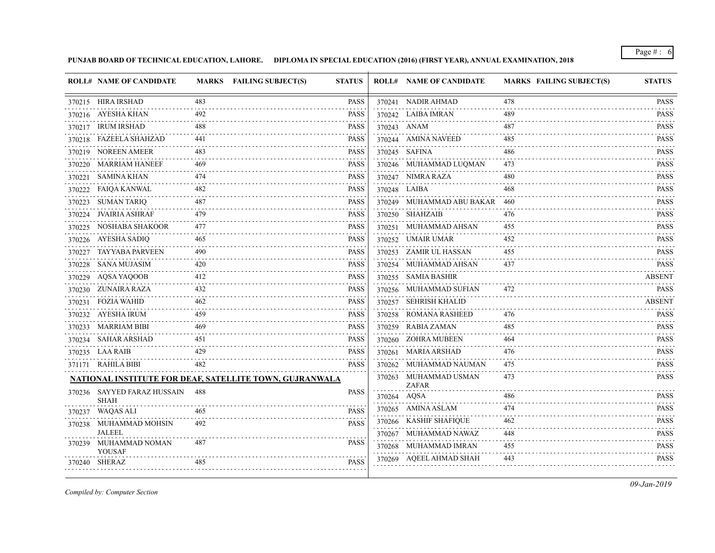**PUNJAB BOARD OF TECHNICAL EDUCATION, LAHORE. DIPLOMA IN SPECIAL EDUCATION (2016) (FIRST YEAR), ANNUAL EXAMINATION, 2018**

|        | <b>ROLL# NAME OF CANDIDATE</b>             |     | MARKS FAILING SUBJECT(S)                                | <b>STATUS</b> |             | <b>ROLL# NAME OF CANDIDATE</b>        | <b>MARKS FAILING SUBJECT(S)</b> | <b>STATUS</b>                  |
|--------|--------------------------------------------|-----|---------------------------------------------------------|---------------|-------------|---------------------------------------|---------------------------------|--------------------------------|
|        | 370215 HIRA IRSHAD                         | 483 |                                                         | <b>PASS</b>   |             | 370241 NADIR AHMAD                    | 478                             | <b>PASS</b>                    |
|        | 370216 AYESHA KHAN                         | 492 |                                                         | <b>PASS</b>   |             | 370242 LAIBA IMRAN                    | 489                             | <b>PASS</b>                    |
|        | 370217 IRUM IRSHAD                         | 488 |                                                         | <b>PASS</b>   |             | 370243 ANAM                           | 487                             | <b>PASS</b><br>2.2.2.2.2.3     |
| 370218 | <b>FAZEELA SHAHZAD</b>                     | 441 |                                                         | <b>PASS</b>   |             | 370244 AMINA NAVEED                   | 485                             | <b>PASS</b>                    |
|        | 370219 NOREEN AMEER                        | 483 |                                                         | <b>PASS</b>   |             | 370245 SAFINA                         | 486                             | <b>PASS</b>                    |
|        | 370220 MARRIAM HANEEF                      | 469 |                                                         | <b>PASS</b>   |             | 370246 MUHAMMAD LUQMAN                | 473                             | <b>PASS</b>                    |
|        | 370221 SAMINA KHAN                         | 474 |                                                         | <b>PASS</b>   |             | 370247 NIMRA RAZA                     | 480                             | <b>PASS</b><br>.               |
|        | 370222 FAIQA KANWAL                        | 482 |                                                         | <b>PASS</b>   |             | 370248 LAIBA                          | 468                             | <b>PASS</b><br>$- - - - - -$   |
|        | 370223 SUMAN TARIQ                         | 487 |                                                         | <b>PASS</b>   |             | 370249 MUHAMMAD ABU BAKAR             | -460                            | <b>PASS</b><br>.               |
|        | 370224 JVAIRIA ASHRAF                      | 479 |                                                         | <b>PASS</b>   |             | 370250 SHAHZAIB                       | 476                             | <b>PASS</b>                    |
|        | 370225 NOSHABA SHAKOOR                     | 477 |                                                         | <b>PASS</b>   |             | 370251 MUHAMMAD AHSAN                 | 455                             | <b>PASS</b><br>.               |
|        | 370226 AYESHA SADIQ                        | 465 |                                                         | <b>PASS</b>   |             | 370252 UMAIR UMAR                     | 452                             | <b>PASS</b>                    |
|        | 370227 TAYYABA PARVEEN                     | 490 |                                                         | <b>PASS</b>   |             | 370253 ZAMIR UL HASSAN                | 455                             | <b>PASS</b>                    |
|        | 370228 SANA MUJASIM                        | 420 |                                                         | <b>PASS</b>   |             | 370254 MUHAMMAD AHSAN                 | 437                             | <b>PASS</b><br>.               |
| 370229 | AOSA YAOOOB                                | 412 |                                                         | <b>PASS</b>   |             | 370255 SAMIA BASHIR                   |                                 | <b>ABSENT</b>                  |
|        | 370230 ZUNAIRA RAZA                        | 432 |                                                         | <b>PASS</b>   |             | 370256 MUHAMMAD SUFIAN                | 472                             | <b>PASS</b><br>.               |
| 370231 | FOZIA WAHID                                | 462 |                                                         | <b>PASS</b>   |             | 370257 SEHRISH KHALID                 |                                 | <b>ABSENT</b>                  |
|        | 370232 AYESHA IRUM                         | 459 |                                                         | <b>PASS</b>   |             | 370258 ROMANA RASHEED                 | 476                             | <b>PASS</b>                    |
|        | 370233 MARRIAM BIBI                        | 469 |                                                         | <b>PASS</b>   |             | 370259 RABIA ZAMAN                    | 485                             | <b>PASS</b><br>2.2.2.2.2.1     |
|        | 370234 SAHAR ARSHAD                        | 451 |                                                         | <b>PASS</b>   |             | 370260 ZOHRA MUBEEN                   | 464                             | <b>PASS</b><br>.               |
|        | 370235 LAA RAIB                            | 429 |                                                         | PASS          |             | 370261 MARIA ARSHAD                   | 476                             | <b>PASS</b>                    |
|        | 371171 RAHILA BIBI                         | 482 |                                                         | <b>PASS</b>   |             | 370262 MUHAMMAD NAUMAN                | 475                             | <b>PASS</b><br>.               |
|        |                                            |     | NATIONAL INSTITUTE FOR DEAF, SATELLITE TOWN, GUJRANWALA |               |             | 370263 MUHAMMAD USMAN<br><b>ZAFAR</b> | 473                             | <b>PASS</b>                    |
|        | 370236 SAYYED FARAZ HUSSAIN<br><b>SHAH</b> | 488 |                                                         | <b>PASS</b>   | 370264 AQSA |                                       | 486                             | <b>PASS</b><br>.               |
|        | 370237 WAQAS ALI                           | 465 |                                                         | <b>PASS</b>   |             | 370265 AMINA ASLAM                    | 474                             | <b>PASS</b>                    |
|        | 370238 MUHAMMAD MOHSIN                     | 492 |                                                         | <b>PASS</b>   |             | 370266 KASHIF SHAFIQUE                | 462                             | <b>PASS</b><br>$- - - - - - -$ |
|        | <b>JALEEL</b>                              |     |                                                         |               |             | 370267 MUHAMMAD NAWAZ                 | 448                             | <b>PASS</b>                    |
|        | 370239 MUHAMMAD NOMAN<br><b>YOUSAF</b>     | 487 |                                                         | <b>PASS</b>   |             | 370268 MUHAMMAD IMRAN                 | 455                             | <b>PASS</b><br>.               |
|        | 370240 SHERAZ                              | 485 |                                                         | <b>PASS</b>   |             | 370269 AQEEL AHMAD SHAH               | 443                             | <b>PASS</b>                    |

*Compiled by: Computer Section*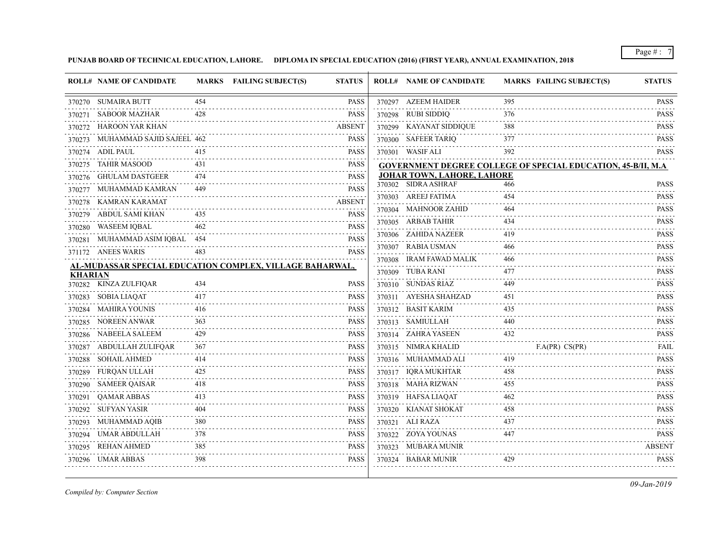**PUNJAB BOARD OF TECHNICAL EDUCATION, LAHORE. DIPLOMA IN SPECIAL EDUCATION (2016) (FIRST YEAR), ANNUAL EXAMINATION, 2018**

|                | <b>ROLL# NAME OF CANDIDATE</b> |     | MARKS FAILING SUBJECT(S)<br><b>STATUS</b>                | <b>ROLL# NAME OF CANDIDATE</b> | <b>MARKS FAILING SUBJECT(S)</b>                                      | <b>STATUS</b>                                            |
|----------------|--------------------------------|-----|----------------------------------------------------------|--------------------------------|----------------------------------------------------------------------|----------------------------------------------------------|
|                | 370270 SUMAIRA BUTT            | 454 | <b>PASS</b>                                              | 370297 AZEEM HAIDER            | 395                                                                  | <b>PASS</b>                                              |
|                | 370271 SABOOR MAZHAR           | 428 | <b>PASS</b>                                              | 370298 RUBI SIDDIQ             | 376                                                                  | <b>PASS</b>                                              |
|                | 370272 HAROON YAR KHAN         |     | <b>ABSENT</b>                                            | 370299 KAYANAT SIDDIQUE        | 388                                                                  | <b>PASS</b>                                              |
| 370273         | MUHAMMAD SAJID SAJEEL 462      |     | <b>PASS</b>                                              | 370300 SAFEER TARIQ            | 377                                                                  | <b>PASS</b>                                              |
|                | 370274 ADIL PAUL               | 415 | <b>PASS</b>                                              | 370301 WASIF ALI               | 392                                                                  | 2.2.2.2.2.3<br><b>PASS</b>                               |
|                | 370275 TAHIR MASOOD            | 431 | <b>PASS</b>                                              |                                | <b>GOVERNMENT DEGREE COLLEGE OF SPECIAL EDUCATION, 45-B/II, M.A.</b> |                                                          |
|                | 370276 GHULAM DASTGEER         | 474 | <b>PASS</b>                                              | JOHAR TOWN, LAHORE, LAHORE     |                                                                      |                                                          |
|                | 370277 MUHAMMAD KAMRAN         | 449 | <b>PASS</b><br><u>.</u>                                  | 370302 SIDRA ASHRAF            | 466                                                                  | <b>PASS</b>                                              |
|                | 370278 KAMRAN KARAMAT          |     | <b>ABSENT</b>                                            | 370303 AREEJ FATIMA            | 454                                                                  | <b>PASS</b>                                              |
| 370279         | ABDUL SAMI KHAN                | 435 | <b>PASS</b>                                              | 370304 MAHNOOR ZAHID           | 464                                                                  | <b>PASS</b><br>.                                         |
|                | 370280 WASEEM IQBAL            |     | <b>PASS</b>                                              | 370305 ARBAB TAHIR             | 434                                                                  | <b>PASS</b><br>.                                         |
|                | 370281 MUHAMMAD ASIM IQBAL 454 |     | <b>PASS</b>                                              | 370306 ZAHIDA NAZEER           | 419                                                                  | <b>PASS</b>                                              |
|                | 371172 ANEES WARIS             | 483 | <b>PASS</b>                                              | 370307 RABIA USMAN             | 466                                                                  | <b>PASS</b>                                              |
|                |                                |     | AL-MUDASSAR SPECIAL EDUCATION COMPLEX, VILLAGE BAHARWAL, | 370308 IRAM FAWAD MALIK        | 466                                                                  | <b>PASS</b>                                              |
| <b>KHARIAN</b> |                                |     |                                                          | 370309 TUBA RANI               | 477                                                                  | <b>PASS</b><br>.                                         |
|                | 370282 KINZA ZULFIQAR          | 434 | <b>PASS</b>                                              | 370310 SUNDAS RIAZ             | 449                                                                  | <b>PASS</b>                                              |
|                | 370283 SOBIA LIAQAT            | 417 | <b>PASS</b>                                              | 370311 AYESHA SHAHZAD          | 451                                                                  | <b>PASS</b>                                              |
|                | 370284 MAHIRA YOUNIS           | 416 | <b>PASS</b>                                              | 370312 BASIT KARIM             | 435                                                                  | <b>PASS</b><br>$\alpha$ , $\alpha$ , $\alpha$ , $\alpha$ |
| 370285         | NOREEN ANWAR                   | 363 | <b>PASS</b>                                              | 370313 SAMIULLAH               | 440                                                                  | <b>PASS</b><br>$\sim$ $\sim$ $\sim$ $\sim$ $\sim$ $\sim$ |
|                | 370286 NABEELA SALEEM          | 429 | <b>PASS</b>                                              | 370314 ZAHRA YASEEN            | 432                                                                  | <b>PASS</b>                                              |
|                | 370287 ABDULLAH ZULIFQAR       | 367 | <b>PASS</b>                                              | 370315 NIMRA KHALID            | F.A(PR) CS(PR)                                                       | <b>FAIL</b><br>.                                         |
| 370288         | SOHAIL AHMED                   | 414 | <b>PASS</b>                                              | 370316 MUHAMMAD ALI            | 419                                                                  | <b>PASS</b><br>.                                         |
| 370289         | FURQAN ULLAH                   | 425 | <b>PASS</b>                                              | 370317 IQRA MUKHTAR            | 458                                                                  | <b>PASS</b>                                              |
|                | 370290 SAMEER QAISAR           | 418 | <b>PASS</b>                                              | 370318 MAHA RIZWAN             | 455                                                                  | <b>PASS</b><br>.                                         |
| 370291         | <b>OAMAR ABBAS</b>             | 413 | <b>PASS</b>                                              | 370319 HAFSA LIAQAT            | 462                                                                  | <b>PASS</b>                                              |
| 370292         | SUFYAN YASIR                   | 404 | <b>PASS</b>                                              | 370320 KIANAT SHOKAT           | 458                                                                  | <b>PASS</b>                                              |
| 370293         | MUHAMMAD AQIB                  | 380 | <b>PASS</b>                                              | 370321 ALI RAZA                | 437                                                                  | <b>PASS</b><br>2.222222                                  |
| 370294         | UMAR ABDULLAH                  | 378 | <b>PASS</b>                                              | 370322 ZOYA YOUNAS             | 447                                                                  | <b>PASS</b>                                              |
| 370295         | REHAN AHMED                    | 385 | <b>PASS</b>                                              | 370323 MUBARA MUNIR            |                                                                      | <b>ABSENT</b>                                            |
|                | 370296 UMAR ABBAS              | 398 | <b>PASS</b>                                              | 370324 BABAR MUNIR             | 429                                                                  | <b>PASS</b>                                              |

*Compiled by: Computer Section*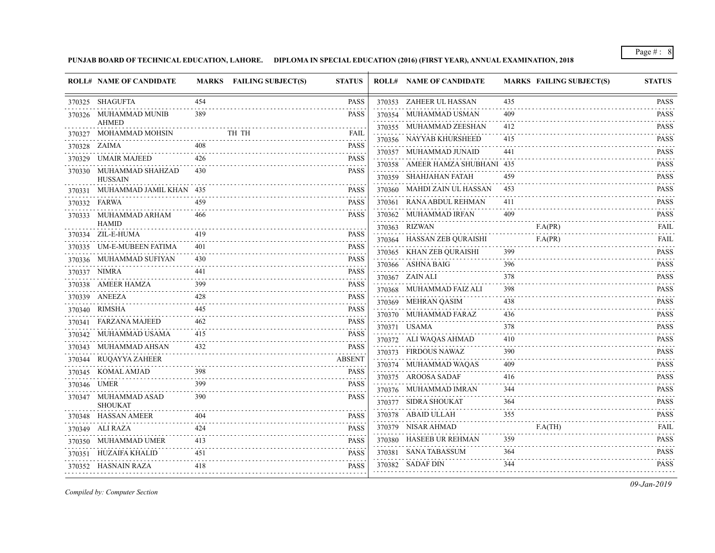**PUNJAB BOARD OF TECHNICAL EDUCATION, LAHORE. DIPLOMA IN SPECIAL EDUCATION (2016) (FIRST YEAR), ANNUAL EXAMINATION, 2018**

| 454<br>370353 ZAHEER UL HASSAN<br>370325 SHAGUFTA<br><b>PASS</b><br>435<br><b>PASS</b><br>370326 MUHAMMAD MUNIB<br>389<br>370354 MUHAMMAD USMAN<br>409<br><b>AHMED</b><br>370355 MUHAMMAD ZEESHAN<br>412<br>370327 MOHAMMAD MOHSIN<br>TH TH<br>FAIL<br>370356 NAYYAB KHURSHEED<br>415<br>.<br><b>PASS</b><br>370328 ZAIMA<br>370357 MUHAMMAD JUNAID<br>441<br>$- - - - -$<br>426<br>370329 UMAIR MAJEED<br><b>PASS</b><br>370358 AMEER HAMZA SHUBHANI 435<br>370330 MUHAMMAD SHAHZAD<br><b>PASS</b><br>430<br>370359 SHAHJAHAN FATAH<br>459<br><b>HUSSAIN</b><br>370360 MAHDI ZAIN UL HASSAN<br><b>PASS</b><br>453<br>370331 MUHAMMAD JAMIL KHAN 435<br>370361 RANA ABDUL REHMAN<br>411<br>370332 FARWA<br>459<br><b>PASS</b><br>370362 MUHAMMAD IRFAN<br>409<br>370333 MUHAMMAD ARHAM<br><b>PASS</b><br>466<br><b>HAMID</b><br>370363 RIZWAN<br>F.A(PR)<br>370334 ZIL-E-HUMA<br>419<br><b>PASS</b><br>F.A(PR)<br>370364 HASSAN ZEB QURAISHI<br>370335 UM-E-MUBEEN FATIMA<br>401<br><b>PASS</b><br>370365 KHAN ZEB QURAISHI<br>399<br>370336 MUHAMMAD SUFIYAN<br><b>PASS</b><br>430<br>370366 ASHNA BAIG<br>396<br>370337 NIMRA<br><b>PASS</b><br>370367 ZAIN ALI<br>378<br>$-2 - 2 - 2 - 2 = 0$<br>370338 AMEER HAMZA<br>399<br><b>PASS</b><br>370368 MUHAMMAD FAIZ ALI<br>398<br>.<br>370339 ANEEZA<br>428<br>PASS<br>370369 MEHRAN QASIM<br>438<br><b>PASS</b><br>$- - - -$<br>370340 RIMSHA<br>445<br>370370 MUHAMMAD FARAZ<br>436<br>370341 FARZANA MAJEED<br><b>PASS</b><br>370371 USAMA<br>378<br>$\mathcal{L}^{\mathcal{A}}\left( \mathcal{A}\right) =\mathcal{L}^{\mathcal{A}}\left( \mathcal{A}\right)$<br>370342 MUHAMMAD USAMA<br>415<br><b>PASS</b><br>370372 ALI WAQAS AHMAD<br>410 | <b>PASS</b><br><b>PASS</b><br><b>PASS</b><br>$\mathcal{L}^{\mathcal{A}}\left( \mathcal{A}^{\mathcal{A}}\right) =\mathcal{L}^{\mathcal{A}}\left( \mathcal{A}^{\mathcal{A}}\right)$<br><b>PASS</b><br>.<br><b>PASS</b><br><b>PASS</b><br><b>PASS</b><br>.<br><b>PASS</b> |
|---------------------------------------------------------------------------------------------------------------------------------------------------------------------------------------------------------------------------------------------------------------------------------------------------------------------------------------------------------------------------------------------------------------------------------------------------------------------------------------------------------------------------------------------------------------------------------------------------------------------------------------------------------------------------------------------------------------------------------------------------------------------------------------------------------------------------------------------------------------------------------------------------------------------------------------------------------------------------------------------------------------------------------------------------------------------------------------------------------------------------------------------------------------------------------------------------------------------------------------------------------------------------------------------------------------------------------------------------------------------------------------------------------------------------------------------------------------------------------------------------------------------------------------------------------------------------------------------------------------------------------------------------------------------------------------------------|------------------------------------------------------------------------------------------------------------------------------------------------------------------------------------------------------------------------------------------------------------------------|
|                                                                                                                                                                                                                                                                                                                                                                                                                                                                                                                                                                                                                                                                                                                                                                                                                                                                                                                                                                                                                                                                                                                                                                                                                                                                                                                                                                                                                                                                                                                                                                                                                                                                                                   |                                                                                                                                                                                                                                                                        |
|                                                                                                                                                                                                                                                                                                                                                                                                                                                                                                                                                                                                                                                                                                                                                                                                                                                                                                                                                                                                                                                                                                                                                                                                                                                                                                                                                                                                                                                                                                                                                                                                                                                                                                   |                                                                                                                                                                                                                                                                        |
|                                                                                                                                                                                                                                                                                                                                                                                                                                                                                                                                                                                                                                                                                                                                                                                                                                                                                                                                                                                                                                                                                                                                                                                                                                                                                                                                                                                                                                                                                                                                                                                                                                                                                                   |                                                                                                                                                                                                                                                                        |
|                                                                                                                                                                                                                                                                                                                                                                                                                                                                                                                                                                                                                                                                                                                                                                                                                                                                                                                                                                                                                                                                                                                                                                                                                                                                                                                                                                                                                                                                                                                                                                                                                                                                                                   |                                                                                                                                                                                                                                                                        |
|                                                                                                                                                                                                                                                                                                                                                                                                                                                                                                                                                                                                                                                                                                                                                                                                                                                                                                                                                                                                                                                                                                                                                                                                                                                                                                                                                                                                                                                                                                                                                                                                                                                                                                   |                                                                                                                                                                                                                                                                        |
|                                                                                                                                                                                                                                                                                                                                                                                                                                                                                                                                                                                                                                                                                                                                                                                                                                                                                                                                                                                                                                                                                                                                                                                                                                                                                                                                                                                                                                                                                                                                                                                                                                                                                                   |                                                                                                                                                                                                                                                                        |
|                                                                                                                                                                                                                                                                                                                                                                                                                                                                                                                                                                                                                                                                                                                                                                                                                                                                                                                                                                                                                                                                                                                                                                                                                                                                                                                                                                                                                                                                                                                                                                                                                                                                                                   |                                                                                                                                                                                                                                                                        |
|                                                                                                                                                                                                                                                                                                                                                                                                                                                                                                                                                                                                                                                                                                                                                                                                                                                                                                                                                                                                                                                                                                                                                                                                                                                                                                                                                                                                                                                                                                                                                                                                                                                                                                   | .                                                                                                                                                                                                                                                                      |
|                                                                                                                                                                                                                                                                                                                                                                                                                                                                                                                                                                                                                                                                                                                                                                                                                                                                                                                                                                                                                                                                                                                                                                                                                                                                                                                                                                                                                                                                                                                                                                                                                                                                                                   | <b>PASS</b>                                                                                                                                                                                                                                                            |
|                                                                                                                                                                                                                                                                                                                                                                                                                                                                                                                                                                                                                                                                                                                                                                                                                                                                                                                                                                                                                                                                                                                                                                                                                                                                                                                                                                                                                                                                                                                                                                                                                                                                                                   | <b>PASS</b><br>.                                                                                                                                                                                                                                                       |
|                                                                                                                                                                                                                                                                                                                                                                                                                                                                                                                                                                                                                                                                                                                                                                                                                                                                                                                                                                                                                                                                                                                                                                                                                                                                                                                                                                                                                                                                                                                                                                                                                                                                                                   | <b>FAIL</b><br>.                                                                                                                                                                                                                                                       |
|                                                                                                                                                                                                                                                                                                                                                                                                                                                                                                                                                                                                                                                                                                                                                                                                                                                                                                                                                                                                                                                                                                                                                                                                                                                                                                                                                                                                                                                                                                                                                                                                                                                                                                   | <b>FAIL</b>                                                                                                                                                                                                                                                            |
|                                                                                                                                                                                                                                                                                                                                                                                                                                                                                                                                                                                                                                                                                                                                                                                                                                                                                                                                                                                                                                                                                                                                                                                                                                                                                                                                                                                                                                                                                                                                                                                                                                                                                                   | .<br><b>PASS</b>                                                                                                                                                                                                                                                       |
|                                                                                                                                                                                                                                                                                                                                                                                                                                                                                                                                                                                                                                                                                                                                                                                                                                                                                                                                                                                                                                                                                                                                                                                                                                                                                                                                                                                                                                                                                                                                                                                                                                                                                                   | <b>PASS</b>                                                                                                                                                                                                                                                            |
|                                                                                                                                                                                                                                                                                                                                                                                                                                                                                                                                                                                                                                                                                                                                                                                                                                                                                                                                                                                                                                                                                                                                                                                                                                                                                                                                                                                                                                                                                                                                                                                                                                                                                                   | <b>PASS</b>                                                                                                                                                                                                                                                            |
|                                                                                                                                                                                                                                                                                                                                                                                                                                                                                                                                                                                                                                                                                                                                                                                                                                                                                                                                                                                                                                                                                                                                                                                                                                                                                                                                                                                                                                                                                                                                                                                                                                                                                                   | <b>PASS</b>                                                                                                                                                                                                                                                            |
|                                                                                                                                                                                                                                                                                                                                                                                                                                                                                                                                                                                                                                                                                                                                                                                                                                                                                                                                                                                                                                                                                                                                                                                                                                                                                                                                                                                                                                                                                                                                                                                                                                                                                                   | <b>PASS</b>                                                                                                                                                                                                                                                            |
|                                                                                                                                                                                                                                                                                                                                                                                                                                                                                                                                                                                                                                                                                                                                                                                                                                                                                                                                                                                                                                                                                                                                                                                                                                                                                                                                                                                                                                                                                                                                                                                                                                                                                                   | .<br><b>PASS</b>                                                                                                                                                                                                                                                       |
|                                                                                                                                                                                                                                                                                                                                                                                                                                                                                                                                                                                                                                                                                                                                                                                                                                                                                                                                                                                                                                                                                                                                                                                                                                                                                                                                                                                                                                                                                                                                                                                                                                                                                                   | <b>PASS</b>                                                                                                                                                                                                                                                            |
|                                                                                                                                                                                                                                                                                                                                                                                                                                                                                                                                                                                                                                                                                                                                                                                                                                                                                                                                                                                                                                                                                                                                                                                                                                                                                                                                                                                                                                                                                                                                                                                                                                                                                                   | <u>.</u><br><b>PASS</b>                                                                                                                                                                                                                                                |
| <b>PASS</b><br>370343 MUHAMMAD AHSAN<br>390<br>370373 FIRDOUS NAWAZ                                                                                                                                                                                                                                                                                                                                                                                                                                                                                                                                                                                                                                                                                                                                                                                                                                                                                                                                                                                                                                                                                                                                                                                                                                                                                                                                                                                                                                                                                                                                                                                                                               | .<br><b>PASS</b>                                                                                                                                                                                                                                                       |
| <b>ABSENT</b><br>370344 RUQAYYA ZAHEER<br>370374 MUHAMMAD WAQAS<br>409                                                                                                                                                                                                                                                                                                                                                                                                                                                                                                                                                                                                                                                                                                                                                                                                                                                                                                                                                                                                                                                                                                                                                                                                                                                                                                                                                                                                                                                                                                                                                                                                                            | $\mathcal{L}^{\mathcal{A}}\left( \mathcal{A}^{\mathcal{A}}\right) =\mathcal{L}^{\mathcal{A}}\left( \mathcal{A}^{\mathcal{A}}\right)$<br><b>PASS</b>                                                                                                                    |
| 370345 KOMAL AMJAD<br><b>PASS</b><br>370375 AROOSA SADAF<br>416<br><u>.</u>                                                                                                                                                                                                                                                                                                                                                                                                                                                                                                                                                                                                                                                                                                                                                                                                                                                                                                                                                                                                                                                                                                                                                                                                                                                                                                                                                                                                                                                                                                                                                                                                                       | .<br><b>PASS</b>                                                                                                                                                                                                                                                       |
| 399<br><b>PASS</b><br>370346 UMER<br>370376 MUHAMMAD IMRAN<br>344                                                                                                                                                                                                                                                                                                                                                                                                                                                                                                                                                                                                                                                                                                                                                                                                                                                                                                                                                                                                                                                                                                                                                                                                                                                                                                                                                                                                                                                                                                                                                                                                                                 | .<br><b>PASS</b>                                                                                                                                                                                                                                                       |
| <b>PASS</b><br>370347 MUHAMMAD ASAD<br>390<br>370377 SIDRA SHOUKAT<br>364<br><b>SHOUKAT</b>                                                                                                                                                                                                                                                                                                                                                                                                                                                                                                                                                                                                                                                                                                                                                                                                                                                                                                                                                                                                                                                                                                                                                                                                                                                                                                                                                                                                                                                                                                                                                                                                       | .<br><b>PASS</b>                                                                                                                                                                                                                                                       |
| 370378 ABAID ULLAH<br>355<br>370348 HASSAN AMEER<br>PASS<br>404                                                                                                                                                                                                                                                                                                                                                                                                                                                                                                                                                                                                                                                                                                                                                                                                                                                                                                                                                                                                                                                                                                                                                                                                                                                                                                                                                                                                                                                                                                                                                                                                                                   | <b>PASS</b>                                                                                                                                                                                                                                                            |
| 370379 NISAR AHMAD<br>F.A(TH)<br><b>PASS</b><br>370349 ALI RAZA<br>424                                                                                                                                                                                                                                                                                                                                                                                                                                                                                                                                                                                                                                                                                                                                                                                                                                                                                                                                                                                                                                                                                                                                                                                                                                                                                                                                                                                                                                                                                                                                                                                                                            | FAIL                                                                                                                                                                                                                                                                   |
| 359<br>370380 HASEEB UR REHMAN<br>370350 MUHAMMAD UMER<br>413<br><b>PASS</b>                                                                                                                                                                                                                                                                                                                                                                                                                                                                                                                                                                                                                                                                                                                                                                                                                                                                                                                                                                                                                                                                                                                                                                                                                                                                                                                                                                                                                                                                                                                                                                                                                      | $\mathcal{L}^{\mathcal{A}}\left( \mathcal{A}^{\mathcal{A}}\right) =\mathcal{L}^{\mathcal{A}}\left( \mathcal{A}^{\mathcal{A}}\right)$<br><b>PASS</b>                                                                                                                    |
| 370381 SANA TABASSUM<br>364<br>370351 HUZAIFA KHALID<br>451<br>PASS                                                                                                                                                                                                                                                                                                                                                                                                                                                                                                                                                                                                                                                                                                                                                                                                                                                                                                                                                                                                                                                                                                                                                                                                                                                                                                                                                                                                                                                                                                                                                                                                                               | <b>PASS</b>                                                                                                                                                                                                                                                            |
| 344<br>370382 SADAF DIN<br><b>PASS</b><br>370352 HASNAIN RAZA<br>418                                                                                                                                                                                                                                                                                                                                                                                                                                                                                                                                                                                                                                                                                                                                                                                                                                                                                                                                                                                                                                                                                                                                                                                                                                                                                                                                                                                                                                                                                                                                                                                                                              | $\begin{array}{cccccccccccccc} \bullet & \bullet & \bullet & \bullet & \bullet & \bullet & \bullet & \bullet \end{array}$                                                                                                                                              |

*Compiled by: Computer Section*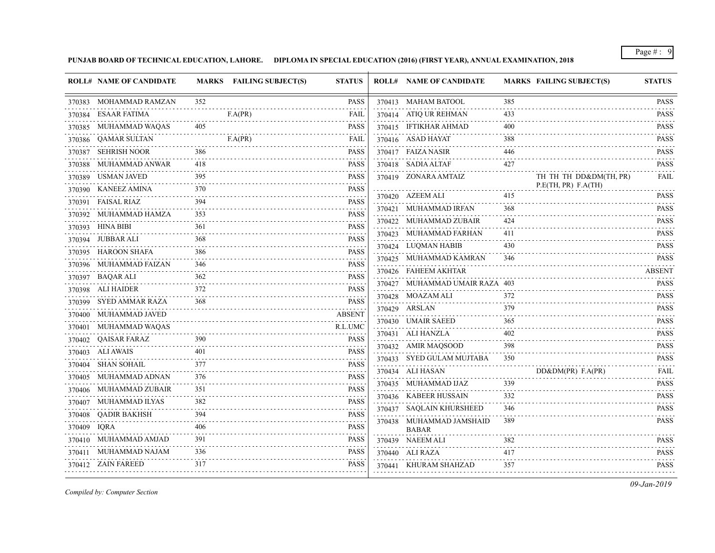**PUNJAB BOARD OF TECHNICAL EDUCATION, LAHORE. DIPLOMA IN SPECIAL EDUCATION (2016) (FIRST YEAR), ANNUAL EXAMINATION, 2018**

|             | <b>ROLL# NAME OF CANDIDATE</b> |     | MARKS FAILING SUBJECT(S) | <b>STATUS</b>                                                                    | <b>ROLL# NAME OF CANDIDATE</b> |     | <b>MARKS FAILING SUBJECT(S)</b> | <b>STATUS</b>                                                                                                                                                                                  |
|-------------|--------------------------------|-----|--------------------------|----------------------------------------------------------------------------------|--------------------------------|-----|---------------------------------|------------------------------------------------------------------------------------------------------------------------------------------------------------------------------------------------|
|             | 370383 MOHAMMAD RAMZAN         | 352 |                          | <b>PASS</b>                                                                      | 370413 MAHAM BATOOL            | 385 |                                 | <b>PASS</b>                                                                                                                                                                                    |
|             | 370384 ESAAR FATIMA            |     | F.A(PR)                  | FAIL                                                                             | 370414 ATIQ UR REHMAN          | 433 |                                 | <b>PASS</b>                                                                                                                                                                                    |
|             | 370385 MUHAMMAD WAQAS          | 405 |                          | <b>PASS</b>                                                                      | 370415 IFTIKHAR AHMAD          | 400 |                                 | <b>PASS</b><br>.                                                                                                                                                                               |
|             | 370386 QAMAR SULTAN            |     | F.A(PR)                  | <b>FAIL</b>                                                                      | 370416 ASAD HAYAT              | 388 |                                 | <b>PASS</b>                                                                                                                                                                                    |
|             | 370387 SEHRISH NOOR            | 386 |                          | <b>PASS</b>                                                                      | 370417 FAIZA NASIR             | 446 |                                 | <b>PASS</b><br>.                                                                                                                                                                               |
|             | 370388 MUHAMMAD ANWAR          | 418 |                          | <b>PASS</b>                                                                      | 370418 SADIA ALTAF             | 427 |                                 | <b>PASS</b>                                                                                                                                                                                    |
|             | 370389 USMAN JAVED             | 395 |                          | <b>PASS</b>                                                                      | 370419 ZONARA AMTAIZ           |     | TH TH TH DD&DM(TH, PR)          | <b>FAIL</b>                                                                                                                                                                                    |
|             | 370390 KANEEZ AMINA            | 370 |                          | <b>PASS</b><br><u>.</u>                                                          | 370420 AZEEM ALI               | 415 | P.E(TH, PR) F.A(TH)             | <b>PASS</b>                                                                                                                                                                                    |
|             | 370391 FAISAL RIAZ             | 394 |                          | <b>PASS</b><br>.                                                                 | 370421 MUHAMMAD IRFAN          | 368 |                                 | <b>PASS</b>                                                                                                                                                                                    |
|             | 370392 MUHAMMAD HAMZA          | 353 |                          | <b>PASS</b><br>.                                                                 | 370422 MUHAMMAD ZUBAIR         | 424 |                                 | .<br><b>PASS</b>                                                                                                                                                                               |
|             | 370393 HINA BIBI               | 361 |                          | <b>PASS</b>                                                                      | 370423 MUHAMMAD FARHAN         | 411 |                                 | .<br><b>PASS</b>                                                                                                                                                                               |
|             | 370394 JUBBAR ALI              | 368 |                          | <b>PASS</b>                                                                      | 370424 LUQMAN HABIB            | 430 |                                 | .<br><b>PASS</b>                                                                                                                                                                               |
|             | 370395 HAROON SHAFA            | 386 |                          | <b>PASS</b>                                                                      | 370425 MUHAMMAD KAMRAN         | 346 |                                 | .<br><b>PASS</b>                                                                                                                                                                               |
|             | 370396 MUHAMMAD FAIZAN         | 346 |                          | <b>PASS</b><br>.                                                                 | 370426 FAHEEM AKHTAR           |     |                                 | <b>ABSENT</b>                                                                                                                                                                                  |
|             | 370397 BAQAR ALI               | 362 |                          | <b>PASS</b>                                                                      | 370427 MUHAMMAD UMAIR RAZA 403 |     |                                 | <b>PASS</b>                                                                                                                                                                                    |
|             | 370398 ALI HAIDER              | 372 |                          | <b>PASS</b><br>.                                                                 | 370428 MOAZAM ALI              | 372 |                                 | <b>PASS</b>                                                                                                                                                                                    |
|             | 370399 SYED AMMAR RAZA         | 368 |                          | <b>PASS</b>                                                                      | 370429 ARSLAN                  | 379 |                                 | <b>PASS</b>                                                                                                                                                                                    |
|             | 370400 MUHAMMAD JAVED          |     |                          | <b>ABSENT</b>                                                                    | 370430 UMAIR SAEED             | 365 |                                 | $\omega$ is a set of $\omega$<br><b>PASS</b>                                                                                                                                                   |
|             | 370401 MUHAMMAD WAQAS          |     |                          | R.L.UMC                                                                          | 370431 ALI HANZLA              | 402 |                                 | .<br><b>PASS</b>                                                                                                                                                                               |
|             | 370402 QAISAR FARAZ            | 390 |                          | <b>PASS</b>                                                                      | 370432 AMIR MAQSOOD            | 398 |                                 | $\frac{1}{2} \left( \frac{1}{2} \right) \left( \frac{1}{2} \right) \left( \frac{1}{2} \right) \left( \frac{1}{2} \right) \left( \frac{1}{2} \right) \left( \frac{1}{2} \right)$<br><b>PASS</b> |
|             | 370403 ALI AWAIS               | 401 |                          | <b>PASS</b>                                                                      | 370433 SYED GULAM MUJTABA      | 350 |                                 | <b>PASS</b>                                                                                                                                                                                    |
|             | 370404 SHAN SOHAIL             | 377 |                          | <b>PASS</b><br>$\omega_{\alpha}=\omega_{\alpha}=\omega_{\alpha}=\omega_{\alpha}$ | 370434 ALI HASAN               |     | DD&DM(PR) F.A(PR)               | FAIL                                                                                                                                                                                           |
|             | 370405 MUHAMMAD ADNAN          | 376 |                          | PASS                                                                             | 370435 MUHAMMAD IJAZ           | 339 |                                 | <b>PASS</b>                                                                                                                                                                                    |
|             | 370406 MUHAMMAD ZUBAIR         | 351 |                          | <b>PASS</b>                                                                      | 370436 KABEER HUSSAIN          | 332 |                                 | .<br><b>PASS</b>                                                                                                                                                                               |
|             | 370407 MUHAMMAD ILYAS          |     |                          | <b>PASS</b>                                                                      | 370437 SAQLAIN KHURSHEED       | 346 |                                 | <b>PASS</b>                                                                                                                                                                                    |
|             | 370408 QADIR BAKHSH            | 394 |                          | <b>PASS</b><br>.                                                                 | 370438 MUHAMMAD JAMSHAID       | 389 |                                 | <b>PASS</b>                                                                                                                                                                                    |
| 370409 IQRA |                                | 406 |                          | PASS                                                                             | <b>BABAR</b>                   |     |                                 | $\mathcal{L}^{\mathcal{A}}\left( \mathcal{A}^{\mathcal{A}}\right) =\mathcal{L}^{\mathcal{A}}\left( \mathcal{A}^{\mathcal{A}}\right)$                                                           |
|             | 370410 MUHAMMAD AMJAD          |     |                          | <b>PASS</b>                                                                      | 370439 NAEEM ALI               | 382 |                                 | <b>PASS</b><br>$\frac{1}{2} \left( \frac{1}{2} \right) \left( \frac{1}{2} \right) \left( \frac{1}{2} \right) \left( \frac{1}{2} \right) \left( \frac{1}{2} \right) \left( \frac{1}{2} \right)$ |
|             | 370411 MUHAMMAD NAJAM          | 336 |                          | PASS                                                                             | 370440 ALI RAZA                | 417 |                                 | <b>PASS</b><br>$\frac{1}{2} \left( \frac{1}{2} \right) \left( \frac{1}{2} \right) \left( \frac{1}{2} \right) \left( \frac{1}{2} \right) \left( \frac{1}{2} \right) \left( \frac{1}{2} \right)$ |
|             | 370412 ZAIN FAREED             | 317 |                          | PASS                                                                             | 370441 KHURAM SHAHZAD          | 357 |                                 | <b>PASS</b>                                                                                                                                                                                    |

*Compiled by: Computer Section*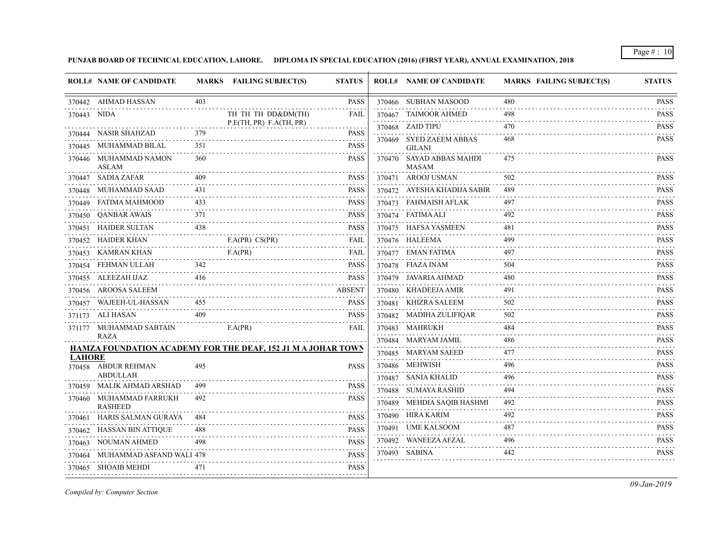**PUNJAB BOARD OF TECHNICAL EDUCATION, LAHORE. DIPLOMA IN SPECIAL EDUCATION (2016) (FIRST YEAR), ANNUAL EXAMINATION, 2018**

|               | <b>ROLL# NAME OF CANDIDATE</b>            |     | MARKS FAILING SUBJECT(S)                                            | <b>STATUS</b> | <b>ROLL# NAME OF CANDIDATE</b>            | <b>MARKS FAILING SUBJECT(S)</b> | <b>STATUS</b>    |
|---------------|-------------------------------------------|-----|---------------------------------------------------------------------|---------------|-------------------------------------------|---------------------------------|------------------|
|               | 370442 AHMAD HASSAN                       | 403 |                                                                     | <b>PASS</b>   | 370466 SUBHAN MASOOD                      | 480                             | <b>PASS</b>      |
| 370443 NIDA   |                                           |     | TH TH TH DD&DM(TH)                                                  | <b>FAIL</b>   | 370467 TAIMOOR AHMED                      | 498                             | <b>PASS</b>      |
|               | 370444 NASIR SHAHZAD                      | 379 | P.E(TH, PR) F.A(TH, PR)                                             | <b>PASS</b>   | 370468 ZAID TIPU                          | 470                             | <b>PASS</b><br>. |
|               | 370445 MUHAMMAD BILAL                     | 351 |                                                                     | <b>PASS</b>   | 370469 SYED ZAEEM ABBAS                   | 468                             | <b>PASS</b>      |
|               | 370446 MUHAMMAD NAMON                     | 360 |                                                                     | <b>PASS</b>   | <b>GILANI</b><br>370470 SAYAD ABBAS MAHDI | 475                             | <b>PASS</b>      |
|               | ASLAM                                     |     |                                                                     |               | <b>MASAM</b>                              |                                 |                  |
|               | 370447 SADIA ZAFAR                        |     |                                                                     | <b>PASS</b>   | 370471 AROOJ USMAN                        | 502                             | <b>PASS</b>      |
|               | 370448 MUHAMMAD SAAD                      | 431 |                                                                     | <b>PASS</b>   | 370472 AYESHA KHADIJA SABIR               | 489                             | <b>PASS</b>      |
|               | 370449 FATIMA MAHMOOD                     | 433 |                                                                     | <b>PASS</b>   | 370473 FAHMAISH AFLAK                     | 497                             | <b>PASS</b><br>. |
| 370450        | <b>OANBAR AWAIS</b>                       | 371 |                                                                     | <b>PASS</b>   | 370474 FATIMA ALI                         | 492                             | <b>PASS</b>      |
|               | 370451 HAIDER SULTAN                      | 438 |                                                                     | <b>PASS</b>   | 370475 HAFSA YASMEEN                      | 481                             | <b>PASS</b>      |
|               | 370452 HAIDER KHAN                        |     | F.A(PR) CS(PR)                                                      | <b>FAIL</b>   | 370476 HALEEMA                            | 499                             | <b>PASS</b>      |
|               | 370453 KAMRAN KHAN                        |     | F.A(PR)                                                             | <b>FAIL</b>   | 370477 EMAN FATIMA                        | 497                             | <b>PASS</b>      |
|               | 370454 FEHMAN ULLAH                       | 342 |                                                                     | <b>PASS</b>   | 370478 FIAZA INAM                         | 504                             | <b>PASS</b>      |
|               | 370455 ALEEZAH IJAZ                       | 416 |                                                                     | <b>PASS</b>   | 370479 JAVARIA AHMAD                      | 480                             | <b>PASS</b><br>. |
|               | 370456 AROOSA SALEEM                      |     |                                                                     | <b>ABSENT</b> | 370480 KHADEEJA AMIR                      | 491                             | <b>PASS</b>      |
|               | 370457 WAJEEH-UL-HASSAN                   | 455 |                                                                     | <b>PASS</b>   | 370481 KHIZRA SALEEM                      | 502                             | <b>PASS</b>      |
|               | 371173 ALI HASAN                          | 409 |                                                                     | <b>PASS</b>   | 370482 MADIHA ZULIFIQAR                   | 502                             | <b>PASS</b>      |
|               | 371177 MUHAMMAD SABTAIN                   |     | F.A(PR)                                                             | FAIL          | 370483 MAHRUKH                            | 484                             | <b>PASS</b><br>. |
|               | RAZA                                      |     |                                                                     |               | 370484 MARYAM JAMIL                       | 486                             | <b>PASS</b>      |
| <b>LAHORE</b> |                                           |     | <b>HAMZA FOUNDATION ACADEMY FOR THE DEAF, 152 J1 M A JOHAR TOWN</b> |               | 370485 MARYAM SAEED                       | 477                             | <b>PASS</b>      |
|               | 370458 ABDUR REHMAN                       | 495 |                                                                     | <b>PASS</b>   | 370486 MEHWISH                            | 496                             | <b>PASS</b>      |
|               | <b>ABDULLAH</b>                           |     |                                                                     |               | 370487 SANIA KHALID                       | 496                             | <b>PASS</b>      |
|               | 370459 MALIK AHMAD ARSHAD                 | 499 |                                                                     | <b>PASS</b>   | 370488 SUMAYA RASHID                      | 494                             | <b>PASS</b>      |
|               | 370460 MUHAMMAD FARRUKH<br><b>RASHEED</b> | 492 |                                                                     | <b>PASS</b>   | 370489 MEHDIA SAQIB HASHMI                | 492                             | <b>PASS</b>      |
| 370461        | HARIS SALMAN GURAYA                       |     |                                                                     | <b>PASS</b>   | 370490 HIRA KARIM                         | 492                             | <b>PASS</b>      |
|               | 370462 HASSAN BIN ATTIQUE                 | 488 |                                                                     | <b>PASS</b>   | 370491 UME KALSOOM                        | 487                             | <b>PASS</b>      |
| 370463        | NOUMAN AHMED                              | 498 |                                                                     | <b>PASS</b>   | 370492 WANEEZA AFZAL                      | 496                             | <b>PASS</b><br>. |
| 370464        | MUHAMMAD ASFAND WALI 478                  |     |                                                                     | <b>PASS</b>   | 370493 SABINA                             | 442                             | <b>PASS</b>      |
|               | 370465 SHOAIB MEHDI                       | 471 |                                                                     | <b>PASS</b>   |                                           |                                 |                  |
|               |                                           |     |                                                                     |               |                                           |                                 |                  |

*Compiled by: Computer Section*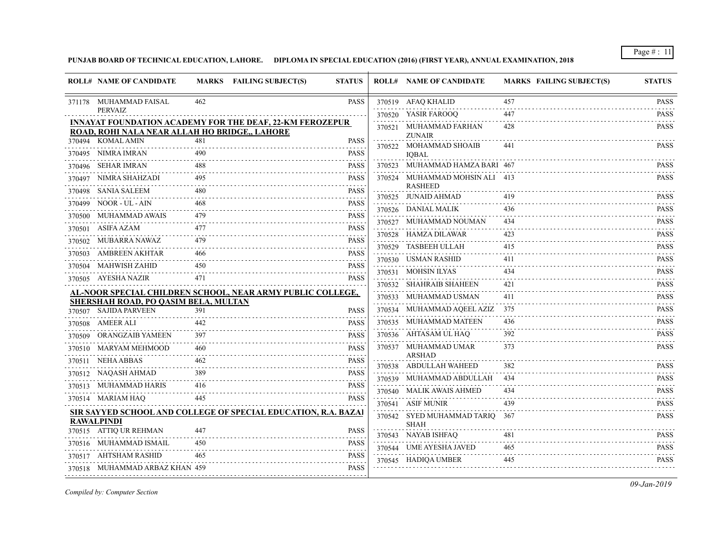**PUNJAB BOARD OF TECHNICAL EDUCATION, LAHORE. DIPLOMA IN SPECIAL EDUCATION (2016) (FIRST YEAR), ANNUAL EXAMINATION, 2018**

|        | <b>ROLL# NAME OF CANDIDATE</b>                                |     | MARKS FAILING SUBJECT(S)                                              | <b>STATUS</b>                                     | <b>ROLL# NAME OF CANDIDATE</b>                   | <b>MARKS FAILING SUBJECT(S)</b> | <b>STATUS</b>                  |
|--------|---------------------------------------------------------------|-----|-----------------------------------------------------------------------|---------------------------------------------------|--------------------------------------------------|---------------------------------|--------------------------------|
|        | 371178 MUHAMMAD FAISAL                                        | 462 |                                                                       | <b>PASS</b>                                       | 370519 AFAQ KHALID                               | 457                             | <b>PASS</b>                    |
|        | <b>PERVAIZ</b>                                                |     |                                                                       |                                                   | 370520 YASIR FAROOQ                              | 447                             | <b>PASS</b>                    |
|        | ROAD, ROHI NALA NEAR ALLAH HO BRIDGE,, LAHORE                 |     | <b>INNAYAT FOUNDATION ACADEMY FOR THE DEAF, 22-KM FEROZEPUR</b>       |                                                   | 370521 MUHAMMAD FARHAN<br><b>ZUNAIR</b>          | 428                             | <b>PASS</b>                    |
|        | 370494 KOMAL AMIN                                             | 481 |                                                                       | <b>PASS</b>                                       | 370522 MOHAMMAD SHOAIB                           | 441                             | <b>PASS</b>                    |
|        | 370495 NIMRA IMRAN                                            | 490 |                                                                       | <b>PASS</b>                                       | <b>IOBAL</b>                                     |                                 |                                |
|        | 370496 SEHAR IMRAN                                            | 488 |                                                                       | <b>PASS</b>                                       | 370523 MUHAMMAD HAMZA BARI 467                   |                                 | <b>PASS</b>                    |
| 370497 | NIMRA SHAHZADI                                                | 495 |                                                                       | <b>PASS</b>                                       | 370524 MUHAMMAD MOHSIN ALI 413<br><b>RASHEED</b> |                                 | <b>PASS</b>                    |
|        | 370498 SANIA SALEEM                                           | 480 |                                                                       | <b>PASS</b>                                       | 370525 JUNAID AHMAD                              |                                 | <b>PASS</b>                    |
|        | 370499 NOOR - UL - AIN                                        |     |                                                                       | <b>PASS</b>                                       | 370526 DANIAL MALIK                              | 436                             | <b>PASS</b>                    |
|        | 370500 MUHAMMAD AWAIS                                         | 479 |                                                                       | <b>PASS</b><br>.                                  | 370527 MUHAMMAD NOUMAN                           | 434                             | .<br><b>PASS</b>               |
|        | 370501 ASIFA AZAM                                             | 477 |                                                                       | <b>PASS</b>                                       | 370528 HAMZA DILAWAR                             | 423                             | <b>PASS</b>                    |
|        | 370502 MUBARRA NAWAZ                                          | 479 |                                                                       | <b>PASS</b>                                       | 370529 TASBEEH ULLAH                             | 415                             | <b>PASS</b>                    |
|        | 370503 AMBREEN AKHTAR                                         | 466 |                                                                       | <b>PASS</b><br>.                                  | 370530 USMAN RASHID                              | 411                             | <b>PASS</b>                    |
|        | 370504 MAHWISH ZAHID                                          | 450 |                                                                       | <b>PASS</b><br>المالي بالماليان                   | 370531 MOHSIN ILYAS                              | 434                             | <b>PASS</b>                    |
|        | 370505 AYESHA NAZIR                                           | 471 |                                                                       | <b>PASS</b>                                       | 370532 SHAHRAIB SHAHEEN                          | 421                             | <b>PASS</b>                    |
|        |                                                               |     | AL-NOOR SPECIAL CHILDREN SCHOOL, NEAR ARMY PUBLIC COLLEGE,            |                                                   | 370533 MUHAMMAD USMAN                            | 411                             | <b>PASS</b>                    |
|        | SHERSHAH ROAD, PO QASIM BELA, MULTAN<br>370507 SAJIDA PARVEEN | 391 |                                                                       | <b>PASS</b>                                       | 370534 MUHAMMAD AQEEL AZIZ 375                   |                                 | <b>PASS</b>                    |
|        | 370508 AMEER ALI                                              | 442 |                                                                       | <b>PASS</b>                                       | 370535 MUHAMMAD MATEEN                           | 436                             | <b>PASS</b>                    |
|        | 370509 ORANGZAIB YAMEEN                                       | 397 |                                                                       | <b>PASS</b>                                       | 370536 AHTASAM UL HAQ                            | 392                             | <b>PASS</b>                    |
|        | 370510 MARYAM MEHMOOD                                         | 460 |                                                                       | <b>PASS</b>                                       | 370537 MUHAMMAD UMAR                             | 373                             | <b>PASS</b>                    |
|        | 370511 NEHA ABBAS                                             | 462 |                                                                       | <b>PASS</b>                                       | <b>ARSHAD</b>                                    |                                 |                                |
|        |                                                               |     |                                                                       | <b>PASS</b>                                       | 370538 ABDULLAH WAHEED                           | 382                             | <b>PASS</b>                    |
|        | 370512 NAQASH AHMAD                                           |     |                                                                       |                                                   | 370539 MUHAMMAD ABDULLAH 434                     |                                 | <b>PASS</b>                    |
|        | 370513 MUHAMMAD HARIS                                         | 416 |                                                                       | <b>PASS</b>                                       | 370540 MALIK AWAIS AHMED                         |                                 | <b>PASS</b><br>.               |
|        | 370514 MARIAM HAQ                                             | 445 |                                                                       | <b>PASS</b>                                       | 370541 ASIF MUNIR                                | 439                             | <b>PASS</b>                    |
|        | <b>RAWALPINDI</b>                                             |     | <b>SIR SAYYED SCHOOL AND COLLEGE OF SPECIAL EDUCATION, R.A. BAZAI</b> |                                                   | 370542 SYED MUHAMMAD TARIQ 367                   |                                 | <b>PASS</b>                    |
|        | 370515 ATTIQ UR REHMAN                                        | 447 |                                                                       | <b>PASS</b>                                       | <b>SHAH</b>                                      |                                 |                                |
|        | 370516 MUHAMMAD ISMAIL                                        | 450 |                                                                       | <b>PASS</b>                                       | 370543 NAYAB ISHFAQ                              | 481                             | <b>PASS</b>                    |
|        | 370517 AHTSHAM RASHID                                         | 465 |                                                                       | <b>PASS</b>                                       | 370544 UME AYESHA JAVED                          | 465                             | <b>PASS</b><br>$- - - - - - -$ |
|        | 370518 MUHAMMAD ARBAZ KHAN 459                                |     |                                                                       | $\sim$ $\sim$ $\sim$ $\sim$ $\sim$<br><b>PASS</b> | 370545 HADIQA UMBER                              | 445                             | <b>PASS</b>                    |
|        |                                                               |     |                                                                       |                                                   |                                                  |                                 |                                |

*Compiled by: Computer Section*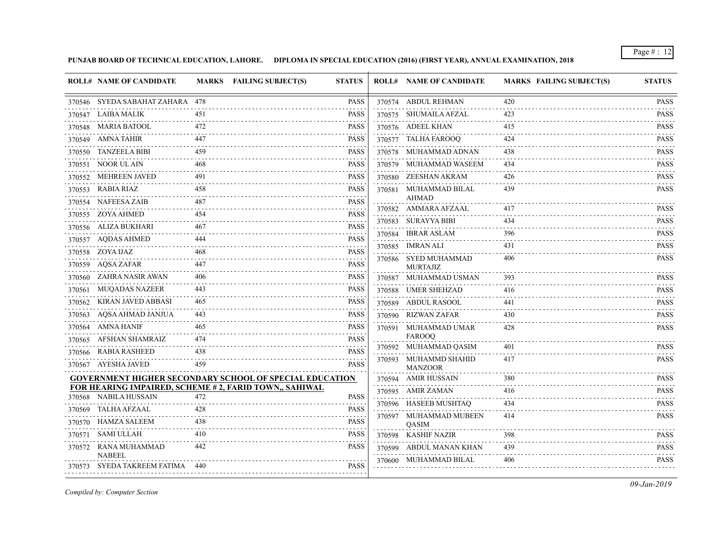**PUNJAB BOARD OF TECHNICAL EDUCATION, LAHORE. DIPLOMA IN SPECIAL EDUCATION (2016) (FIRST YEAR), ANNUAL EXAMINATION, 2018**

|        |                                                        |            |                                                                | <b>ROLL# NAME OF CANDIDATE</b>          | <b>MARKS FAILING SUBJECT(S)</b> | <b>STATUS</b>            |
|--------|--------------------------------------------------------|------------|----------------------------------------------------------------|-----------------------------------------|---------------------------------|--------------------------|
|        | 370546 SYEDA SABAHAT ZAHARA 478                        |            | <b>PASS</b>                                                    | 370574 ABDUL REHMAN                     | 420                             | <b>PASS</b>              |
|        | 370547 LAIBA MALIK                                     | 451        | <b>PASS</b>                                                    | 370575 SHUMAILA AFZAL                   | 423                             | .<br><b>PASS</b>         |
|        | 370548 MARIA BATOOL                                    | 472        | <b>PASS</b>                                                    | 370576 ADEEL KHAN                       | 415                             | <b>PASS</b>              |
|        | 370549 AMNA TAHIR                                      | 447        | <b>PASS</b>                                                    | 370577 TALHA FAROOO                     | 424                             | <b>PASS</b>              |
|        | 370550 TANZEELA BIBI                                   | 459        | <b>PASS</b>                                                    | 370578 MUHAMMAD ADNAN                   | 438                             | <b>PASS</b>              |
|        | 370551 NOOR UL AIN                                     | 468        | <b>PASS</b>                                                    | 370579 MUHAMMAD WASEEM                  | 434                             | <b>PASS</b>              |
|        | 370552 MEHREEN JAVED                                   | 491        | <b>PASS</b>                                                    | 370580 ZEESHAN AKRAM                    | 426                             | <b>PASS</b>              |
|        | 370553 RABIA RIAZ                                      | 458        | <b>PASS</b>                                                    | 370581 MUHAMMAD BILAL                   | 439                             | <b>PASS</b>              |
|        | 370554 NAFEESA ZAIB                                    | 487        | <b>PASS</b>                                                    | <b>AHMAD</b><br>370582 AMMARA AFZAAL    | 417                             | <b>PASS</b>              |
|        | 370555 ZOYA AHMED                                      | 454        | <b>PASS</b>                                                    | 370583 SURAYYA BIBI                     | 434                             | <b>PASS</b>              |
|        | 370556 ALIZA BUKHARI                                   | 467        | <b>PASS</b>                                                    | 370584 IBRAR ASLAM                      | 396                             | 1.1.1.1.1<br><b>PASS</b> |
|        | 370557 AQDAS AHMED                                     | 444        | <b>PASS</b>                                                    | 370585 IMRAN ALI                        | 431                             | <b>PASS</b>              |
|        | 370558 ZOYA IJAZ                                       | 468        | <b>PASS</b>                                                    | 370586 SYED MUHAMMAD                    | 406                             | .<br><b>PASS</b>         |
|        | 370559 AQSA ZAFAR                                      | 447        | <b>PASS</b>                                                    | <b>MURTAJIZ</b>                         |                                 |                          |
| 370560 | ZAHRA NASIR AWAN                                       | 406        | <b>PASS</b>                                                    | 370587 MUHAMMAD USMAN                   | 393                             | <b>PASS</b><br>.         |
| 370561 | <b>MUQADAS NAZEER</b>                                  | 443        | <b>PASS</b>                                                    | 370588 UMER SHEHZAD                     | 416                             | <b>PASS</b>              |
| 370562 | KIRAN JAVED ABBASI                                     | 465        | <b>PASS</b>                                                    | 370589 ABDUL RASOOL                     | 441                             | <b>PASS</b>              |
| 370563 | AQSA AHMAD JANJUA                                      | 443        | <b>PASS</b>                                                    | 370590 RIZWAN ZAFAR                     | 430                             | <b>PASS</b>              |
|        | 370564 AMNA HANIF                                      | 465        | <b>PASS</b>                                                    | 370591 MUHAMMAD UMAR                    | 428                             | <b>PASS</b>              |
|        | 370565 AFSHAN SHAMRAIZ                                 | 474        | <b>PASS</b>                                                    | <b>FAROOQ</b>                           | 401                             | <b>PASS</b>              |
|        | 370566 RABIA RASHEED                                   | 438        | <b>PASS</b>                                                    | 370592 MUHAMMAD QASIM                   | 417                             | <b>PASS</b>              |
|        | 370567 AYESHA JAVED                                    | 459        | <b>PASS</b>                                                    | 370593 MUHAMMD SHAHID<br><b>MANZOOR</b> |                                 |                          |
|        |                                                        |            | <b>GOVERNMENT HIGHER SECONDARY SCHOOL OF SPECIAL EDUCATION</b> | 370594 AMIR HUSSAIN                     | 380                             | <b>PASS</b>              |
|        | FOR HEARING IMPAIRED, SCHEME # 2, FARID TOWN,, SAHIWAL | 472        |                                                                | 370595 AMIR ZAMAN                       | 416                             | <b>PASS</b>              |
|        | 370568 NABILA HUSSAIN<br><b>TALHA AFZAAL</b>           |            | <b>PASS</b>                                                    | 370596 HASEEB MUSHTAQ                   | 434                             | .<br><b>PASS</b>         |
| 370569 | HAMZA SALEEM                                           | 428<br>438 | <b>PASS</b><br><b>PASS</b>                                     | 370597 MUHAMMAD MUBEEN                  | 414                             | <b>PASS</b>              |
| 370570 |                                                        | 410        |                                                                | QASIM                                   |                                 |                          |
|        | 370571 SAMI ULLAH                                      |            | <b>PASS</b>                                                    | 370598 KASHIF NAZIR                     | 398                             | <b>PASS</b><br>.         |
|        | 370572 RANA MUHAMMAD<br><b>NABEEL</b>                  | 442        | <b>PASS</b>                                                    | 370599 ABDUL MANAN KHAN                 | 439<br>.                        | <b>PASS</b><br>.         |
|        | 370573 SYEDA TAKREEM FATIMA 440                        |            | <b>PASS</b>                                                    | 370600 MUHAMMAD BILAL                   | 406                             | <b>PASS</b>              |

*Compiled by: Computer Section*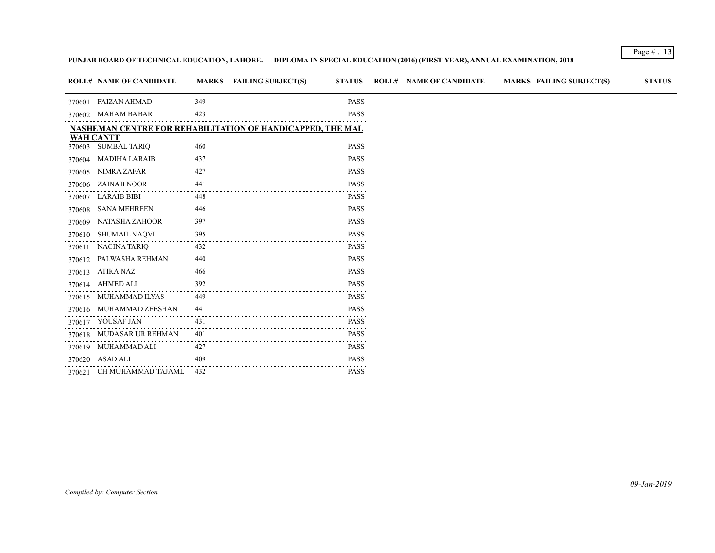# **PUNJAB BOARD OF TECHNICAL EDUCATION, LAHORE. DIPLOMA IN SPECIAL EDUCATION (2016) (FIRST YEAR), ANNUAL EXAMINATION, 2018**

|        | <b>ROLL# NAME OF CANDIDATE</b> |                                    | MARKS FAILING SUBJECT(S)                                          | <b>STATUS</b>                                                                                                                            | <b>ROLL# NAME OF CANDIDATE</b> | <b>MARKS FAILING SUBJECT(S)</b> | <b>STATUS</b> |
|--------|--------------------------------|------------------------------------|-------------------------------------------------------------------|------------------------------------------------------------------------------------------------------------------------------------------|--------------------------------|---------------------------------|---------------|
| 370601 | FAIZAN AHMAD                   | 349                                |                                                                   | <b>PASS</b>                                                                                                                              |                                |                                 |               |
|        | 370602 MAHAM BABAR             | 423                                |                                                                   | <b>PASS</b>                                                                                                                              |                                |                                 |               |
|        |                                |                                    | <b>NASHEMAN CENTRE FOR REHABILITATION OF HANDICAPPED, THE MAL</b> |                                                                                                                                          |                                |                                 |               |
|        | <b>WAH CANTT</b>               |                                    |                                                                   |                                                                                                                                          |                                |                                 |               |
|        | 370603 SUMBAL TARIQ            | 460                                |                                                                   | <b>PASS</b>                                                                                                                              |                                |                                 |               |
|        | 370604 MADIHA LARAIB           | 437                                |                                                                   | <b>PASS</b><br>$- - - -$                                                                                                                 |                                |                                 |               |
|        | 370605 NIMRA ZAFAR             | 427<br>.                           |                                                                   | <b>PASS</b><br>$\sim$ $\sim$ $\sim$ $\sim$ $\sim$                                                                                        |                                |                                 |               |
|        | 370606 ZAINAB NOOR             | 441                                |                                                                   | <b>PASS</b>                                                                                                                              |                                |                                 |               |
|        | 370607 LARAIB BIBI             | 448                                |                                                                   | <b>PASS</b><br>$\sim$ $\sim$ $\sim$ $\sim$                                                                                               |                                |                                 |               |
| 370608 | <b>SANA MEHREEN</b>            | 446                                |                                                                   | <b>PASS</b>                                                                                                                              |                                |                                 |               |
| 370609 | NATASHA ZAHOOR                 | 397                                |                                                                   | <b>PASS</b>                                                                                                                              |                                |                                 |               |
|        | 370610 SHUMAIL NAQVI           | 395                                |                                                                   | <b>PASS</b>                                                                                                                              |                                |                                 |               |
|        | 370611 NAGINA TARIQ            | 432<br>$\sim$ $\sim$ $\sim$ $\sim$ |                                                                   | <b>PASS</b>                                                                                                                              |                                |                                 |               |
|        | 370612 PALWASHA REHMAN         | 440<br>$- - - - -$                 |                                                                   | <b>PASS</b><br>$\frac{1}{2} \left( \frac{1}{2} \right) \left( \frac{1}{2} \right) \left( \frac{1}{2} \right) \left( \frac{1}{2} \right)$ |                                |                                 |               |
|        | 370613 ATIKA NAZ               | 466                                |                                                                   | <b>PASS</b>                                                                                                                              |                                |                                 |               |
|        | 370614 AHMED ALI               | 392                                |                                                                   | <b>PASS</b>                                                                                                                              |                                |                                 |               |
|        | 370615 MUHAMMAD ILYAS          | 449                                |                                                                   | <b>PASS</b><br>.                                                                                                                         |                                |                                 |               |
|        | 370616 MUHAMMAD ZEESHAN        | 441                                |                                                                   | <b>PASS</b>                                                                                                                              |                                |                                 |               |
|        | 370617 YOUSAF JAN              | 431<br>$\sim$ $\sim$ $\sim$ $\sim$ |                                                                   | PASS                                                                                                                                     |                                |                                 |               |
|        | 370618 MUDASAR UR REHMAN       | 401                                |                                                                   | <b>PASS</b><br>.                                                                                                                         |                                |                                 |               |
|        | 370619 MUHAMMAD ALI            | 427                                |                                                                   | <b>PASS</b>                                                                                                                              |                                |                                 |               |
|        | 370620 ASAD ALI                | 409<br>.                           |                                                                   | <b>PASS</b>                                                                                                                              |                                |                                 |               |
|        | 370621 CH MUHAMMAD TAJAML      | 432                                |                                                                   | <b>PASS</b>                                                                                                                              |                                |                                 |               |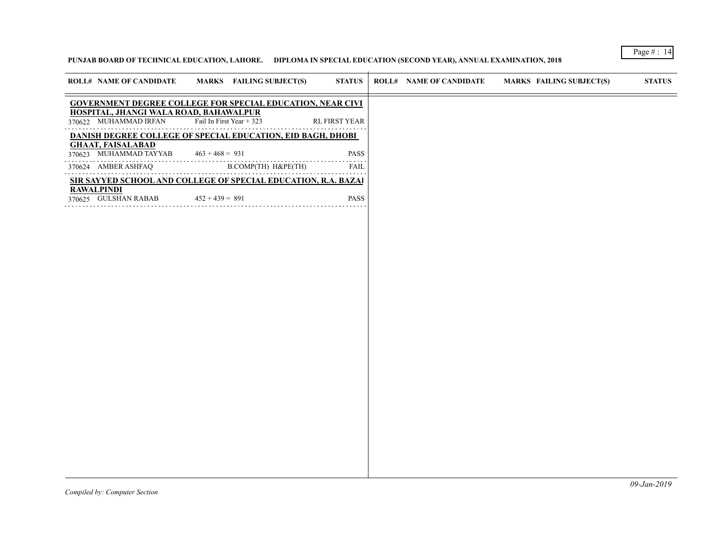# **PUNJAB BOARD OF TECHNICAL EDUCATION, LAHORE. DIPLOMA IN SPECIAL EDUCATION (SECOND YEAR), ANNUAL EXAMINATION, 2018**

| <b>ROLL# NAME OF CANDIDATE</b>                                  | MARKS FAILING SUBJECT(S)                                          | <b>STATUS</b>        | <b>ROLL# NAME OF CANDIDATE</b> | <b>MARKS FAILING SUBJECT(S)</b> | <b>STATUS</b> |
|-----------------------------------------------------------------|-------------------------------------------------------------------|----------------------|--------------------------------|---------------------------------|---------------|
|                                                                 | <b>GOVERNMENT DEGREE COLLEGE FOR SPECIAL EDUCATION, NEAR CIVI</b> |                      |                                |                                 |               |
| HOSPITAL, JHANGI WALA ROAD, BAHAWALPUR<br>370622 MUHAMMAD IRFAN | Fail In First Year + $323$                                        | <b>RL FIRST YEAR</b> |                                |                                 |               |
|                                                                 | DANISH DEGREE COLLEGE OF SPECIAL EDUCATION, EID BAGH, DHOBI       |                      |                                |                                 |               |
| <b>GHAAT, FAISALABAD</b><br>370623 MUHAMMAD TAYYAB              | $463 + 468 = 931$                                                 | <b>PASS</b>          |                                |                                 |               |
| 370624 AMBER ASHFAQ                                             | B.COMP(TH) H&PE(TH)                                               | <b>FAIL</b>          |                                |                                 |               |
|                                                                 | SIR SAYYED SCHOOL AND COLLEGE OF SPECIAL EDUCATION, R.A. BAZAI    |                      |                                |                                 |               |
| <b>RAWALPINDI</b><br>370625 GULSHAN RABAB                       | $452 + 439 = 891$                                                 | <b>PASS</b>          |                                |                                 |               |
|                                                                 |                                                                   |                      |                                |                                 |               |
|                                                                 |                                                                   |                      |                                |                                 |               |
|                                                                 |                                                                   |                      |                                |                                 |               |
|                                                                 |                                                                   |                      |                                |                                 |               |
|                                                                 |                                                                   |                      |                                |                                 |               |
|                                                                 |                                                                   |                      |                                |                                 |               |
|                                                                 |                                                                   |                      |                                |                                 |               |
|                                                                 |                                                                   |                      |                                |                                 |               |
|                                                                 |                                                                   |                      |                                |                                 |               |
|                                                                 |                                                                   |                      |                                |                                 |               |
|                                                                 |                                                                   |                      |                                |                                 |               |
|                                                                 |                                                                   |                      |                                |                                 |               |
|                                                                 |                                                                   |                      |                                |                                 |               |
|                                                                 |                                                                   |                      |                                |                                 |               |
|                                                                 |                                                                   |                      |                                |                                 |               |
|                                                                 |                                                                   |                      |                                |                                 |               |
|                                                                 |                                                                   |                      |                                |                                 |               |
|                                                                 |                                                                   |                      |                                |                                 |               |
|                                                                 |                                                                   |                      |                                |                                 |               |
|                                                                 |                                                                   |                      |                                |                                 |               |
|                                                                 |                                                                   |                      |                                |                                 |               |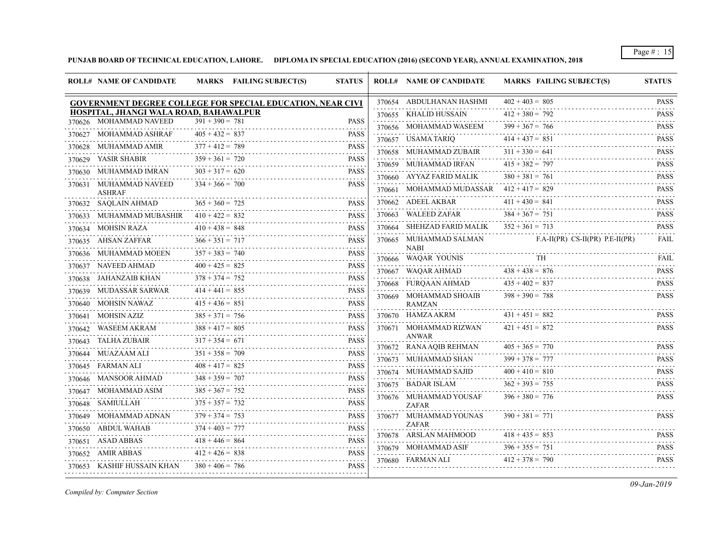**PUNJAB BOARD OF TECHNICAL EDUCATION, LAHORE. DIPLOMA IN SPECIAL EDUCATION (2016) (SECOND YEAR), ANNUAL EXAMINATION, 2018**

|        | <b>ROLL# NAME OF CANDIDATE</b>                                    |                   | MARKS FAILING SUBJECT(S) | <b>STATUS</b>                                                                                                                                       | <b>ROLL# NAME OF CANDIDATE</b>             | <b>MARKS FAILING SUBJECT(S)</b>   | <b>STATUS</b>                                                                                                                                       |
|--------|-------------------------------------------------------------------|-------------------|--------------------------|-----------------------------------------------------------------------------------------------------------------------------------------------------|--------------------------------------------|-----------------------------------|-----------------------------------------------------------------------------------------------------------------------------------------------------|
|        | <b>GOVERNMENT DEGREE COLLEGE FOR SPECIAL EDUCATION, NEAR CIVI</b> |                   |                          |                                                                                                                                                     | 370654 ABDULHANAN HASHMI                   | $402 + 403 = 805$                 | <b>PASS</b>                                                                                                                                         |
|        | HOSPITAL, JHANGI WALA ROAD, BAHAWALPUR                            |                   |                          |                                                                                                                                                     | 370655 KHALID HUSSAIN                      | $412 + 380 = 792$                 | .<br><b>PASS</b>                                                                                                                                    |
|        | 370626 MOHAMMAD NAVEED                                            | $391 + 390 = 781$ |                          | <b>PASS</b>                                                                                                                                         | 370656 MOHAMMAD WASEEM                     | $399 + 367 = 766$                 | .<br><b>PASS</b>                                                                                                                                    |
| 370627 | MOHAMMAD ASHRAF                                                   | $405 + 432 = 837$ |                          | <b>PASS</b><br>د د د د د                                                                                                                            | 370657 USAMA TARIO                         | $414 + 437 = 851$                 | <b>PASS</b>                                                                                                                                         |
| 370628 | MUHAMMAD AMIR                                                     | $377 + 412 = 789$ |                          | <b>PASS</b>                                                                                                                                         | 370658 MUHAMMAD ZUBAIR                     | $311 + 330 = 641$                 | <u>.</u><br><b>PASS</b>                                                                                                                             |
|        | 370629 YASIR SHABIR                                               | $359 + 361 = 720$ |                          | PASS                                                                                                                                                | 370659 MUHAMMAD IRFAN                      | $415 + 382 = 797$                 | .<br><b>PASS</b>                                                                                                                                    |
| 370630 | MUHAMMAD IMRAN                                                    | $303 + 317 = 620$ |                          | <b>PASS</b>                                                                                                                                         | 370660 AYYAZ FARID MALIK                   | $380 + 381 = 761$                 | $\mathcal{L}^{\mathcal{A}}\left( \mathcal{A}^{\mathcal{A}}\right) =\mathcal{L}^{\mathcal{A}}\left( \mathcal{A}^{\mathcal{A}}\right)$<br><b>PASS</b> |
|        | 370631 MUHAMMAD NAVEED<br><b>ASHRAF</b>                           | $334 + 366 = 700$ |                          | <b>PASS</b>                                                                                                                                         | 370661 MOHAMMAD MUDASSAR $412 + 417 = 829$ |                                   | <b>PASS</b><br><u>.</u>                                                                                                                             |
|        | 370632 SAQLAIN AHMAD                                              | $365 + 360 = 725$ |                          | <b>PASS</b>                                                                                                                                         | 370662 ADEEL AKBAR                         | $411 + 430 = 841$                 | <b>PASS</b><br>.                                                                                                                                    |
| 370633 | MUHAMMAD MUBASHIR                                                 | $410 + 422 = 832$ |                          | <b>PASS</b>                                                                                                                                         | 370663 WALEED ZAFAR                        | $384 + 367 = 751$                 | <b>PASS</b>                                                                                                                                         |
|        | 370634 MOHSIN RAZA                                                | $410 + 438 = 848$ |                          | <b>PASS</b>                                                                                                                                         | 370664 SHEHZAD FARID MALIK                 | $352 + 361 = 713$                 | <b>PASS</b>                                                                                                                                         |
|        | 370635 AHSAN ZAFFAR                                               | $366 + 351 = 717$ |                          | <b>PASS</b><br>.                                                                                                                                    | 370665 MUHAMMAD SALMAN<br><b>NABI</b>      | $F.A-II(PR) CS-II(PR) P.E-II(PR)$ | <b>FAIL</b>                                                                                                                                         |
|        | 370636 MUHAMMAD MOEEN                                             | $357 + 383 = 740$ |                          | <b>PASS</b><br>.                                                                                                                                    | 370666 WAQAR YOUNIS                        | <b>TH</b>                         | <b>FAIL</b>                                                                                                                                         |
|        | 370637 NAVEED AHMAD                                               | $400 + 425 = 825$ |                          | <b>PASS</b>                                                                                                                                         | 370667 WAQAR AHMAD                         | $438 + 438 = 876$                 | .<br><b>PASS</b>                                                                                                                                    |
|        | 370638 JAHANZAIB KHAN                                             | $378 + 374 = 752$ |                          | <b>PASS</b><br>.                                                                                                                                    | 370668 FURQAAN AHMAD                       | $435 + 402 = 837$                 | .<br><b>PASS</b>                                                                                                                                    |
| 370639 | <b>MUDASSAR SARWAR</b>                                            | $414 + 441 = 855$ |                          | <b>PASS</b>                                                                                                                                         | 370669 MOHAMMAD SHOAIB                     | $398 + 390 = 788$                 | <b>PASS</b>                                                                                                                                         |
|        | 370640 MOHSIN NAWAZ                                               | $415 + 436 = 851$ |                          | $\mathcal{L}^{\mathcal{A}}\left( \mathcal{A}^{\mathcal{A}}\right) =\mathcal{L}^{\mathcal{A}}\left( \mathcal{A}^{\mathcal{A}}\right)$<br><b>PASS</b> | <b>RAMZAN</b>                              |                                   | .                                                                                                                                                   |
|        | 370641 MOHSIN AZIZ                                                | $385 + 371 = 756$ |                          | <b>PASS</b>                                                                                                                                         | 370670 HAMZA AKRM                          | $431 + 451 = 882$                 | <b>PASS</b>                                                                                                                                         |
|        | 370642 WASEEM AKRAM                                               | $388 + 417 = 805$ |                          | <b>PASS</b>                                                                                                                                         | 370671 MOHAMMAD RIZWAN                     | $421 + 451 = 872$                 | <b>PASS</b>                                                                                                                                         |
| 370643 | TALHA ZUBAIR                                                      | $317 + 354 = 671$ |                          | <b>PASS</b>                                                                                                                                         | <b>ANWAR</b>                               | $405 + 365 = 770$                 | <b>PASS</b>                                                                                                                                         |
| 370644 | MUAZAAM ALI                                                       | $351 + 358 = 709$ |                          | .<br><b>PASS</b>                                                                                                                                    | 370672 RANA AQIB REHMAN                    | $399 + 378 = 777$                 |                                                                                                                                                     |
|        | 370645 FARMAN ALI                                                 | $408 + 417 = 825$ |                          | .<br><b>PASS</b>                                                                                                                                    | 370673 MUHAMMAD SHAN                       | $400 + 410 = 810$                 | <b>PASS</b>                                                                                                                                         |
| 370646 | MANSOOR AHMAD                                                     | $348 + 359 = 707$ |                          | <b>PASS</b>                                                                                                                                         | 370674 MUHAMMAD SAJID                      |                                   | <b>PASS</b><br>.                                                                                                                                    |
|        | 370647 MOHAMMAD ASIM                                              | $385 + 367 = 752$ |                          | .<br><b>PASS</b>                                                                                                                                    | 370675 BADAR ISLAM                         | $362 + 393 = 755$                 | <b>PASS</b>                                                                                                                                         |
|        | 370648 SAMIULLAH                                                  | $375 + 357 = 732$ |                          | . <b>.</b><br>PASS                                                                                                                                  | 370676 MUHAMMAD YOUSAF<br><b>ZAFAR</b>     | $396 + 380 = 776$                 | <b>PASS</b>                                                                                                                                         |
|        | 370649 MOHAMMAD ADNAN                                             | $379 + 374 = 753$ |                          | <b>PASS</b>                                                                                                                                         | 370677 MUHAMMAD YOUNAS                     | $390 + 381 = 771$                 | <b>PASS</b>                                                                                                                                         |
|        | 370650 ABDUL WAHAB                                                | $374 + 403 = 777$ |                          | <b>PASS</b>                                                                                                                                         | <b>ZAFAR</b>                               |                                   |                                                                                                                                                     |
|        | 370651 ASAD ABBAS                                                 | $418 + 446 = 864$ |                          | PASS                                                                                                                                                | 370678 ARSLAN MAHMOOD                      | $418 + 435 = 853$                 | <b>PASS</b><br>.                                                                                                                                    |
| 370652 | AMIR ABBAS                                                        | $412 + 426 = 838$ |                          | $\sim$ $\sim$ $\sim$ $\sim$<br><b>PASS</b>                                                                                                          | 370679 MOHAMMAD ASIF                       | $396 + 355 = 751$                 | <b>PASS</b><br>.                                                                                                                                    |
|        | 370653 KASHIF HUSSAIN KHAN                                        | $380 + 406 = 786$ |                          | PASS                                                                                                                                                | 370680 FARMAN ALI                          | $412 + 378 = 790$                 | <b>PASS</b>                                                                                                                                         |

*Compiled by: Computer Section*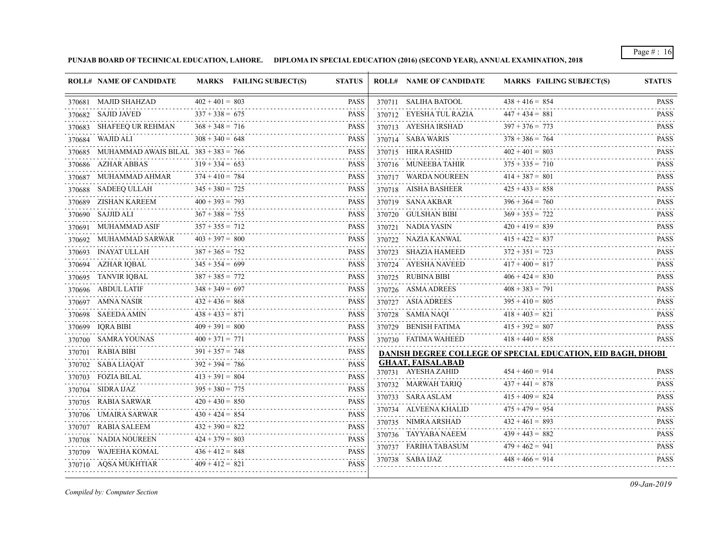**PUNJAB BOARD OF TECHNICAL EDUCATION, LAHORE. DIPLOMA IN SPECIAL EDUCATION (2016) (SECOND YEAR), ANNUAL EXAMINATION, 2018**

|        | <b>ROLL# NAME OF CANDIDATE</b>         |                   | MARKS FAILING SUBJECT(S) | <b>STATUS</b>                                                                                                                                                                                                       | <b>ROLL# NAME OF CANDIDATE</b>                  | <b>MARKS FAILING SUBJECT(S)</b>                                    | <b>STATUS</b>                |
|--------|----------------------------------------|-------------------|--------------------------|---------------------------------------------------------------------------------------------------------------------------------------------------------------------------------------------------------------------|-------------------------------------------------|--------------------------------------------------------------------|------------------------------|
|        | 370681 MAJID SHAHZAD                   | $402 + 401 = 803$ |                          | <b>PASS</b>                                                                                                                                                                                                         | 370711 SALIHA BATOOL                            | $438 + 416 = 854$                                                  | <b>PASS</b>                  |
|        | 370682 SAJID JAVED                     | $337 + 338 = 675$ |                          | <b>PASS</b>                                                                                                                                                                                                         | 370712 EYESHA TUL RAZIA                         | $447 + 434 = 881$                                                  | <b>PASS</b>                  |
|        | 370683 SHAFEEQ UR REHMAN               | $368 + 348 = 716$ |                          | <b>PASS</b>                                                                                                                                                                                                         | 370713 AYESHA IRSHAD                            | $397 + 376 = 773$                                                  | <b>PASS</b><br>.             |
|        | 370684 WAJID ALI                       | $308 + 340 = 648$ |                          | <b>PASS</b>                                                                                                                                                                                                         | 370714 SABA WARIS                               | $378 + 386 = 764$                                                  | <b>PASS</b><br>.             |
| 370685 | MUHAMMAD AWAIS BILAL $383 + 383 = 766$ |                   |                          | <b>PASS</b>                                                                                                                                                                                                         | 370715 HIRA RASHID                              | $402 + 401 = 803$                                                  | <b>PASS</b>                  |
|        | 370686 AZHAR ABBAS                     | $319 + 334 = 653$ |                          | <b>PASS</b>                                                                                                                                                                                                         | 370716 MUNEEBA TAHIR                            | $375 + 335 = 710$                                                  | <b>PASS</b><br>.             |
|        | 370687 MUHAMMAD AHMAR                  | $374 + 410 = 784$ |                          | <b>PASS</b>                                                                                                                                                                                                         | 370717 WARDA NOUREEN                            | $414 + 387 = 801$                                                  | <b>PASS</b>                  |
|        | 370688 SADEEQ ULLAH                    | $345 + 380 = 725$ |                          | <b>PASS</b>                                                                                                                                                                                                         | 370718 AISHA BASHEER                            | $425 + 433 = 858$                                                  | <b>PASS</b><br>.             |
|        | 370689 ZISHAN KAREEM                   | $400 + 393 = 793$ |                          | <b>PASS</b>                                                                                                                                                                                                         | 370719 SANA AKBAR                               | $396 + 364 = 760$                                                  | <b>PASS</b>                  |
|        | 370690 SAJJID ALI                      | $367 + 388 = 755$ |                          | <b>PASS</b>                                                                                                                                                                                                         | 370720 GULSHAN BIBI                             | $369 + 353 = 722$                                                  | <b>PASS</b>                  |
|        | 370691 MUHAMMAD ASIF                   | $357 + 355 = 712$ |                          | <b>PASS</b>                                                                                                                                                                                                         | 370721 NADIA YASIN                              | $420 + 419 = 839$                                                  | <b>PASS</b><br>.             |
|        | 370692 MUHAMMAD SARWAR                 | $403 + 397 = 800$ |                          | <b>PASS</b>                                                                                                                                                                                                         | 370722 NAZIA KANWAL                             | $415 + 422 = 837$                                                  | <b>PASS</b>                  |
|        | 370693 INAYAT ULLAH                    | $387 + 365 = 752$ |                          | <b>PASS</b>                                                                                                                                                                                                         | 370723 SHAZIA HAMEED                            | $372 + 351 = 723$                                                  | <b>PASS</b>                  |
|        | 370694 AZHAR IQBAL                     | $345 + 354 = 699$ |                          | <b>PASS</b>                                                                                                                                                                                                         | 370724 AYESHA NAVEED                            | $417 + 400 = 817$                                                  | <b>PASS</b><br>.             |
|        | 370695 TANVIR IQBAL                    | $387 + 385 = 772$ |                          | <b>PASS</b>                                                                                                                                                                                                         | 370725 RUBINA BIBI                              | $406 + 424 = 830$                                                  | <b>PASS</b><br>.             |
|        | 370696 ABDUL LATIF                     | $348 + 349 = 697$ |                          | <b>PASS</b>                                                                                                                                                                                                         | 370726 ASMA ADREES                              | $408 + 383 = 791$                                                  | <b>PASS</b>                  |
|        | 370697 AMNA NASIR                      | $432 + 436 = 868$ |                          | <b>PASS</b>                                                                                                                                                                                                         | 370727 ASIA ADREES                              | $395 + 410 = 805$                                                  | <b>PASS</b>                  |
|        | 370698 SAEEDA AMIN                     | $438 + 433 = 871$ |                          | <b>PASS</b>                                                                                                                                                                                                         | 370728 SAMIA NAQI                               | $418 + 403 = 821$                                                  | <b>PASS</b>                  |
|        | 370699 IQRA BIBI                       | $409 + 391 = 800$ |                          | <b>PASS</b>                                                                                                                                                                                                         | 370729 BENISH FATIMA                            | $415 + 392 = 807$                                                  | <b>PASS</b><br>in in in in i |
|        | 370700 SAMRA YOUNAS                    | $400 + 371 = 771$ |                          | <b>PASS</b><br>$\mathcal{L}^{\mathcal{A}}\left( \mathcal{A}^{\mathcal{A}}\right) \mathcal{L}^{\mathcal{A}}\left( \mathcal{A}^{\mathcal{A}}\right) \mathcal{L}^{\mathcal{A}}\left( \mathcal{A}^{\mathcal{A}}\right)$ | 370730 FATIMA WAHEED                            | $418 + 440 = 858$                                                  | <b>PASS</b>                  |
| 370701 | RABIA BIBI                             | $391 + 357 = 748$ |                          | <b>PASS</b><br>.                                                                                                                                                                                                    |                                                 | <b>DANISH DEGREE COLLEGE OF SPECIAL EDUCATION, EID BAGH, DHOBI</b> |                              |
|        | 370702 SABA LIAQAT                     | $392 + 394 = 786$ |                          | <b>PASS</b>                                                                                                                                                                                                         | <b>GHAAT, FAISALABAD</b><br>370731 AYESHA ZAHID | $454 + 460 = 914$                                                  | <b>PASS</b>                  |
| 370703 | FOZIA BILAL                            | $413 + 391 = 804$ |                          | <b>PASS</b>                                                                                                                                                                                                         |                                                 | $437 + 441 = 878$                                                  | <b>PASS</b>                  |
|        | 370704 SIDRA IJAZ                      | $395 + 380 = 775$ |                          | <b>PASS</b>                                                                                                                                                                                                         | 370732 MARWAH TARIQ                             | $415 + 409 = 824$                                                  | 1.1.1.1.1                    |
|        | 370705 RABIA SARWAR                    | $420 + 430 = 850$ |                          | <b>PASS</b>                                                                                                                                                                                                         | 370733 SARA ASLAM                               | $475 + 479 = 954$                                                  | <b>PASS</b>                  |
| 370706 | UMAIRA SARWAR                          | $430 + 424 = 854$ |                          | <b>PASS</b>                                                                                                                                                                                                         | 370734 ALVEENA KHALID                           | $432 + 461 = 893$                                                  | <b>PASS</b><br><b>PASS</b>   |
| 370707 | RABIA SALEEM                           | $432 + 390 = 822$ |                          | <b>PASS</b>                                                                                                                                                                                                         | 370735 NIMRA ARSHAD                             | $439 + 443 = 882$                                                  | <b>PASS</b>                  |
|        | 370708 NADIA NOUREEN                   | $424 + 379 = 803$ |                          | <b>PASS</b>                                                                                                                                                                                                         | 370736 TAYYABA NAEEM<br>370737 FARIHA TABASUM   | $479 + 462 = 941$                                                  | .                            |
| 370709 | WAJEEHA KOMAL                          | $436 + 412 = 848$ |                          | <b>PASS</b>                                                                                                                                                                                                         | .                                               |                                                                    | <b>PASS</b>                  |
|        | 370710 AQSA MUKHTIAR                   | $409 + 412 = 821$ |                          | <b>PASS</b>                                                                                                                                                                                                         | 370738 SABA IJAZ                                | $448 + 466 = 914$                                                  | <b>PASS</b>                  |
|        |                                        |                   |                          |                                                                                                                                                                                                                     |                                                 |                                                                    |                              |

*Compiled by: Computer Section*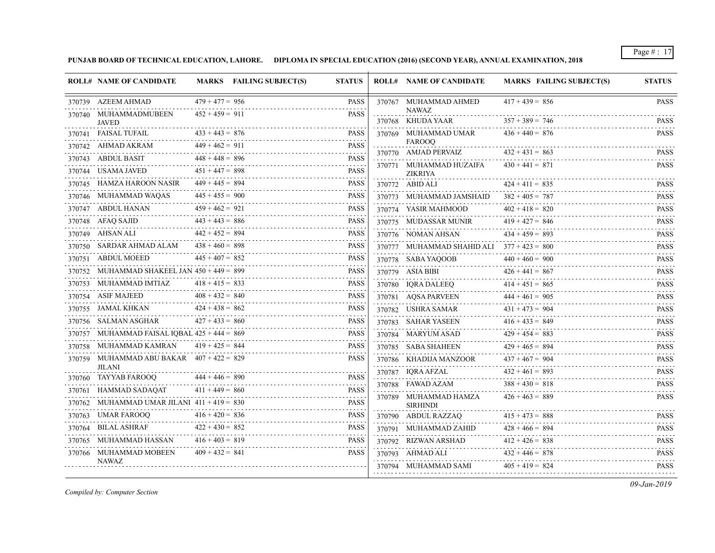**PUNJAB BOARD OF TECHNICAL EDUCATION, LAHORE. DIPLOMA IN SPECIAL EDUCATION (2016) (SECOND YEAR), ANNUAL EXAMINATION, 2018**

|        | <b>ROLL# NAME OF CANDIDATE</b>                |                   | MARKS FAILING SUBJECT(S) | <b>STATUS</b>    | <b>ROLL# NAME OF CANDIDATE</b>               | <b>MARKS FAILING SUBJECT(S)</b> | <b>STATUS</b>                       |
|--------|-----------------------------------------------|-------------------|--------------------------|------------------|----------------------------------------------|---------------------------------|-------------------------------------|
|        | 370739 AZEEM AHMAD                            | $479 + 477 = 956$ |                          | <b>PASS</b>      | 370767 MUHAMMAD AHMED                        | $417 + 439 = 856$               | <b>PASS</b>                         |
|        | 370740 MUHAMMADMUBEEN<br><b>JAVED</b>         | $452 + 459 = 911$ |                          | <b>PASS</b>      | <b>NAWAZ</b><br>370768 KHUDA YAAR            | $357 + 389 = 746$               | <b>PASS</b>                         |
|        | 370741 FAISAL TUFAIL                          | $433 + 443 = 876$ |                          | <b>PASS</b>      | 370769 MUHAMMAD UMAR                         | $436 + 440 = 876$               | <b>PASS</b>                         |
|        | 370742 AHMAD AKRAM                            | $449 + 462 = 911$ |                          | <b>PASS</b>      | <b>FAROOO</b>                                |                                 |                                     |
|        | 370743 ABDUL BASIT                            | $448 + 448 = 896$ |                          | <b>PASS</b>      | 370770 AMJAD PERVAIZ                         | $432 + 431 = 863$               | <b>PASS</b>                         |
|        | 370744 USAMA JAVED                            | $451 + 447 = 898$ |                          | .<br><b>PASS</b> | 370771 MUHAMMAD HUZAIFA<br><b>ZIKRIYA</b>    | $430 + 441 = 871$               | <b>PASS</b>                         |
| 370745 | HAMZA HAROON NASIR                            | $449 + 445 = 894$ |                          | <b>PASS</b>      | 370772 ABID ALI                              | $424 + 411 = 835$               | <b>PASS</b>                         |
|        | 370746 MUHAMMAD WAQAS                         | $445 + 455 = 900$ |                          | <b>PASS</b>      | 370773 MUHAMMAD JAMSHAID                     | $382 + 405 = 787$               | <b>PASS</b>                         |
|        | 370747 ABDUL HANAN                            | $459 + 462 = 921$ |                          | <b>PASS</b>      | 370774 YASIR MAHMOOD                         | $402 + 418 = 820$               | <b>PASS</b>                         |
|        | 370748 AFAQ SAJID                             | $443 + 443 = 886$ |                          | <b>PASS</b>      | 370775 MUDASSAR MUNIR                        | $419 + 427 = 846$               | .<br><b>PASS</b>                    |
|        | 370749 AHSAN ALI                              | $442 + 452 = 894$ |                          | <b>PASS</b>      | .<br>370776 NOMAN AHSAN                      | $434 + 459 = 893$               | .<br><b>PASS</b>                    |
|        | 370750 SARDAR AHMAD ALAM                      | $438 + 460 = 898$ |                          | <b>PASS</b>      | 370777 MUHAMMAD SHAHID ALI $377 + 423 = 800$ |                                 | <b>PASS</b>                         |
|        | 370751 ABDUL MOEED                            | $445 + 407 = 852$ |                          | <b>PASS</b>      | 370778 SABA YAQOOB                           | $440 + 460 = 900$               | <b>PASS</b>                         |
|        | 370752 MUHAMMAD SHAKEEL JAN $450 + 449 = 899$ |                   |                          | <b>PASS</b>      | 370779 ASIA BIBI                             | $426 + 441 = 867$               | <b>PASS</b><br>.                    |
|        | 370753 MUHAMMAD IMTIAZ                        | $418 + 415 = 833$ |                          | <b>PASS</b>      | 370780 IQRA DALEEQ                           | $414 + 451 = 865$               | <b>PASS</b><br>2.2.2.2.2.2          |
|        | 370754 ASIF MAJEED                            | $408 + 432 = 840$ |                          | <b>PASS</b>      | 370781 AQSA PARVEEN                          | $444 + 461 = 905$               | <b>PASS</b><br>.                    |
|        | 370755 JAMAL KHKAN                            | $424 + 438 = 862$ |                          | <b>PASS</b>      | 370782 USHRA SAMAR                           | $431 + 473 = 904$               | <b>PASS</b><br>.                    |
|        | 370756 SALMAN ASGHAR                          | $427 + 433 = 860$ |                          | <b>PASS</b>      | 370783 SAHAR YASEEN                          | $416 + 433 = 849$               | <b>PASS</b>                         |
|        | 370757 MUHAMMAD FAISAL IQBAL 425 + 444 = 869  |                   |                          | <b>PASS</b>      | 370784 MARYUM ASAD                           | $429 + 454 = 883$               | <b>PASS</b><br>.                    |
|        | 370758 MUHAMMAD KAMRAN                        | $419 + 425 = 844$ |                          | <b>PASS</b>      | 370785 SABA SHAHEEN                          | $429 + 465 = 894$               | <b>PASS</b><br>.                    |
|        | 370759 MUHAMMAD ABU BAKAR $407 + 422 = 829$   |                   |                          | <b>PASS</b>      | 370786 KHADIJA MANZOOR<br>.                  | $437 + 467 = 904$               | <b>PASS</b>                         |
|        | <b>JILANI</b><br>370760 TAYYAB FAROOO         | $444 + 446 = 890$ |                          | <b>PASS</b>      | 370787 IQRA AFZAL                            | $432 + 461 = 893$               | <b>PASS</b>                         |
|        | 370761 HAMMAD SADAQAT                         | $411 + 449 = 860$ |                          | <b>PASS</b>      | 370788 FAWAD AZAM                            | $388 + 430 = 818$               | <b>PASS</b>                         |
|        | 370762 MUHAMMAD UMAR JILANI $411 + 419 = 830$ |                   |                          | <b>PASS</b>      | 370789 MUHAMMAD HAMZA<br><b>SIRHINDI</b>     | $426 + 463 = 889$               | <b>PASS</b>                         |
|        | 370763 UMAR FAROOQ                            | $416 + 420 = 836$ |                          | <b>PASS</b>      | 370790 ABDUL RAZZAQ                          | $415 + 473 = 888$               | <b>PASS</b>                         |
|        | 370764 BILAL ASHRAF                           | $422 + 430 = 852$ |                          | <b>PASS</b>      | 370791 MUHAMMAD ZAHID                        | $428 + 466 = 894$               | .<br><b>PASS</b>                    |
|        | 370765 MUHAMMAD HASSAN                        | $416 + 403 = 819$ |                          | <b>PASS</b>      | 370792 RIZWAN ARSHAD                         | $412 + 426 = 838$               | $\omega$ is a second<br><b>PASS</b> |
|        | 370766 MUHAMMAD MOBEEN                        | $409 + 432 = 841$ |                          | <b>PASS</b>      | 370793 AHMAD ALI                             | $432 + 446 = 878$               | .<br><b>PASS</b>                    |
|        | <b>NAWAZ</b>                                  |                   |                          |                  | 370794 MUHAMMAD SAMI                         | $405 + 419 = 824$               | <b>PASS</b>                         |
|        |                                               |                   |                          |                  |                                              |                                 |                                     |

*Compiled by: Computer Section*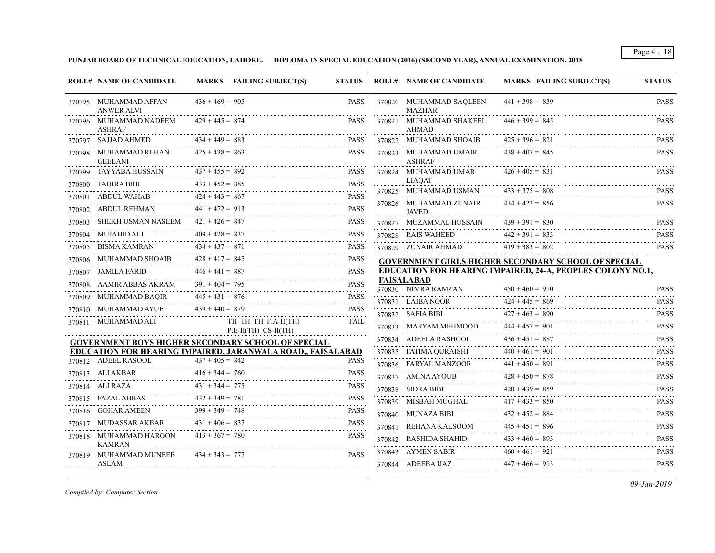**PUNJAB BOARD OF TECHNICAL EDUCATION, LAHORE. DIPLOMA IN SPECIAL EDUCATION (2016) (SECOND YEAR), ANNUAL EXAMINATION, 2018**

|        | <b>ROLL# NAME OF CANDIDATE</b>             |                   | MARKS FAILING SUBJECT(S)                                    | <b>STATUS</b>    | <b>ROLL# NAME OF CANDIDATE</b>           | <b>MARKS FAILING SUBJECT(S)</b>                            | <b>STATUS</b>              |
|--------|--------------------------------------------|-------------------|-------------------------------------------------------------|------------------|------------------------------------------|------------------------------------------------------------|----------------------------|
|        | 370795 MUHAMMAD AFFAN<br><b>ANWER ALVI</b> | $436 + 469 = 905$ |                                                             | <b>PASS</b>      | 370820 MUHAMMAD SAQLEEN<br><b>MAZHAR</b> | $441 + 398 = 839$                                          | <b>PASS</b>                |
|        | 370796 MUHAMMAD NADEEM<br><b>ASHRAF</b>    | $429 + 445 = 874$ |                                                             | <b>PASS</b>      | 370821 MUHAMMAD SHAKEEL<br><b>AHMAD</b>  | $446 + 399 = 845$                                          | <b>PASS</b>                |
|        | 370797 SAJJAD AHMED                        | $434 + 449 = 883$ |                                                             | <b>PASS</b>      | 370822 MUHAMMAD SHOAIB                   | $425 + 396 = 821$                                          | <b>PASS</b>                |
|        | 370798 MUHAMMAD REHAN<br><b>GEELANI</b>    | $425 + 438 = 863$ |                                                             | <b>PASS</b>      | 370823 MUHAMMAD UMAIR<br><b>ASHRAF</b>   | $438 + 407 = 845$                                          | <b>PASS</b>                |
|        | 370799 TAYYABA HUSSAIN                     | $437 + 455 = 892$ |                                                             | <b>PASS</b>      | 370824 MUHAMMAD UMAR                     | $426 + 405 = 831$                                          | <b>PASS</b>                |
|        | 370800 TAHIRA BIBI                         | $433 + 452 = 885$ |                                                             | <b>PASS</b>      | <b>LIAOAT</b><br>370825 MUHAMMAD USMAN   | $433 + 375 = 808$                                          | <b>PASS</b>                |
|        | 370801 ABDUL WAHAB                         | $424 + 443 = 867$ |                                                             | <b>PASS</b><br>. | 370826 MUHAMMAD ZUNAIR                   | $434 + 422 = 856$                                          | <b>PASS</b>                |
|        | 370802 ABDUL REHMAN                        | $441 + 472 = 913$ |                                                             | <b>PASS</b>      | <b>JAVED</b>                             |                                                            |                            |
| 370803 | SHEKH USMAN NASEEM                         | $421 + 426 = 847$ |                                                             | <b>PASS</b>      | 370827 MUZAMMAL HUSSAIN                  | $439 + 391 = 830$                                          | <b>PASS</b>                |
|        | 370804 MUJAHID ALI                         | $409 + 428 = 837$ |                                                             | <b>PASS</b>      | 370828 RAIS WAHEED                       | $442 + 391 = 833$                                          | .<br><b>PASS</b>           |
| 370805 | <b>BISMA KAMRAN</b>                        | $434 + 437 = 871$ |                                                             | <b>PASS</b>      | 370829 ZUNAIR AHMAD                      | $419 + 383 = 802$                                          | .<br><b>PASS</b>           |
|        | 370806 MUHAMMAD SHOAIB                     | $428 + 417 = 845$ |                                                             | <b>PASS</b>      |                                          | <b>GOVERNMENT GIRLS HIGHER SECONDARY SCHOOL OF SPECIAL</b> |                            |
|        | 370807 JAMILA FARID                        | $446 + 441 = 887$ |                                                             | <b>PASS</b>      |                                          | EDUCATION FOR HEARING IMPAIRED, 24-A, PEOPLES COLONY NO.1, |                            |
|        | 370808 AAMIR ABBAS AKRAM                   | $391 + 404 = 795$ |                                                             | <b>PASS</b>      | <b>FAISALABAD</b><br>370830 NIMRA RAMZAN | $450 + 460 = 910$                                          | <b>PASS</b>                |
|        | 370809 MUHAMMAD BAQIR                      | $445 + 431 = 876$ |                                                             | <b>PASS</b>      | 370831 LAIBA NOOR                        | $424 + 445 = 869$                                          | <b>PASS</b>                |
|        | 370810 MUHAMMAD AYUB                       | $439 + 440 = 879$ |                                                             | <b>PASS</b>      | 370832 SAFIA BIBI                        | $427 + 463 = 890$                                          | <b>PASS</b>                |
|        | 370811 MUHAMMAD ALI                        |                   | TH TH TH F.A-II(TH)<br>$P.E-II(TH) CS-II(TH)$               | FAIL             | 370833 MARYAM MEHMOOD                    | $444 + 457 = 901$                                          | <b>PASS</b>                |
|        |                                            |                   | <b>GOVERNMENT BOYS HIGHER SECONDARY SCHOOL OF SPECIAL</b>   |                  | 370834 ADEELA RASHOOL                    | $436 + 451 = 887$                                          | .<br><b>PASS</b>           |
|        |                                            |                   | EDUCATION FOR HEARING IMPAIRED, JARANWALA ROAD., FAISALABAD |                  | 370835 FATIMA QURAISHI                   | $440 + 461 = 901$                                          | .<br><b>PASS</b>           |
|        | 370812 ADEEL RASOOL                        | $437 + 405 = 842$ |                                                             | <b>PASS</b>      | 370836 FARYAL MANZOOR                    | $441 + 450 = 891$                                          | <b>PASS</b>                |
|        | 370813 ALI AKBAR                           | $416 + 344 = 760$ |                                                             | <b>PASS</b>      | 370837 AMINA AYOUB                       | $428 + 450 = 878$                                          | .<br><b>PASS</b>           |
|        | 370814 ALI RAZA                            | $431 + 344 = 775$ |                                                             | <b>PASS</b>      | 370838 SIDRA BIBI                        | $420 + 439 = 859$                                          | <b>PASS</b>                |
|        | 370815 FAZAL ABBAS                         | $432 + 349 = 781$ |                                                             | <b>PASS</b>      | 370839 MISBAH MUGHAL                     | $417 + 433 = 850$                                          | <b>PASS</b>                |
|        | 370816 GOHAR AMEEN                         | $399 + 349 = 748$ |                                                             | <b>PASS</b>      | 370840 MUNAZA BIBI                       | $432 + 452 = 884$                                          | <b>PASS</b>                |
|        | 370817 MUDASSAR AKBAR                      | $431 + 406 = 837$ |                                                             | <b>PASS</b>      | 370841 REHANA KALSOOM                    | $445 + 451 = 896$                                          | <u>.</u><br><b>PASS</b>    |
|        | 370818 MUHAMMAD HAROON<br><b>KAMRAN</b>    | $413 + 367 = 780$ |                                                             | <b>PASS</b>      | 370842 RASHIDA SHAHID                    | $433 + 460 = 893$                                          | <b>PASS</b>                |
|        | 370819 MUHAMMAD MUNEEB<br><b>ASLAM</b>     | $434 + 343 = 777$ |                                                             | <b>PASS</b>      | 370843 AYMEN SABIR<br>370844 ADEEBA IJAZ | $460 + 461 = 921$<br>$447 + 466 = 913$                     | <b>PASS</b><br><b>PASS</b> |
|        |                                            |                   |                                                             |                  |                                          |                                                            |                            |

*Compiled by: Computer Section*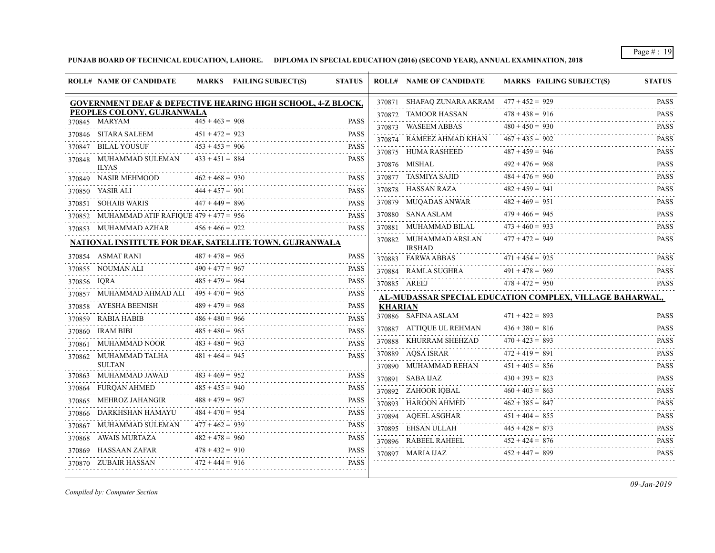**PUNJAB BOARD OF TECHNICAL EDUCATION, LAHORE. DIPLOMA IN SPECIAL EDUCATION (2016) (SECOND YEAR), ANNUAL EXAMINATION, 2018**

| 370871 SHAFAQ ZUNARA AKRAM 477 + 452 = 929<br><b>GOVERNMENT DEAF &amp; DEFECTIVE HEARING HIGH SCHOOL, 4-Z BLOCK,</b><br>PEOPLES COLONY, GUJRANWALA<br>$478 + 438 = 916$<br>370872 TAMOOR HASSAN<br>370845 MARYAM<br>$445 + 463 = 908$<br><b>PASS</b><br>$480 + 450 = 930$<br>370873 WASEEM ABBAS<br>$451 + 472 = 923$<br>370846 SITARA SALEEM<br><b>PASS</b><br><u>.</u><br>$467 + 435 = 902$<br>370874 RAMEEZ AHMAD KHAN<br>370847 BILAL YOUSUF<br>$453 + 453 = 906$<br><b>PASS</b><br>. <b>.</b><br>$487 + 459 = 946$<br>370875 HUMA RASHEED<br>$433 + 451 = 884$<br><b>PASS</b><br>370848 MUHAMMAD SULEMAN<br>$492 + 476 = 968$<br>370876 MISHAL<br><b>ILYAS</b><br>2.2.2.2.2.2<br>370877 TASMIYA SAJID $484 + 476 = 960$<br>$462 + 468 = 930$<br>370849 NASIR MEHMOOD<br><b>PASS</b><br>.<br>.<br>$482 + 459 = 941$<br>$370878 \quad \text{HASSAN RAZA}$<br>$444 + 457 = 901$<br><b>PASS</b><br>370850 YASIR ALI<br>$482 + 469 = 951$<br>370879 MUQADAS ANWAR<br>$447 + 449 = 896$<br>370851 SOHAIB WARIS<br><b>PASS</b><br>$479 + 466 = 945$<br>370880 SANA ASLAM<br>370852 MUHAMMAD ATIF RAFIQUE $479 + 477 = 956$<br><b>PASS</b><br>.<br>$473 + 460 = 933$<br>370881 MUHAMMAD BILAL<br>370853 MUHAMMAD AZHAR<br>$456 + 466 = 922$<br><b>PASS</b><br>$477 + 472 = 949$<br>370882 MUHAMMAD ARSLAN<br>NATIONAL INSTITUTE FOR DEAF, SATELLITE TOWN, GUJRANWALA<br><b>IRSHAD</b><br>$487 + 478 = 965$<br>370854 ASMAT RANI<br><b>PASS</b><br>$471 + 454 = 925$<br>370883 FARWA ABBAS<br>$490 + 477 = 967$<br>370855 NOUMAN ALI<br><b>PASS</b><br>$491 + 478 = 969$<br>370884 RAMLA SUGHRA<br>$485 + 479 = 964$<br><b>PASS</b><br>370856 IQRA<br>$478 + 472 = 950$<br>370885 AREEJ<br>370857 MUHAMMAD AHMAD ALI $495 + 470 = 965$<br><b>PASS</b><br>AL-MUDASSAR SPECIAL EDUCATION COMPLEX, VILLAGE BAHARWAL,<br>$489 + 479 = 968$<br>370858 AYESHA BEENISH<br><b>PASS</b><br><b>KHARIAN</b><br>370886 SAFINA ASLAM<br>$471 + 422 = 893$<br>$486 + 480 = 966$<br><b>PASS</b><br>370859 RABIA HABIB<br>$436 + 380 = 816$<br>370887 ATTIQUE UL REHMAN<br>$485 + 480 = 965$<br><b>PASS</b><br>370860 IRAM BIBI<br>$470 + 423 = 893$<br>370888 KHURRAM SHEHZAD<br>370861 MUHAMMAD NOOR<br>$483 + 480 = 963$<br><b>PASS</b><br>$472 + 419 = 891$<br>370889 AQSA ISRAR<br>$481 + 464 = 945$<br>370862 MUHAMMAD TALHA<br><b>PASS</b><br><b>SULTAN</b><br>$451 + 405 = 856$<br>370890 MUHAMMAD REHAN<br>$483 + 469 = 952$<br>370863 MUHAMMAD JAWAD<br><b>PASS</b><br>$430 + 393 = 823$<br>370891 SABA IJAZ<br>$485 + 455 = 940$<br>370864 FURQAN AHMED<br><b>PASS</b><br>$460 + 403 = 863$<br>370892 ZAHOOR IQBAL<br>$488 + 479 = 967$<br><b>PASS</b><br>370865 MEHROZ JAHANGIR<br>$462 + 385 = 847$<br>370893 HAROON AHMED<br>$484 + 470 = 954$<br>370866 DARKHSHAN HAMAYU<br><b>PASS</b><br>$451 + 404 = 855$<br>370894 AQEEL ASGHAR 4<br>$477 + 462 = 939$<br>370867 MUHAMMAD SULEMAN<br><b>PASS</b><br>$445 + 428 = 873$<br>370895 EHSAN ULLAH<br>.<br>$482 + 478 = 960$<br><b>PASS</b><br>370868 AWAIS MURTAZA<br>$452 + 424 = 876$<br>370896 RABEEL RAHEEL<br>.<br>$478 + 432 = 910$<br>370869 HASSAAN ZAFAR<br><b>PASS</b><br>$452 + 447 = 899$<br>370897 MARIA IJAZ<br>$472 + 444 = 916$<br><b>PASS</b><br>370870 ZUBAIR HASSAN | <b>ROLL# NAME OF CANDIDATE</b> | MARKS FAILING SUBJECT(S) | <b>STATUS</b> | <b>ROLL# NAME OF CANDIDATE</b> | <b>MARKS FAILING SUBJECT(S)</b> | <b>STATUS</b>           |
|---------------------------------------------------------------------------------------------------------------------------------------------------------------------------------------------------------------------------------------------------------------------------------------------------------------------------------------------------------------------------------------------------------------------------------------------------------------------------------------------------------------------------------------------------------------------------------------------------------------------------------------------------------------------------------------------------------------------------------------------------------------------------------------------------------------------------------------------------------------------------------------------------------------------------------------------------------------------------------------------------------------------------------------------------------------------------------------------------------------------------------------------------------------------------------------------------------------------------------------------------------------------------------------------------------------------------------------------------------------------------------------------------------------------------------------------------------------------------------------------------------------------------------------------------------------------------------------------------------------------------------------------------------------------------------------------------------------------------------------------------------------------------------------------------------------------------------------------------------------------------------------------------------------------------------------------------------------------------------------------------------------------------------------------------------------------------------------------------------------------------------------------------------------------------------------------------------------------------------------------------------------------------------------------------------------------------------------------------------------------------------------------------------------------------------------------------------------------------------------------------------------------------------------------------------------------------------------------------------------------------------------------------------------------------------------------------------------------------------------------------------------------------------------------------------------------------------------------------------------------------------------------------------------------------------------------------------------------------------------------------------------------------------------------------------------------------------------------------------------------------------------------------------------------------------------------------------------------------------|--------------------------------|--------------------------|---------------|--------------------------------|---------------------------------|-------------------------|
|                                                                                                                                                                                                                                                                                                                                                                                                                                                                                                                                                                                                                                                                                                                                                                                                                                                                                                                                                                                                                                                                                                                                                                                                                                                                                                                                                                                                                                                                                                                                                                                                                                                                                                                                                                                                                                                                                                                                                                                                                                                                                                                                                                                                                                                                                                                                                                                                                                                                                                                                                                                                                                                                                                                                                                                                                                                                                                                                                                                                                                                                                                                                                                                                                                 |                                |                          |               |                                |                                 | <b>PASS</b>             |
|                                                                                                                                                                                                                                                                                                                                                                                                                                                                                                                                                                                                                                                                                                                                                                                                                                                                                                                                                                                                                                                                                                                                                                                                                                                                                                                                                                                                                                                                                                                                                                                                                                                                                                                                                                                                                                                                                                                                                                                                                                                                                                                                                                                                                                                                                                                                                                                                                                                                                                                                                                                                                                                                                                                                                                                                                                                                                                                                                                                                                                                                                                                                                                                                                                 |                                |                          |               |                                |                                 | <b>PASS</b>             |
|                                                                                                                                                                                                                                                                                                                                                                                                                                                                                                                                                                                                                                                                                                                                                                                                                                                                                                                                                                                                                                                                                                                                                                                                                                                                                                                                                                                                                                                                                                                                                                                                                                                                                                                                                                                                                                                                                                                                                                                                                                                                                                                                                                                                                                                                                                                                                                                                                                                                                                                                                                                                                                                                                                                                                                                                                                                                                                                                                                                                                                                                                                                                                                                                                                 |                                |                          |               |                                |                                 | <b>PASS</b>             |
|                                                                                                                                                                                                                                                                                                                                                                                                                                                                                                                                                                                                                                                                                                                                                                                                                                                                                                                                                                                                                                                                                                                                                                                                                                                                                                                                                                                                                                                                                                                                                                                                                                                                                                                                                                                                                                                                                                                                                                                                                                                                                                                                                                                                                                                                                                                                                                                                                                                                                                                                                                                                                                                                                                                                                                                                                                                                                                                                                                                                                                                                                                                                                                                                                                 |                                |                          |               |                                |                                 | <b>PASS</b>             |
|                                                                                                                                                                                                                                                                                                                                                                                                                                                                                                                                                                                                                                                                                                                                                                                                                                                                                                                                                                                                                                                                                                                                                                                                                                                                                                                                                                                                                                                                                                                                                                                                                                                                                                                                                                                                                                                                                                                                                                                                                                                                                                                                                                                                                                                                                                                                                                                                                                                                                                                                                                                                                                                                                                                                                                                                                                                                                                                                                                                                                                                                                                                                                                                                                                 |                                |                          |               |                                |                                 | <b>PASS</b>             |
|                                                                                                                                                                                                                                                                                                                                                                                                                                                                                                                                                                                                                                                                                                                                                                                                                                                                                                                                                                                                                                                                                                                                                                                                                                                                                                                                                                                                                                                                                                                                                                                                                                                                                                                                                                                                                                                                                                                                                                                                                                                                                                                                                                                                                                                                                                                                                                                                                                                                                                                                                                                                                                                                                                                                                                                                                                                                                                                                                                                                                                                                                                                                                                                                                                 |                                |                          |               |                                |                                 | <b>PASS</b>             |
|                                                                                                                                                                                                                                                                                                                                                                                                                                                                                                                                                                                                                                                                                                                                                                                                                                                                                                                                                                                                                                                                                                                                                                                                                                                                                                                                                                                                                                                                                                                                                                                                                                                                                                                                                                                                                                                                                                                                                                                                                                                                                                                                                                                                                                                                                                                                                                                                                                                                                                                                                                                                                                                                                                                                                                                                                                                                                                                                                                                                                                                                                                                                                                                                                                 |                                |                          |               |                                |                                 | <b>PASS</b>             |
|                                                                                                                                                                                                                                                                                                                                                                                                                                                                                                                                                                                                                                                                                                                                                                                                                                                                                                                                                                                                                                                                                                                                                                                                                                                                                                                                                                                                                                                                                                                                                                                                                                                                                                                                                                                                                                                                                                                                                                                                                                                                                                                                                                                                                                                                                                                                                                                                                                                                                                                                                                                                                                                                                                                                                                                                                                                                                                                                                                                                                                                                                                                                                                                                                                 |                                |                          |               |                                |                                 | <b>PASS</b>             |
|                                                                                                                                                                                                                                                                                                                                                                                                                                                                                                                                                                                                                                                                                                                                                                                                                                                                                                                                                                                                                                                                                                                                                                                                                                                                                                                                                                                                                                                                                                                                                                                                                                                                                                                                                                                                                                                                                                                                                                                                                                                                                                                                                                                                                                                                                                                                                                                                                                                                                                                                                                                                                                                                                                                                                                                                                                                                                                                                                                                                                                                                                                                                                                                                                                 |                                |                          |               |                                |                                 | <b>PASS</b>             |
|                                                                                                                                                                                                                                                                                                                                                                                                                                                                                                                                                                                                                                                                                                                                                                                                                                                                                                                                                                                                                                                                                                                                                                                                                                                                                                                                                                                                                                                                                                                                                                                                                                                                                                                                                                                                                                                                                                                                                                                                                                                                                                                                                                                                                                                                                                                                                                                                                                                                                                                                                                                                                                                                                                                                                                                                                                                                                                                                                                                                                                                                                                                                                                                                                                 |                                |                          |               |                                |                                 | <b>PASS</b>             |
|                                                                                                                                                                                                                                                                                                                                                                                                                                                                                                                                                                                                                                                                                                                                                                                                                                                                                                                                                                                                                                                                                                                                                                                                                                                                                                                                                                                                                                                                                                                                                                                                                                                                                                                                                                                                                                                                                                                                                                                                                                                                                                                                                                                                                                                                                                                                                                                                                                                                                                                                                                                                                                                                                                                                                                                                                                                                                                                                                                                                                                                                                                                                                                                                                                 |                                |                          |               |                                |                                 | <b>PASS</b>             |
|                                                                                                                                                                                                                                                                                                                                                                                                                                                                                                                                                                                                                                                                                                                                                                                                                                                                                                                                                                                                                                                                                                                                                                                                                                                                                                                                                                                                                                                                                                                                                                                                                                                                                                                                                                                                                                                                                                                                                                                                                                                                                                                                                                                                                                                                                                                                                                                                                                                                                                                                                                                                                                                                                                                                                                                                                                                                                                                                                                                                                                                                                                                                                                                                                                 |                                |                          |               |                                |                                 | <b>PASS</b>             |
|                                                                                                                                                                                                                                                                                                                                                                                                                                                                                                                                                                                                                                                                                                                                                                                                                                                                                                                                                                                                                                                                                                                                                                                                                                                                                                                                                                                                                                                                                                                                                                                                                                                                                                                                                                                                                                                                                                                                                                                                                                                                                                                                                                                                                                                                                                                                                                                                                                                                                                                                                                                                                                                                                                                                                                                                                                                                                                                                                                                                                                                                                                                                                                                                                                 |                                |                          |               |                                |                                 | <b>PASS</b>             |
|                                                                                                                                                                                                                                                                                                                                                                                                                                                                                                                                                                                                                                                                                                                                                                                                                                                                                                                                                                                                                                                                                                                                                                                                                                                                                                                                                                                                                                                                                                                                                                                                                                                                                                                                                                                                                                                                                                                                                                                                                                                                                                                                                                                                                                                                                                                                                                                                                                                                                                                                                                                                                                                                                                                                                                                                                                                                                                                                                                                                                                                                                                                                                                                                                                 |                                |                          |               |                                |                                 | <b>PASS</b>             |
|                                                                                                                                                                                                                                                                                                                                                                                                                                                                                                                                                                                                                                                                                                                                                                                                                                                                                                                                                                                                                                                                                                                                                                                                                                                                                                                                                                                                                                                                                                                                                                                                                                                                                                                                                                                                                                                                                                                                                                                                                                                                                                                                                                                                                                                                                                                                                                                                                                                                                                                                                                                                                                                                                                                                                                                                                                                                                                                                                                                                                                                                                                                                                                                                                                 |                                |                          |               |                                |                                 | <u>.</u><br><b>PASS</b> |
|                                                                                                                                                                                                                                                                                                                                                                                                                                                                                                                                                                                                                                                                                                                                                                                                                                                                                                                                                                                                                                                                                                                                                                                                                                                                                                                                                                                                                                                                                                                                                                                                                                                                                                                                                                                                                                                                                                                                                                                                                                                                                                                                                                                                                                                                                                                                                                                                                                                                                                                                                                                                                                                                                                                                                                                                                                                                                                                                                                                                                                                                                                                                                                                                                                 |                                |                          |               |                                |                                 |                         |
|                                                                                                                                                                                                                                                                                                                                                                                                                                                                                                                                                                                                                                                                                                                                                                                                                                                                                                                                                                                                                                                                                                                                                                                                                                                                                                                                                                                                                                                                                                                                                                                                                                                                                                                                                                                                                                                                                                                                                                                                                                                                                                                                                                                                                                                                                                                                                                                                                                                                                                                                                                                                                                                                                                                                                                                                                                                                                                                                                                                                                                                                                                                                                                                                                                 |                                |                          |               |                                |                                 |                         |
|                                                                                                                                                                                                                                                                                                                                                                                                                                                                                                                                                                                                                                                                                                                                                                                                                                                                                                                                                                                                                                                                                                                                                                                                                                                                                                                                                                                                                                                                                                                                                                                                                                                                                                                                                                                                                                                                                                                                                                                                                                                                                                                                                                                                                                                                                                                                                                                                                                                                                                                                                                                                                                                                                                                                                                                                                                                                                                                                                                                                                                                                                                                                                                                                                                 |                                |                          |               |                                |                                 | <b>PASS</b>             |
|                                                                                                                                                                                                                                                                                                                                                                                                                                                                                                                                                                                                                                                                                                                                                                                                                                                                                                                                                                                                                                                                                                                                                                                                                                                                                                                                                                                                                                                                                                                                                                                                                                                                                                                                                                                                                                                                                                                                                                                                                                                                                                                                                                                                                                                                                                                                                                                                                                                                                                                                                                                                                                                                                                                                                                                                                                                                                                                                                                                                                                                                                                                                                                                                                                 |                                |                          |               |                                |                                 | <b>PASS</b>             |
|                                                                                                                                                                                                                                                                                                                                                                                                                                                                                                                                                                                                                                                                                                                                                                                                                                                                                                                                                                                                                                                                                                                                                                                                                                                                                                                                                                                                                                                                                                                                                                                                                                                                                                                                                                                                                                                                                                                                                                                                                                                                                                                                                                                                                                                                                                                                                                                                                                                                                                                                                                                                                                                                                                                                                                                                                                                                                                                                                                                                                                                                                                                                                                                                                                 |                                |                          |               |                                |                                 | <b>PASS</b><br>.        |
|                                                                                                                                                                                                                                                                                                                                                                                                                                                                                                                                                                                                                                                                                                                                                                                                                                                                                                                                                                                                                                                                                                                                                                                                                                                                                                                                                                                                                                                                                                                                                                                                                                                                                                                                                                                                                                                                                                                                                                                                                                                                                                                                                                                                                                                                                                                                                                                                                                                                                                                                                                                                                                                                                                                                                                                                                                                                                                                                                                                                                                                                                                                                                                                                                                 |                                |                          |               |                                |                                 | <b>PASS</b>             |
|                                                                                                                                                                                                                                                                                                                                                                                                                                                                                                                                                                                                                                                                                                                                                                                                                                                                                                                                                                                                                                                                                                                                                                                                                                                                                                                                                                                                                                                                                                                                                                                                                                                                                                                                                                                                                                                                                                                                                                                                                                                                                                                                                                                                                                                                                                                                                                                                                                                                                                                                                                                                                                                                                                                                                                                                                                                                                                                                                                                                                                                                                                                                                                                                                                 |                                |                          |               |                                |                                 | <b>PASS</b>             |
|                                                                                                                                                                                                                                                                                                                                                                                                                                                                                                                                                                                                                                                                                                                                                                                                                                                                                                                                                                                                                                                                                                                                                                                                                                                                                                                                                                                                                                                                                                                                                                                                                                                                                                                                                                                                                                                                                                                                                                                                                                                                                                                                                                                                                                                                                                                                                                                                                                                                                                                                                                                                                                                                                                                                                                                                                                                                                                                                                                                                                                                                                                                                                                                                                                 |                                |                          |               |                                |                                 | <b>PASS</b><br>.        |
|                                                                                                                                                                                                                                                                                                                                                                                                                                                                                                                                                                                                                                                                                                                                                                                                                                                                                                                                                                                                                                                                                                                                                                                                                                                                                                                                                                                                                                                                                                                                                                                                                                                                                                                                                                                                                                                                                                                                                                                                                                                                                                                                                                                                                                                                                                                                                                                                                                                                                                                                                                                                                                                                                                                                                                                                                                                                                                                                                                                                                                                                                                                                                                                                                                 |                                |                          |               |                                |                                 | <b>PASS</b><br>.        |
|                                                                                                                                                                                                                                                                                                                                                                                                                                                                                                                                                                                                                                                                                                                                                                                                                                                                                                                                                                                                                                                                                                                                                                                                                                                                                                                                                                                                                                                                                                                                                                                                                                                                                                                                                                                                                                                                                                                                                                                                                                                                                                                                                                                                                                                                                                                                                                                                                                                                                                                                                                                                                                                                                                                                                                                                                                                                                                                                                                                                                                                                                                                                                                                                                                 |                                |                          |               |                                |                                 | <b>PASS</b>             |
|                                                                                                                                                                                                                                                                                                                                                                                                                                                                                                                                                                                                                                                                                                                                                                                                                                                                                                                                                                                                                                                                                                                                                                                                                                                                                                                                                                                                                                                                                                                                                                                                                                                                                                                                                                                                                                                                                                                                                                                                                                                                                                                                                                                                                                                                                                                                                                                                                                                                                                                                                                                                                                                                                                                                                                                                                                                                                                                                                                                                                                                                                                                                                                                                                                 |                                |                          |               |                                |                                 | <b>PASS</b>             |
|                                                                                                                                                                                                                                                                                                                                                                                                                                                                                                                                                                                                                                                                                                                                                                                                                                                                                                                                                                                                                                                                                                                                                                                                                                                                                                                                                                                                                                                                                                                                                                                                                                                                                                                                                                                                                                                                                                                                                                                                                                                                                                                                                                                                                                                                                                                                                                                                                                                                                                                                                                                                                                                                                                                                                                                                                                                                                                                                                                                                                                                                                                                                                                                                                                 |                                |                          |               |                                |                                 | <b>PASS</b>             |
|                                                                                                                                                                                                                                                                                                                                                                                                                                                                                                                                                                                                                                                                                                                                                                                                                                                                                                                                                                                                                                                                                                                                                                                                                                                                                                                                                                                                                                                                                                                                                                                                                                                                                                                                                                                                                                                                                                                                                                                                                                                                                                                                                                                                                                                                                                                                                                                                                                                                                                                                                                                                                                                                                                                                                                                                                                                                                                                                                                                                                                                                                                                                                                                                                                 |                                |                          |               |                                |                                 | <b>PASS</b>             |
|                                                                                                                                                                                                                                                                                                                                                                                                                                                                                                                                                                                                                                                                                                                                                                                                                                                                                                                                                                                                                                                                                                                                                                                                                                                                                                                                                                                                                                                                                                                                                                                                                                                                                                                                                                                                                                                                                                                                                                                                                                                                                                                                                                                                                                                                                                                                                                                                                                                                                                                                                                                                                                                                                                                                                                                                                                                                                                                                                                                                                                                                                                                                                                                                                                 |                                |                          |               |                                |                                 | <b>PASS</b>             |
|                                                                                                                                                                                                                                                                                                                                                                                                                                                                                                                                                                                                                                                                                                                                                                                                                                                                                                                                                                                                                                                                                                                                                                                                                                                                                                                                                                                                                                                                                                                                                                                                                                                                                                                                                                                                                                                                                                                                                                                                                                                                                                                                                                                                                                                                                                                                                                                                                                                                                                                                                                                                                                                                                                                                                                                                                                                                                                                                                                                                                                                                                                                                                                                                                                 |                                |                          |               |                                |                                 |                         |

*Compiled by: Computer Section*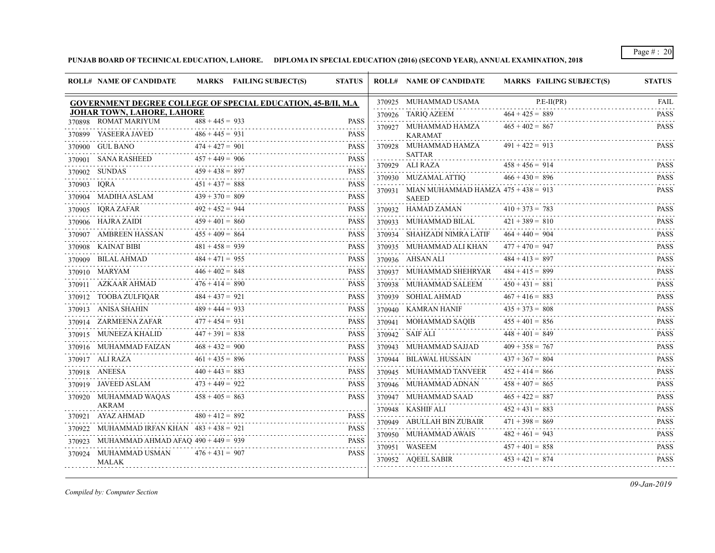**PUNJAB BOARD OF TECHNICAL EDUCATION, LAHORE. DIPLOMA IN SPECIAL EDUCATION (2016) (SECOND YEAR), ANNUAL EXAMINATION, 2018**

|             | <b>ROLL# NAME OF CANDIDATE</b>                               |                        | MARKS FAILING SUBJECT(S) | <b>STATUS</b>           | <b>ROLL# NAME OF CANDIDATE</b>               | <b>MARKS FAILING SUBJECT(S)</b> | <b>STATUS</b>                   |
|-------------|--------------------------------------------------------------|------------------------|--------------------------|-------------------------|----------------------------------------------|---------------------------------|---------------------------------|
|             | GOVERNMENT DEGREE COLLEGE OF SPECIAL EDUCATION, 45-B/II, M.A |                        |                          |                         | 370925 MUHAMMAD USAMA                        | $P.E-II(PR)$                    | <b>FAIL</b><br>.                |
|             | JOHAR TOWN, LAHORE, LAHORE                                   |                        |                          |                         | 370926 TARIQ AZEEM                           | $464 + 425 = 889$               | <b>PASS</b>                     |
|             | 370898 ROMAT MARIYUM                                         | $488 + 445 = 933$      |                          | <b>PASS</b>             | 370927 MUHAMMAD HAMZA                        | $465 + 402 = 867$               | <b>PASS</b>                     |
|             | 370899 YASEERA JAVED                                         | $486 + 445 = 931$<br>. |                          | <b>PASS</b><br><u>.</u> | <b>KARAMAT</b>                               |                                 |                                 |
|             | 370900 GUL BANO                                              | $474 + 427 = 901$      |                          | <b>PASS</b>             | 370928 MUHAMMAD HAMZA<br><b>SATTAR</b>       | $491 + 422 = 913$               | <b>PASS</b>                     |
|             | 370901 SANA RASHEED                                          | $457 + 449 = 906$      |                          | <b>PASS</b><br>.        | 370929 ALI RAZA                              | $458 + 456 = 914$               | <b>PASS</b>                     |
|             | 370902 SUNDAS                                                | $459 + 438 = 897$<br>. |                          | <b>PASS</b><br>.        | 370930 MUZAMAL ATTIO                         | $466 + 430 = 896$               | .<br><b>PASS</b>                |
| 370903 IQRA |                                                              | $451 + 437 = 888$      |                          | <b>PASS</b>             | 370931 MIAN MUHAMMAD HAMZA $475 + 438 = 913$ |                                 | 111111<br><b>PASS</b>           |
|             | 370904 MADIHA ASLAM                                          | $439 + 370 = 809$      |                          | <b>PASS</b>             | <b>SAEED</b>                                 |                                 |                                 |
|             | 370905 IQRA ZAFAR                                            | $492 + 452 = 944$      |                          | <b>PASS</b>             | 370932 HAMAD ZAMAN                           | $410 + 373 = 783$               | <b>PASS</b><br>.                |
|             | 370906 HAJRA ZAIDI                                           | $459 + 401 = 860$      |                          | <b>PASS</b>             | 370933 MUHAMMAD BILAL                        | $421 + 389 = 810$               | <b>PASS</b><br>1.1.1.1.1        |
| 370907      | AMBREEN HASSAN                                               | $455 + 409 = 864$      |                          | <b>PASS</b>             | 370934 SHAHZADI NIMRA LATIF                  | $464 + 440 = 904$               | <b>PASS</b>                     |
|             | 370908 KAINAT BIBI                                           | $481 + 458 = 939$      |                          | <b>PASS</b>             | 370935 MUHAMMAD ALI KHAN                     | $477 + 470 = 947$               | <b>PASS</b>                     |
|             | 370909 BILAL AHMAD                                           | $484 + 471 = 955$      |                          | <b>PASS</b>             | 370936 AHSAN ALI                             | $484 + 413 = 897$               | <b>PASS</b>                     |
|             | 370910 MARYAM                                                | $446 + 402 = 848$      |                          | <b>PASS</b>             | 370937 MUHAMMAD SHEHRYAR                     | $484 + 415 = 899$               | .<br><b>PASS</b><br>2.2.2.2.2.1 |
|             | 370911 AZKAAR AHMAD                                          | $476 + 414 = 890$      |                          | <b>PASS</b>             | 370938 MUHAMMAD SALEEM                       | $450 + 431 = 881$               | <b>PASS</b>                     |
|             | 370912 TOOBA ZULFIQAR                                        | $484 + 437 = 921$      |                          | <b>PASS</b>             | 370939 SOHIAL AHMAD                          | $467 + 416 = 883$               | .<br><b>PASS</b><br>.           |
|             | 370913 ANISA SHAHIN                                          | $489 + 444 = 933$      |                          | <b>PASS</b>             | 370940 KAMRAN HANIF                          | $435 + 373 = 808$               | <b>PASS</b>                     |
|             | 370914 ZARMEENA ZAFAR                                        | $477 + 454 = 931$      |                          | <b>PASS</b>             | 370941 MOHAMMAD SAOIB                        | $455 + 401 = 856$               | .<br><b>PASS</b>                |
|             | 370915 MUNEEZA KHALID                                        | $447 + 391 = 838$      |                          | <b>PASS</b>             | 370942 SAIF ALI                              | $448 + 401 = 849$               | <b>PASS</b>                     |
|             | 370916 MUHAMMAD FAIZAN                                       | $468 + 432 = 900$      |                          | <b>PASS</b>             | 370943 MUHAMMAD SAJJAD                       | $409 + 358 = 767$               | .<br><b>PASS</b>                |
|             | 370917 ALI RAZA                                              | $461 + 435 = 896$      |                          | <b>PASS</b>             | 370944 BILAWAL HUSSAIN                       | $437 + 367 = 804$               | .<br><b>PASS</b>                |
|             | 370918 ANEESA                                                | $440 + 443 = 883$      |                          | <b>PASS</b>             | 370945 MUHAMMAD TANVEER                      | $452 + 414 = 866$               | <b>PASS</b>                     |
|             | 370919 JAVEED ASLAM                                          | $473 + 449 = 922$      |                          | <b>PASS</b>             | 370946 MUHAMMAD ADNAN                        | $458 + 407 = 865$               | .<br><b>PASS</b>                |
|             | 370920 MUHAMMAD WAQAS                                        | $458 + 405 = 863$      |                          | <b>PASS</b>             | 370947 MUHAMMAD SAAD                         | $465 + 422 = 887$               | .<br><b>PASS</b>                |
|             | AKRAM                                                        |                        |                          |                         | 370948 KASHIF ALI                            | $452 + 431 = 883$               | <b>PASS</b>                     |
|             | 370921 AYAZ AHMAD                                            | $480 + 412 = 892$      |                          | <b>PASS</b>             | 370949 ABULLAH BIN ZUBAIR                    | $471 + 398 = 869$               | <b>PASS</b>                     |
|             | 370922 MUHAMMAD IRFAN KHAN $483 + 438 = 921$                 |                        |                          | <b>PASS</b><br>.        | 370950 MUHAMMAD AWAIS                        | $482 + 461 = 943$               | <b>PASS</b>                     |
| 370923      | MUHAMMAD AHMAD AFAQ $490 + 449 = 939$                        |                        |                          | <b>PASS</b>             | 370951 WASEEM                                | $457 + 401 = 858$               | .<br><b>PASS</b>                |
|             | 370924 MUHAMMAD USMAN<br><b>MALAK</b>                        | $476 + 431 = 907$      |                          | <b>PASS</b>             | 370952 AQEEL SABIR                           | $453 + 421 = 874$               | <b>PASS</b>                     |

*Compiled by: Computer Section*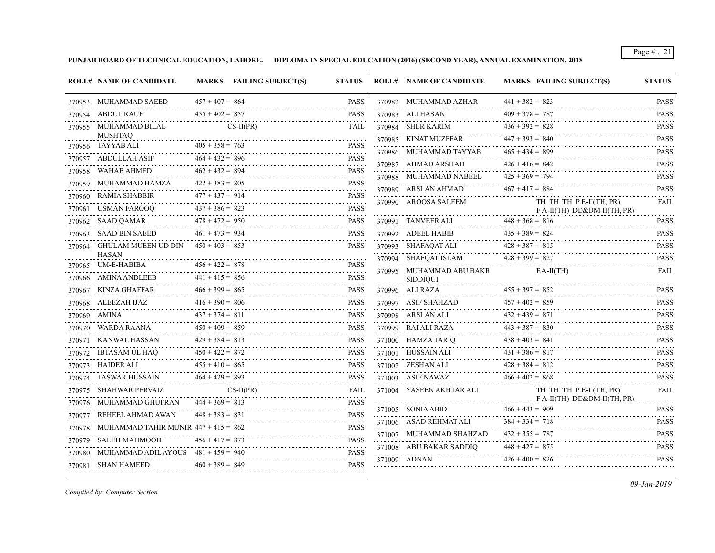**PUNJAB BOARD OF TECHNICAL EDUCATION, LAHORE. DIPLOMA IN SPECIAL EDUCATION (2016) (SECOND YEAR), ANNUAL EXAMINATION, 2018**

|        | <b>ROLL# NAME OF CANDIDATE</b>                                |                   | MARKS FAILING SUBJECT(S) | <b>STATUS</b>                                                                                                                                       | <b>ROLL# NAME OF CANDIDATE</b>       | <b>MARKS FAILING SUBJECT(S)</b>                            | <b>STATUS</b>                                                                                                                                       |
|--------|---------------------------------------------------------------|-------------------|--------------------------|-----------------------------------------------------------------------------------------------------------------------------------------------------|--------------------------------------|------------------------------------------------------------|-----------------------------------------------------------------------------------------------------------------------------------------------------|
|        | 370953 MUHAMMAD SAEED                                         | $457 + 407 = 864$ |                          | <b>PASS</b>                                                                                                                                         | 370982 MUHAMMAD AZHAR                | $441 + 382 = 823$                                          | <b>PASS</b>                                                                                                                                         |
|        | 370954 ABDUL RAUF                                             | $455 + 402 = 857$ |                          | PASS                                                                                                                                                | 370983 ALI HASAN                     | $409 + 378 = 787$                                          | <b>PASS</b>                                                                                                                                         |
|        | 370955 MUHAMMAD BILAL                                         |                   | $CS-II(PR)$              | FAIL                                                                                                                                                | 370984 SHER KARIM                    | $436 + 392 = 828$                                          | <b>PASS</b><br>.                                                                                                                                    |
|        | <b>MUSHTAQ</b>                                                | $405 + 358 = 763$ |                          | <b>PASS</b>                                                                                                                                         | 370985 KINAT MUZFFAR                 | $447 + 393 = 840$                                          | <b>PASS</b><br>.                                                                                                                                    |
|        | 370956 TAYYAB ALI                                             |                   |                          |                                                                                                                                                     | 370986 MUHAMMAD TAYYAB               | $465 + 434 = 899$                                          | <b>PASS</b><br>.                                                                                                                                    |
|        | 370957 ABDULLAH ASIF                                          | $464 + 432 = 896$ |                          | <b>PASS</b>                                                                                                                                         | 370987 AHMAD ARSHAD                  | $426 + 416 = 842$                                          | <b>PASS</b>                                                                                                                                         |
|        | 370958 WAHAB AHMED                                            | $462 + 432 = 894$ |                          | <b>PASS</b>                                                                                                                                         | 370988 MUHAMMAD NABEEL               | $425 + 369 = 794$                                          | $\mathcal{L}^{\mathcal{A}}\left( \mathcal{A}^{\mathcal{A}}\right) =\mathcal{L}^{\mathcal{A}}\left( \mathcal{A}^{\mathcal{A}}\right)$<br><b>PASS</b> |
| 370959 | MUHAMMAD HAMZA                                                | $422 + 383 = 805$ |                          | <b>PASS</b>                                                                                                                                         | 370989 ARSLAN AHMAD                  | $467 + 417 = 884$                                          | $\omega$ is a single<br><b>PASS</b>                                                                                                                 |
|        | 370960 RAMIA SHABBIR<br>370961 USMAN FAROOQ $437 + 386 = 823$ | $477 + 437 = 914$ |                          | <b>PASS</b><br><b>PASS</b>                                                                                                                          | 370990 AROOSA SALEEM                 | TH TH TH P.E-II(TH, PR)<br>F.A-II(TH) DD&DM-II(TH, PR)     | .<br>FAIL                                                                                                                                           |
|        | 370962 SAAD QAMAR                                             | $478 + 472 = 950$ |                          | .<br>PASS                                                                                                                                           | 370991 TANVEER ALI $448 + 368 = 816$ |                                                            | <b>PASS</b>                                                                                                                                         |
|        | 370963 SAAD BIN SAEED                                         | $461 + 473 = 934$ |                          | PASS                                                                                                                                                | 370992 ADEEL HABIB                   | $435 + 389 = 824$                                          | $\alpha$ , $\alpha$ , $\alpha$ , $\alpha$ , $\alpha$<br><b>PASS</b>                                                                                 |
|        | 370964 GHULAM MUEEN UD DIN $450 + 403 = 853$                  |                   |                          | <b>PASS</b>                                                                                                                                         | 370993 SHAFAQAT ALI                  | $428 + 387 = 815$                                          | <b>PASS</b>                                                                                                                                         |
|        | <b>HASAN</b>                                                  |                   |                          |                                                                                                                                                     | 370994 SHAFOAT ISLAM                 | $428 + 399 = 827$                                          | .<br><b>PASS</b>                                                                                                                                    |
|        | 370965 UM-E-HABIBA                                            | $456 + 422 = 878$ |                          | <b>PASS</b><br>-----                                                                                                                                | 370995 MUHAMMAD ABU BAKR             | $F.A-II(TH)$                                               | .<br>FAIL                                                                                                                                           |
|        | 370966 AMINA ANDLEEB                                          | $441 + 415 = 856$ |                          | <b>PASS</b>                                                                                                                                         | <b>SIDDIQUI</b>                      |                                                            |                                                                                                                                                     |
|        | 370967 KINZA GHAFFAR                                          | $466 + 399 = 865$ |                          | <b>PASS</b>                                                                                                                                         | 370996 ALI RAZA                      | $455 + 397 = 852$                                          | <b>PASS</b>                                                                                                                                         |
|        | 370968 ALEEZAH IJAZ                                           | $416 + 390 = 806$ |                          | <b>PASS</b>                                                                                                                                         | 370997 ASIF SHAHZAD                  | $457 + 402 = 859$                                          | <b>PASS</b>                                                                                                                                         |
|        | 370969 AMINA                                                  | $437 + 374 = 811$ |                          | PASS                                                                                                                                                |                                      | 370998 ARSLAN ALI $432 + 439 = 871$                        | <b>PASS</b><br>.                                                                                                                                    |
|        | 370970 WARDA RAANA                                            | $450 + 409 = 859$ |                          | <b>PASS</b>                                                                                                                                         |                                      | 370999 RAI ALI RAZA 443 + 387 = 830                        | <b>PASS</b><br>.                                                                                                                                    |
|        | 370971 KANWAL HASSAN                                          | $429 + 384 = 813$ |                          | PASS                                                                                                                                                | 371000 HAMZA TARIQ                   | $438 + 403 = 841$                                          | <b>PASS</b><br>$\alpha$ , $\alpha$ , $\alpha$ , $\alpha$ , $\alpha$                                                                                 |
|        | 370972 IBTASAM UL HAQ                                         | $450 + 422 = 872$ |                          | PASS                                                                                                                                                | $371001 \quad HUSSAIN ALLI$          | $431 + 386 = 817$                                          | <b>PASS</b>                                                                                                                                         |
|        | 370973 HAIDER ALI                                             | $455 + 410 = 865$ |                          | <b>PASS</b>                                                                                                                                         | 371002 ZESHAN ALI                    | $428 + 384 = 812$                                          | <b>PASS</b>                                                                                                                                         |
| 370974 | TASWAR HUSSAIN                                                | $464 + 429 = 893$ |                          | <b>PASS</b>                                                                                                                                         | 371003 ASIF NAWAZ                    | $466 + 402 = 868$                                          | <b>PASS</b><br>.                                                                                                                                    |
|        | 370975 SHAHWAR PERVAIZ                                        |                   | $CS-II(PR)$              | FAIL                                                                                                                                                | 371004 YASEEN AKHTAR ALI             | TH TH TH P.E-II(TH, PR)<br>$F.A-II(TH)$ $DD&DM-II(TH, PR)$ | FAIL                                                                                                                                                |
|        | 370976 MUHAMMAD GHUFRAN                                       | $444 + 369 = 813$ |                          | <b>PASS</b>                                                                                                                                         | 371005 SONIA ABID $466 + 443 = 909$  |                                                            | <b>PASS</b>                                                                                                                                         |
|        | 370977 REHEEL AHMAD AWAN                                      | $448 + 383 = 831$ |                          | <b>PASS</b><br>المالون والمالون والمواردة                                                                                                           | 371006 ASAD REHMAT ALI               | $384 + 334 = 718$                                          | <b>PASS</b>                                                                                                                                         |
|        | 370978 MUHAMMAD TAHIR MUNIR $447 + 415 = 862$                 |                   |                          | <b>PASS</b><br>$\mathcal{L}^{\mathcal{A}}\left( \mathcal{A}^{\mathcal{A}}\right) =\mathcal{L}^{\mathcal{A}}\left( \mathcal{A}^{\mathcal{A}}\right)$ | 371007 MUHAMMAD SHAHZAD              | $432 + 355 = 787$                                          | <b>PASS</b>                                                                                                                                         |
|        | 370979 SALEH MAHMOOD                                          | $456 + 417 = 873$ |                          | <b>PASS</b><br>$\mathcal{L}^{\mathcal{A}}\left( \mathcal{A}^{\mathcal{A}}\right) =\mathcal{L}^{\mathcal{A}}\left( \mathcal{A}^{\mathcal{A}}\right)$ | .<br>371008 ABU BAKAR SADDIQ         | $448 + 427 = 875$                                          | <b>PASS</b>                                                                                                                                         |
|        | 370980 MUHAMMAD ADIL AYOUS $481 + 459 = 940$                  |                   |                          | <b>PASS</b>                                                                                                                                         | 371009 ADNAN                         | $426 + 400 = 826$                                          | $\alpha$ is a second set of $\alpha$<br><b>PASS</b>                                                                                                 |
|        | 370981 SHAN HAMEED                                            | $460 + 389 = 849$ |                          | <b>PASS</b>                                                                                                                                         |                                      |                                                            |                                                                                                                                                     |

*Compiled by: Computer Section*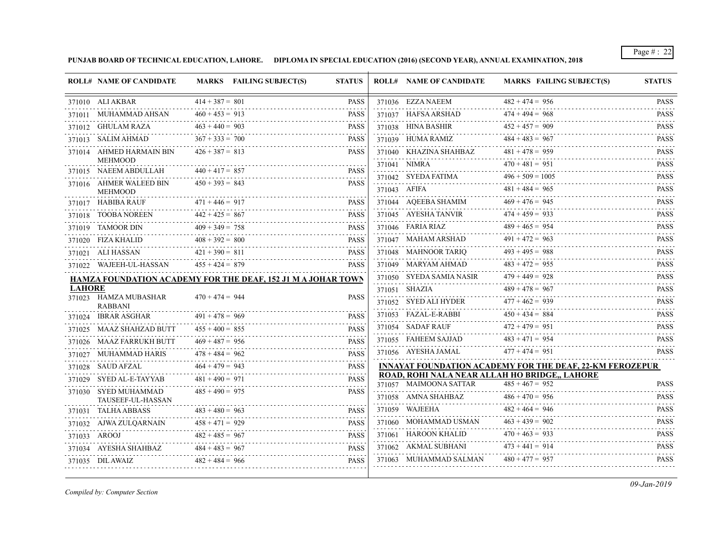**PUNJAB BOARD OF TECHNICAL EDUCATION, LAHORE. DIPLOMA IN SPECIAL EDUCATION (2016) (SECOND YEAR), ANNUAL EXAMINATION, 2018**

|               | <b>ROLL# NAME OF CANDIDATE</b>                               |                   | MARKS FAILING SUBJECT(S) | <b>STATUS</b> | <b>ROLL# NAME OF CANDIDATE</b>      | <b>MARKS FAILING SUBJECT(S)</b>                                    | <b>STATUS</b>              |
|---------------|--------------------------------------------------------------|-------------------|--------------------------|---------------|-------------------------------------|--------------------------------------------------------------------|----------------------------|
|               | 371010 ALI AKBAR                                             | $414 + 387 = 801$ |                          | <b>PASS</b>   | 371036 EZZA NAEEM                   | $482 + 474 = 956$                                                  | <b>PASS</b>                |
|               | 371011 MUHAMMAD AHSAN                                        | $460 + 453 = 913$ |                          | <b>PASS</b>   | 371037 HAFSA ARSHAD                 | $474 + 494 = 968$                                                  | <b>PASS</b>                |
|               | 371012 GHULAM RAZA                                           | $463 + 440 = 903$ |                          | <b>PASS</b>   | 371038 HINA BASHIR                  | $452 + 457 = 909$                                                  | <b>PASS</b>                |
|               | 371013 SALIM AHMAD                                           | $367 + 333 = 700$ |                          | <b>PASS</b>   | 371039 HUMA RAMIZ                   | $484 + 483 = 967$                                                  | <b>PASS</b>                |
|               | 371014 AHMED HARMAIN BIN                                     | $426 + 387 = 813$ |                          | <b>PASS</b>   | 371040    KHAZINA SHAHBAZ           | $481 + 478 = 959$                                                  | <b>PASS</b>                |
|               | <b>MEHMOOD</b>                                               |                   |                          |               | 371041 NIMRA                        | $470 + 481 = 951$                                                  | <b>PASS</b>                |
|               | 371015 NAEEM ABDULLAH                                        | $440 + 417 = 857$ |                          | <b>PASS</b>   | 371042 SYEDA FATIMA                 | $496 + 509 = 1005$                                                 | <b>PASS</b><br>.           |
|               | 371016 AHMER WALEED BIN<br><b>MEHMOOD</b>                    | $450 + 393 = 843$ |                          | <b>PASS</b>   | 371043 AFIFA                        | $481 + 484 = 965$<br>$481 + 484 = 965$                             | <b>PASS</b><br>.           |
|               | 371017 HABIBA RAUF                                           | $471 + 446 = 917$ | F $471 + 446 = 917$ PASS | PASS          | 371044 AQEEBA SHAMIM                | $469 + 476 = 945$                                                  | <b>PASS</b><br>and a state |
|               | 371018 TOOBA NOREEN                                          | $442 + 425 = 867$ |                          | <b>PASS</b>   | 371045 AYESHA TANVIR                | $474 + 459 = 933$                                                  | <b>PASS</b>                |
|               | 371019 TAMOOR DIN                                            | $409 + 349 = 758$ |                          | <b>PASS</b>   | 371046 FARIA RIAZ                   | $489 + 465 = 954$<br>$489 + 465 = 954$                             |                            |
|               | 371020 FIZA KHALID                                           | $408 + 392 = 800$ |                          | <b>PASS</b>   | $371047 \quad \text{MAHAM ARSHAD}$  | $491 + 472 = 963$                                                  | <b>PASS</b>                |
|               | 371021 ALI HASSAN                                            | $421 + 390 = 811$ |                          | <b>PASS</b>   | 371048 MAHNOOR TARIO                | $493 + 495 = 988$                                                  | <b>PASS</b>                |
|               | 371022 WAJEEH-UL-HASSAN                                      | $455 + 424 = 879$ |                          | <b>PASS</b>   | 371049 MARYAM AHMAD                 | $483 + 472 = 955$                                                  | <b>PASS</b>                |
|               | HAMZA FOUNDATION ACADEMY FOR THE DEAF, 152 J1 M A JOHAR TOWN |                   |                          |               | 371050 SYEDA SAMIA NASIR            | $479 + 449 = 928$                                                  | <b>PASS</b>                |
| <b>LAHORE</b> |                                                              |                   |                          |               | 371051 SHAZIA                       | $489 + 478 = 967$                                                  | <b>PASS</b>                |
|               | 371023 HAMZA MUBASHAR<br><b>RABBANI</b>                      | $470 + 474 = 944$ |                          | <b>PASS</b>   | 371052 SYED ALI HYDER               | $477 + 462 = 939$                                                  | <b>PASS</b>                |
|               | 371024 IBRAR ASGHAR                                          | $491 + 478 = 969$ |                          | <b>PASS</b>   | $371053 \quad \text{FAZAL-E-RABBI}$ | $450 + 434 = 884$                                                  | <b>PASS</b>                |
|               | 371025 MAAZ SHAHZAD BUTT                                     | $455 + 400 = 855$ |                          | <b>PASS</b>   | 371054 SADAF RAUF                   | $472 + 479 = 951$                                                  | <b>PASS</b>                |
|               | 371026 MAAZ FARRUKH BUTT                                     | $469 + 487 = 956$ |                          | <b>PASS</b>   | 371055 FAHEEM SAJJAD                | $483 + 471 = 954$                                                  | <b>PASS</b>                |
|               | 371027 MUHAMMAD HARIS                                        | $478 + 484 = 962$ |                          | <b>PASS</b>   | 371056 AYESHA JAMAL                 | $477 + 474 = 951$                                                  | <b>PASS</b>                |
|               | 371028 SAUD AFZAL                                            | $464 + 479 = 943$ |                          | <b>PASS</b>   |                                     | <b>INNAYAT FOUNDATION ACADEMY FOR THE DEAF, 22-KM FEROZEPUR</b>    |                            |
|               | 371029 SYED AL-E-TAYYAB                                      | $481 + 490 = 971$ |                          | <b>PASS</b>   | 371057 MAIMOONA SATTAR              | ROAD, ROHI NALA NEAR ALLAH HO BRIDGE,, LAHORE<br>$485 + 467 = 952$ | <b>PASS</b>                |
|               | 371030 SYED MUHAMMAD<br>TAUSEEF-UL-HASSAN                    | $485 + 490 = 975$ |                          | <b>PASS</b>   |                                     | $486 + 470 = 956$<br>371058 AMNA SHAHBAZ $486 + 470 = 956$ PASS    |                            |
|               | 371031 TALHA ABBASS                                          | $483 + 480 = 963$ |                          | <b>PASS</b>   | 371059 WAJEEHA                      | $482 + 464 = 946$                                                  | <b>PASS</b>                |
|               | 371032 AJWA ZULQARNAIN                                       | $458 + 471 = 929$ |                          | <b>PASS</b>   | 371060 MOHAMMAD USMAN               | $463 + 439 = 902$                                                  | <b>PASS</b>                |
|               | 371033 AROOJ                                                 | $482 + 485 = 967$ |                          | <b>PASS</b>   | 371061 HAROON KHALID                | $470 + 463 = 933$                                                  | <b>PASS</b>                |
|               | 371034 AYESHA SHAHBAZ $484 + 483 = 967$ PASS                 |                   | $182 + 485 = 967$ PASS   | <b>PASS</b>   | 371062 AKMAL SUBHANI                | $473 + 441 = 914$                                                  | <b>PASS</b>                |
|               | 371035 DIL AWAIZ                                             | $482 + 484 = 966$ |                          | <b>PASS</b>   | 371063 MUHAMMAD SALMAN              | $480 + 477 = 957$                                                  | <b>PASS</b>                |
|               |                                                              |                   |                          |               |                                     |                                                                    |                            |

*Compiled by: Computer Section*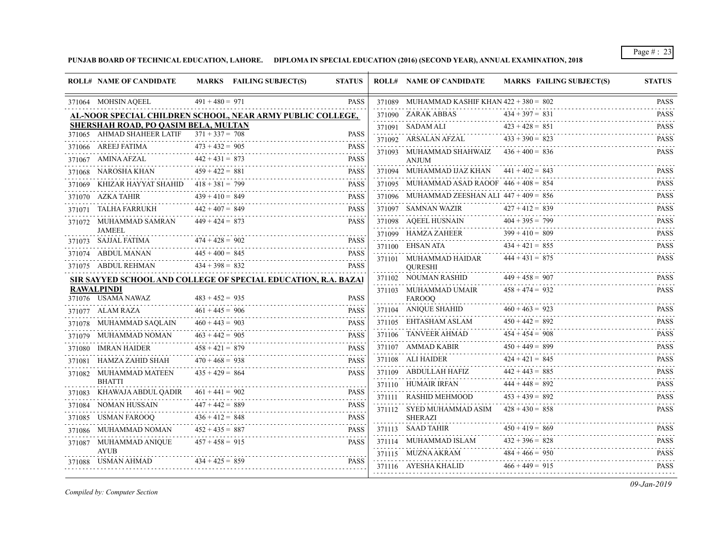**PUNJAB BOARD OF TECHNICAL EDUCATION, LAHORE. DIPLOMA IN SPECIAL EDUCATION (2016) (SECOND YEAR), ANNUAL EXAMINATION, 2018**

|        | <b>ROLL# NAME OF CANDIDATE</b>               |                   | MARKS FAILING SUBJECT(S)                                       | <b>STATUS</b> | <b>ROLL# NAME OF CANDIDATE</b>                     | MARKS FAILING SUBJECT(S) | <b>STATUS</b>                                                                                                                         |
|--------|----------------------------------------------|-------------------|----------------------------------------------------------------|---------------|----------------------------------------------------|--------------------------|---------------------------------------------------------------------------------------------------------------------------------------|
|        | 371064 MOHSIN AQEEL                          | $491 + 480 = 971$ |                                                                | <b>PASS</b>   | 371089 MUHAMMAD KASHIF KHAN $422 + 380 = 802$<br>. |                          | <b>PASS</b>                                                                                                                           |
|        |                                              |                   | AL-NOOR SPECIAL CHILDREN SCHOOL, NEAR ARMY PUBLIC COLLEGE,     |               | 371090 ZARAK ABBAS                                 | $434 + 397 = 831$        | <b>PASS</b><br>.                                                                                                                      |
|        | SHERSHAH ROAD, PO QASIM BELA, MULTAN         |                   |                                                                |               | 371091 SADAM ALI                                   | $423 + 428 = 851$        | <b>PASS</b><br>$\mathcal{L}^{\mathcal{A}}(\mathcal{A})=\mathcal{L}^{\mathcal{A}}(\mathcal{A})=\mathcal{L}^{\mathcal{A}}(\mathcal{A})$ |
|        | 371065 AHMAD SHAHEER LATIF $371 + 337 = 708$ | $473 + 432 = 905$ |                                                                | <b>PASS</b>   | 371092 ARSALAN AFZAL                               | $433 + 390 = 823$        | <b>PASS</b>                                                                                                                           |
|        | 371066 AREEJ FATIMA                          |                   |                                                                | <b>PASS</b>   | 371093 MUHAMMAD SHAHWAIZ                           | $436 + 400 = 836$        | <b>PASS</b>                                                                                                                           |
|        | 371067 AMINA AFZAL                           | $442 + 431 = 873$ |                                                                | <b>PASS</b>   | <b>ANJUM</b>                                       |                          |                                                                                                                                       |
|        | 371068 NAROSHA KHAN                          | $459 + 422 = 881$ |                                                                | <b>PASS</b>   | 371094 MUHAMMAD IJAZ KHAN                          | $441 + 402 = 843$        | <b>PASS</b>                                                                                                                           |
| 371069 | KHIZAR HAYYAT SHAHID                         | $418 + 381 = 799$ |                                                                | <b>PASS</b>   | 371095 MUHAMMAD ASAD RAOOF $446 + 408 = 854$       |                          | <b>PASS</b>                                                                                                                           |
|        | 371070 AZKA TAHIR                            | $439 + 410 = 849$ |                                                                | <b>PASS</b>   | 371096 MUHAMMAD ZEESHAN ALI $447 + 409 = 856$      |                          | <b>PASS</b>                                                                                                                           |
|        | 371071 TALHA FARRUKH                         | $442 + 407 = 849$ |                                                                | <b>PASS</b>   | 371097 SAMNAN WAZIR<br>.                           | $427 + 412 = 839$        | <b>PASS</b>                                                                                                                           |
|        | 371072 MUHAMMAD SAMRAN<br><b>JAMEEL</b>      | $449 + 424 = 873$ |                                                                | <b>PASS</b>   | 371098 AQEEL HUSNAIN                               | $404 + 395 = 799$        | <b>PASS</b>                                                                                                                           |
|        | 371073 SAJJAL FATIMA                         | $474 + 428 = 902$ |                                                                | <b>PASS</b>   | 371099 HAMZA ZAHEER                                | $399 + 410 = 809$        | <b>PASS</b><br>.                                                                                                                      |
|        | 371074 ABDUL MANAN                           | $445 + 400 = 845$ |                                                                | <b>PASS</b>   | 371100 EHSAN ATA                                   | $434 + 421 = 855$        | <b>PASS</b><br>.                                                                                                                      |
|        | 371075 ABDUL REHMAN                          | $434 + 398 = 832$ |                                                                | <b>PASS</b>   | 371101 MUHAMMAD HAIDAR<br><b>OURESHI</b>           | $444 + 431 = 875$        | <b>PASS</b>                                                                                                                           |
|        |                                              |                   | SIR SAYYED SCHOOL AND COLLEGE OF SPECIAL EDUCATION, R.A. BAZAI |               | 371102 NOUMAN RASHID                               | $449 + 458 = 907$        | <b>PASS</b>                                                                                                                           |
|        | <b>RAWALPINDI</b>                            |                   |                                                                |               | 371103 MUHAMMAD UMAIR                              | $458 + 474 = 932$        | <b>PASS</b>                                                                                                                           |
|        | 371076 USAMA NAWAZ                           | $483 + 452 = 935$ |                                                                | <b>PASS</b>   | <b>FAROOO</b>                                      |                          |                                                                                                                                       |
|        | 371077 ALAM RAZA                             | $461 + 445 = 906$ |                                                                | <b>PASS</b>   | 371104 ANIQUE SHAHID                               | $460 + 463 = 923$        | <b>PASS</b>                                                                                                                           |
|        | 371078 MUHAMMAD SAQLAIN                      | $460 + 443 = 903$ |                                                                | <b>PASS</b>   | 371105 EHTASHAM ASLAM                              | $450 + 442 = 892$        | <b>PASS</b>                                                                                                                           |
|        | 371079 MUHAMMAD NOMAN                        | $463 + 442 = 905$ |                                                                | <b>PASS</b>   | 371106 TANVEER AHMAD                               | $454 + 454 = 908$        | <b>PASS</b>                                                                                                                           |
| 371080 | IMRAN HAIDER                                 | $458 + 421 = 879$ |                                                                | <b>PASS</b>   | 371107 AMMAD KABIR                                 | $450 + 449 = 899$        | <b>PASS</b>                                                                                                                           |
|        | 371081 HAMZA ZAHID SHAH                      | $470 + 468 = 938$ |                                                                | <b>PASS</b>   | 371108 ALI HAIDER                                  | $424 + 421 = 845$        | <b>PASS</b>                                                                                                                           |
|        | 371082 MUHAMMAD MATEEN<br><b>BHATTI</b>      | $435 + 429 = 864$ |                                                                | <b>PASS</b>   | 371109 ABDULLAH HAFIZ                              | $442 + 443 = 885$        | <b>PASS</b><br>.                                                                                                                      |
| 371083 | KHAWAJA ABDUL QADIR                          | $461 + 441 = 902$ |                                                                | <b>PASS</b>   | 371110 HUMAIR IRFAN                                | $444 + 448 = 892$        | <b>PASS</b>                                                                                                                           |
|        | 371084 NOMAN HUSSAIN                         | $447 + 442 = 889$ |                                                                | <b>PASS</b>   | 371111 RASHID MEHMOOD                              | $453 + 439 = 892$        | <b>PASS</b>                                                                                                                           |
| 371085 | USMAN FAROOQ                                 | $436 + 412 = 848$ |                                                                | <b>PASS</b>   | 371112 SYED MUHAMMAD ASIM<br><b>SHERAZI</b>        | $428 + 430 = 858$        | <b>PASS</b>                                                                                                                           |
| 371086 | MUHAMMAD NOMAN                               | $452 + 435 = 887$ |                                                                | <b>PASS</b>   | 371113 SAAD TAHIR                                  | $450 + 419 = 869$        | <b>PASS</b>                                                                                                                           |
|        | 371087 MUHAMMAD ANIQUE                       | $457 + 458 = 915$ |                                                                | <b>PASS</b>   | 371114 MUHAMMAD ISLAM                              | $432 + 396 = 828$        | <b>PASS</b>                                                                                                                           |
|        | <b>AYUB</b>                                  |                   |                                                                |               | 371115 MUZNA AKRAM                                 | $484 + 466 = 950$        | <b>PASS</b>                                                                                                                           |
|        | 371088 USMAN AHMAD                           | $434 + 425 = 859$ |                                                                | <b>PASS</b>   | 371116 AYESHA KHALID                               | $466 + 449 = 915$        | <b>PASS</b>                                                                                                                           |
|        |                                              |                   |                                                                |               |                                                    |                          |                                                                                                                                       |

*Compiled by: Computer Section*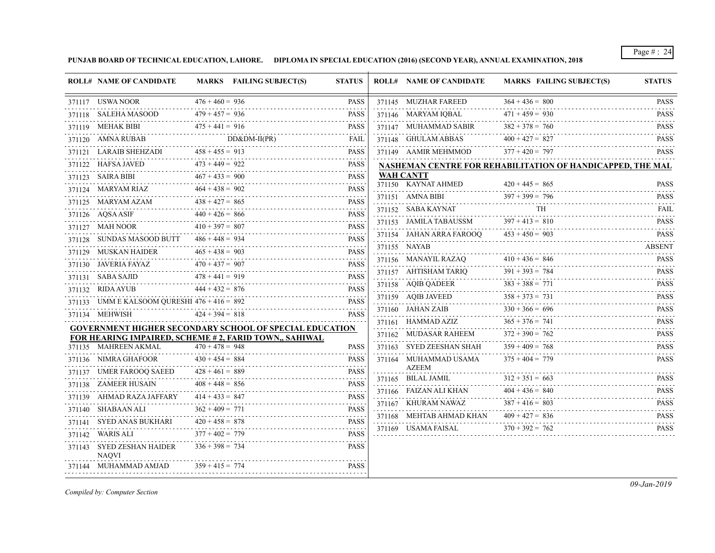**PUNJAB BOARD OF TECHNICAL EDUCATION, LAHORE. DIPLOMA IN SPECIAL EDUCATION (2016) (SECOND YEAR), ANNUAL EXAMINATION, 2018**

|        | <b>ROLL# NAME OF CANDIDATE</b>                        |                               | MARKS FAILING SUBJECT(S)                                       | <b>STATUS</b>    | <b>ROLL# NAME OF CANDIDATE</b>        | MARKS FAILING SUBJECT(S)                                   | <b>STATUS</b>                                                                                                                                       |
|--------|-------------------------------------------------------|-------------------------------|----------------------------------------------------------------|------------------|---------------------------------------|------------------------------------------------------------|-----------------------------------------------------------------------------------------------------------------------------------------------------|
|        | 371117 USWA NOOR                                      | $476 + 460 = 936$             |                                                                | <b>PASS</b>      | 371145 MUZHAR FAREED                  | $364 + 436 = 800$                                          | <b>PASS</b>                                                                                                                                         |
|        | 371118 SALEHA MASOOD                                  | .<br>$479 + 457 = 936$        |                                                                | <b>PASS</b>      | 371146 MARYAM IQBAL                   | $471 + 459 = 930$                                          | <b>PASS</b>                                                                                                                                         |
|        | 371119 MEHAK BIBI                                     | $475 + 441 = 916$             |                                                                | <b>PASS</b>      | 371147 MUHAMMAD SABIR                 | $382 + 378 = 760$                                          | <b>PASS</b>                                                                                                                                         |
|        | 371120 AMNA RUBAB                                     |                               | $DD&DM-II(PR)$                                                 | FAIL             | 371148 GHULAM ABBAS                   | $400 + 427 = 827$                                          | <b>PASS</b>                                                                                                                                         |
|        | 371121 LARAIB SHEHZADI                                | $458 + 455 = 913$             |                                                                | <b>PASS</b>      | 371149 AAMIR MEHMMOD                  | $377 + 420 = 797$                                          | <b>PASS</b>                                                                                                                                         |
|        | 371122 HAFSA JAVED                                    | $473 + 449 = 922$             |                                                                | <b>PASS</b><br>. |                                       | NASHEMAN CENTRE FOR REHABILITATION OF HANDICAPPED, THE MAL |                                                                                                                                                     |
|        | 371123 SAIRA BIBI                                     | $467 + 433 = 900$             |                                                                | <b>PASS</b>      | WAH CANTT                             |                                                            |                                                                                                                                                     |
|        | 371124 MARYAM RIAZ                                    | $464 + 438 = 902$             |                                                                | <b>PASS</b>      | 371150 KAYNAT AHMED                   | $420 + 445 = 865$                                          | <b>PASS</b>                                                                                                                                         |
|        | 371125 MARYAM AZAM                                    | $438 + 427 = 865$             |                                                                | <b>PASS</b>      | 371151 AMNA BIBI                      | $397 + 399 = 796$                                          | <b>PASS</b>                                                                                                                                         |
|        | 371126 AQSA ASIF                                      | $440 + 426 = 866$<br><u>.</u> |                                                                | <b>PASS</b>      | 371152 SABA KAYNAT                    | TH                                                         | <b>FAIL</b><br>.                                                                                                                                    |
|        | 371127 MAH NOOR                                       | $410 + 397 = 807$             |                                                                | <b>PASS</b>      | 371153 JAMILA TABAUSSM                | $397 + 413 = 810$                                          | <b>PASS</b><br>$\alpha$ , $\alpha$ , $\alpha$ , $\alpha$ , $\alpha$                                                                                 |
|        | 371128 SUNDAS MASOOD BUTT                             | $486 + 448 = 934$             |                                                                | .<br><b>PASS</b> | 371154 JAHAN ARRA FAROOQ              | $453 + 450 = 903$                                          | <b>PASS</b>                                                                                                                                         |
|        | 371129 MUSKAN HAIDER                                  | $465 + 438 = 903$             | .                                                              | <b>PASS</b>      | 371155 NAYAB                          |                                                            | <b>ABSENT</b>                                                                                                                                       |
|        | 371130 JAVERIA FAYAZ                                  | $470 + 437 = 907$             |                                                                | <b>PASS</b>      | 371156 MANAYIL RAZAQ                  | $410 + 436 = 846$                                          | <b>PASS</b>                                                                                                                                         |
|        | 371131 SABA SAJID                                     | $478 + 441 = 919$             |                                                                | <b>PASS</b>      | 371157 AHTISHAM TARIQ                 | $391 + 393 = 784$                                          | <b>PASS</b>                                                                                                                                         |
|        | 371132 RIDA AYUB                                      | $444 + 432 = 876$             |                                                                | <b>PASS</b>      | 371158 AQIB QADEER                    | $383 + 388 = 771$                                          | <b>PASS</b><br>2.2.2.2.2.1                                                                                                                          |
|        | 371133 UMM E KALSOOM QURESHI $476 + 416 = 892$        |                               |                                                                | <b>PASS</b>      | 371159 AQIB JAVEED                    | $358 + 373 = 731$                                          | <b>PASS</b>                                                                                                                                         |
|        | 371134 MEHWISH                                        | $424 + 394 = 818$             |                                                                | PASS             | 371160 JAHAN ZAIB                     | $330 + 366 = 696$                                          | <b>PASS</b><br>$\mathcal{L}^{\mathcal{A}}\left( \mathcal{A}^{\mathcal{A}}\right) =\mathcal{L}^{\mathcal{A}}\left( \mathcal{A}^{\mathcal{A}}\right)$ |
|        |                                                       |                               | <b>GOVERNMENT HIGHER SECONDARY SCHOOL OF SPECIAL EDUCATION</b> |                  | 371161 HAMMAD AZIZ                    | $365 + 376 = 741$                                          | <b>PASS</b>                                                                                                                                         |
|        | FOR HEARING IMPAIRED, SCHEME #2, FARID TOWN,, SAHIWAL |                               |                                                                |                  | 371162 MUDASAR RAHEEM                 | $372 + 390 = 762$                                          | <b>PASS</b><br><u>.</u>                                                                                                                             |
|        | 371135 MAHREEN AKMAL                                  | $470 + 478 = 948$             |                                                                | <b>PASS</b>      | 371163 SYED ZEESHAN SHAH              | $359 + 409 = 768$                                          | <b>PASS</b><br>.                                                                                                                                    |
|        | 371136 NIMRA GHAFOOR                                  | $430 + 454 = 884$             |                                                                | <b>PASS</b>      | 371164 MUHAMMAD USAMA<br><b>AZEEM</b> | $375 + 404 = 779$                                          | <b>PASS</b>                                                                                                                                         |
|        | 371137 UMER FAROOQ SAEED                              | $428 + 461 = 889$             |                                                                | <b>PASS</b>      | 371165 BILAL JAMIL                    | $312 + 351 = 663$                                          | <b>PASS</b>                                                                                                                                         |
|        | 371138 ZAMEER HUSAIN                                  | $408 + 448 = 856$             |                                                                | <b>PASS</b>      | 371166 FAIZAN ALI KHAN                | $404 + 436 = 840$                                          | <b>PASS</b>                                                                                                                                         |
|        | 371139 AHMAD RAZA JAFFARY                             | $414 + 433 = 847$             |                                                                | <b>PASS</b><br>. | 371167 KHURAM NAWAZ                   | $387 + 416 = 803$                                          | <b>PASS</b>                                                                                                                                         |
|        | 371140 SHABAAN ALI                                    | $362 + 409 = 771$             |                                                                | <b>PASS</b><br>. | 371168 MEHTAB AHMAD KHAN              | $409 + 427 = 836$                                          | <b>PASS</b>                                                                                                                                         |
|        | 371141 SYED ANAS BUKHARI                              | $420 + 458 = 878$             |                                                                | <b>PASS</b>      | 371169 USAMA FAISAL                   | $370 + 392 = 762$                                          | $\omega$ is a single<br><b>PASS</b>                                                                                                                 |
| 371142 | WARIS ALI                                             | $377 + 402 = 779$             |                                                                | <b>PASS</b>      |                                       |                                                            |                                                                                                                                                     |
|        | 371143 SYED ZESHAN HAIDER<br><b>NAOVI</b>             | $336 + 398 = 734$             |                                                                | <b>PASS</b>      |                                       |                                                            |                                                                                                                                                     |
|        | 371144 MUHAMMAD AMJAD                                 | $359 + 415 = 774$             |                                                                | <b>PASS</b>      |                                       |                                                            |                                                                                                                                                     |

*Compiled by: Computer Section*